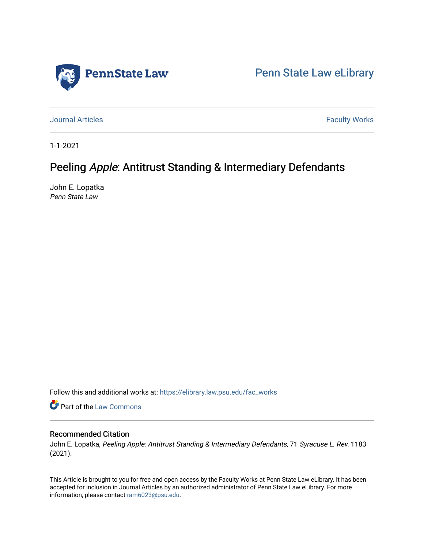

[Penn State Law eLibrary](https://elibrary.law.psu.edu/) 

[Journal Articles](https://elibrary.law.psu.edu/fac_works) **Faculty Works Journal Articles** 

1-1-2021

# Peeling Apple: Antitrust Standing & Intermediary Defendants

John E. Lopatka Penn State Law

Follow this and additional works at: [https://elibrary.law.psu.edu/fac\\_works](https://elibrary.law.psu.edu/fac_works?utm_source=elibrary.law.psu.edu%2Ffac_works%2F442&utm_medium=PDF&utm_campaign=PDFCoverPages)

**C** Part of the [Law Commons](https://network.bepress.com/hgg/discipline/578?utm_source=elibrary.law.psu.edu%2Ffac_works%2F442&utm_medium=PDF&utm_campaign=PDFCoverPages)

## Recommended Citation

John E. Lopatka, Peeling Apple: Antitrust Standing & Intermediary Defendants, 71 Syracuse L. Rev. 1183 (2021).

This Article is brought to you for free and open access by the Faculty Works at Penn State Law eLibrary. It has been accepted for inclusion in Journal Articles by an authorized administrator of Penn State Law eLibrary. For more information, please contact [ram6023@psu.edu](mailto:ram6023@psu.edu).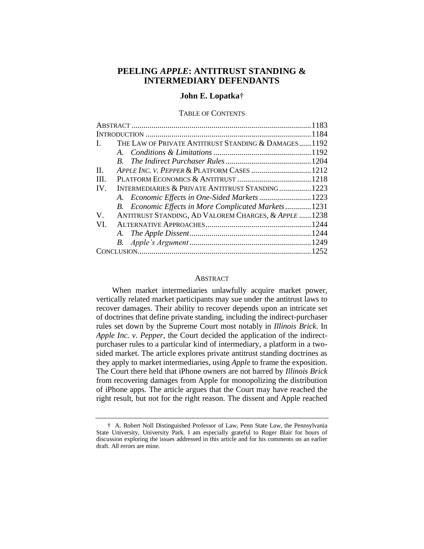## **PEELING** *APPLE***: ANTITRUST STANDING & INTERMEDIARY DEFENDANTS**

## **John E. Lopatka**†

#### TABLE OF CONTENTS

| THE LAW OF PRIVATE ANTITRUST STANDING & DAMAGES1192<br>$\mathbf{I}$ . |  |
|-----------------------------------------------------------------------|--|
|                                                                       |  |
|                                                                       |  |
| APPLE INC. V. PEPPER & PLATFORM CASES  1212<br>$\Pi$ .                |  |
| III.                                                                  |  |
| INTERMEDIARIES & PRIVATE ANTITRUST STANDING 1223<br>IV.               |  |
|                                                                       |  |
| B. Economic Effects in More Complicated Markets 1231                  |  |
| ANTITRUST STANDING, AD VALOREM CHARGES, & APPLE  1238<br>$V_{\cdot}$  |  |
| VI.                                                                   |  |
|                                                                       |  |
|                                                                       |  |
|                                                                       |  |

### **ABSTRACT**

When market intermediaries unlawfully acquire market power, vertically related market participants may sue under the antitrust laws to recover damages. Their ability to recover depends upon an intricate set of doctrines that define private standing, including the indirect-purchaser rules set down by the Supreme Court most notably in *Illinois Brick*. In *Apple Inc. v. Pepper*, the Court decided the application of the indirectpurchaser rules to a particular kind of intermediary, a platform in a twosided market. The article explores private antitrust standing doctrines as they apply to market intermediaries, using *Apple* to frame the exposition. The Court there held that iPhone owners are not barred by *Illinois Brick* from recovering damages from Apple for monopolizing the distribution of iPhone apps. The article argues that the Court may have reached the right result, but not for the right reason. The dissent and Apple reached

<sup>†</sup> A. Robert Noll Distinguished Professor of Law, Penn State Law, the Pennsylvania State University, University Park. I am especially grateful to Roger Blair for hours of discussion exploring the issues addressed in this article and for his comments on an earlier draft. All errors are mine.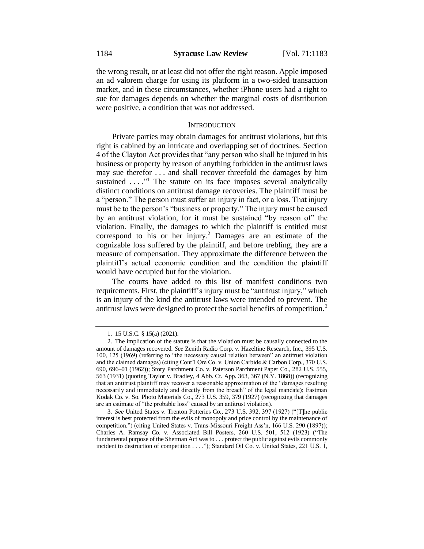the wrong result, or at least did not offer the right reason. Apple imposed an ad valorem charge for using its platform in a two-sided transaction market, and in these circumstances, whether iPhone users had a right to sue for damages depends on whether the marginal costs of distribution were positive, a condition that was not addressed.

#### **INTRODUCTION**

Private parties may obtain damages for antitrust violations, but this right is cabined by an intricate and overlapping set of doctrines. Section 4 of the Clayton Act provides that "any person who shall be injured in his business or property by reason of anything forbidden in the antitrust laws may sue therefor . . . and shall recover threefold the damages by him sustained  $\dots$ <sup>1</sup>. The statute on its face imposes several analytically distinct conditions on antitrust damage recoveries. The plaintiff must be a "person." The person must suffer an injury in fact, or a loss. That injury must be to the person's "business or property." The injury must be caused by an antitrust violation, for it must be sustained "by reason of" the violation. Finally, the damages to which the plaintiff is entitled must correspond to his or her injury.<sup>2</sup> Damages are an estimate of the cognizable loss suffered by the plaintiff, and before trebling, they are a measure of compensation. They approximate the difference between the plaintiff's actual economic condition and the condition the plaintiff would have occupied but for the violation.

The courts have added to this list of manifest conditions two requirements. First, the plaintiff's injury must be "antitrust injury," which is an injury of the kind the antitrust laws were intended to prevent. The antitrust laws were designed to protect the social benefits of competition.<sup>3</sup>

<sup>1.</sup> 15 U.S.C. § 15(a) (2021).

<sup>2.</sup> The implication of the statute is that the violation must be causally connected to the amount of damages recovered. *See* Zenith Radio Corp. v. Hazeltine Research, Inc., 395 U.S. 100, 125 (1969) (referring to "the necessary causal relation between" an antitrust violation and the claimed damages) (citing Cont'l Ore Co. v. Union Carbide & Carbon Corp., 370 U.S. 690, 696–01 (1962)); Story Parchment Co. v. Paterson Parchment Paper Co., 282 U.S. 555, 563 (1931) (quoting Taylor v. Bradley, 4 Abb. Ct. App. 363, 367 (N.Y. 1868)) (recognizing that an antitrust plaintiff may recover a reasonable approximation of the "damages resulting necessarily and immediately and directly from the breach" of the legal mandate); Eastman Kodak Co. v. So. Photo Materials Co., 273 U.S. 359, 379 (1927) (recognizing that damages are an estimate of "the probable loss" caused by an antitrust violation).

<sup>3.</sup> *See* United States v. Trenton Potteries Co., 273 U.S. 392, 397 (1927) ("[T]he public interest is best protected from the evils of monopoly and price control by the maintenance of competition.") (citing United States v. Trans-Missouri Freight Ass'n, 166 U.S. 290 (1897)); Charles A. Ramsay Co. v. Associated Bill Posters, 260 U.S. 501, 512 (1923) ("The fundamental purpose of the Sherman Act was to . . . protect the public against evils commonly incident to destruction of competition . . . ."); Standard Oil Co. v. United States, 221 U.S. 1,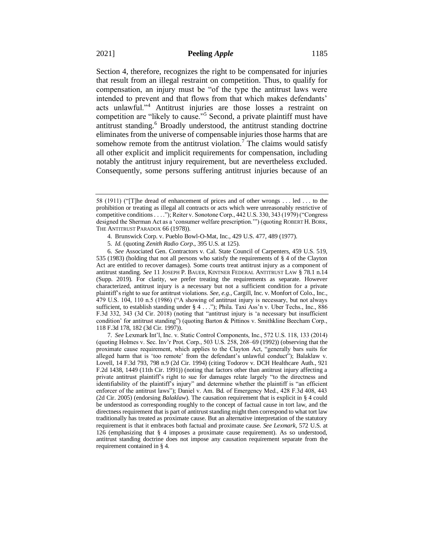Section 4, therefore, recognizes the right to be compensated for injuries that result from an illegal restraint on competition. Thus, to qualify for compensation, an injury must be "of the type the antitrust laws were intended to prevent and that flows from that which makes defendants' acts unlawful."<sup>4</sup> Antitrust injuries are those losses a restraint on competition are "likely to cause."<sup>5</sup> Second, a private plaintiff must have antitrust standing.<sup>6</sup> Broadly understood, the antitrust standing doctrine eliminates from the universe of compensable injuries those harms that are somehow remote from the antitrust violation.<sup>7</sup> The claims would satisfy all other explicit and implicit requirements for compensation, including notably the antitrust injury requirement, but are nevertheless excluded. Consequently, some persons suffering antitrust injuries because of an

6. *See* Associated Gen. Contractors v. Cal. State Council of Carpenters, 459 U.S. 519, 535 (1983) (holding that not all persons who satisfy the requirements of § 4 of the Clayton Act are entitled to recover damages). Some courts treat antitrust injury as a component of antitrust standing. *See* 11 JOSEPH P. BAUER, KINTNER FEDERAL ANTITRUST LAW § 78.1 n.14 (Supp. 2019). For clarity, we prefer treating the requirements as separate. However characterized, antitrust injury is a necessary but not a sufficient condition for a private plaintiff's right to sue for antitrust violations. *See*, *e.g.*, Cargill, Inc. v. Monfort of Colo., Inc., 479 U.S. 104, 110 n.5 (1986) ("A showing of antitrust injury is necessary, but not always sufficient, to establish standing under § 4 . . ."); Phila. Taxi Ass'n v. Uber Techs., Inc., 886 F.3d 332, 343 (3d Cir. 2018) (noting that "antitrust injury is 'a necessary but insufficient condition' for antitrust standing") (quoting Barton & Pittinos v. Smithkline Beecham Corp., 118 F.3d 178, 182 (3d Cir. 1997)).

7. *See* Lexmark Int'l, Inc. v. Static Control Components, Inc., 572 U.S. 118, 133 (2014) (quoting Holmes v. Sec. Inv'r Prot. Corp., 503 U.S. 258, 268–69 (1992)) (observing that the proximate cause requirement, which applies to the Clayton Act, "generally bars suits for alleged harm that is 'too remote' from the defendant's unlawful conduct"); Balaklaw v. Lovell, 14 F.3d 793, 798 n.9 (2d Cir. 1994) (citing Todorov v. DCH Healthcare Auth., 921 F.2d 1438, 1449 (11th Cir. 1991)) (noting that factors other than antitrust injury affecting a private antitrust plaintiff's right to sue for damages relate largely "to the directness and identifiability of the plaintiff's injury" and determine whether the plaintiff is "an efficient enforcer of the antitrust laws"); Daniel v. Am. Bd. of Emergency Med., 428 F.3d 408, 443 (2d Cir. 2005) (endorsing *Balaklaw*). The causation requirement that is explicit in § 4 could be understood as corresponding roughly to the concept of factual cause in tort law, and the directness requirement that is part of antitrust standing might then correspond to what tort law traditionally has treated as proximate cause. But an alternative interpretation of the statutory requirement is that it embraces both factual and proximate cause. *See Lexmark*, 572 U.S. at 126 (emphasizing that § 4 imposes a proximate cause requirement). As so understood, antitrust standing doctrine does not impose any causation requirement separate from the requirement contained in § 4.

<sup>58 (1911) (&</sup>quot;[T]he dread of enhancement of prices and of other wrongs . . . led . . . to the prohibition or treating as illegal all contracts or acts which were unreasonably restrictive of competitive conditions . . . ."); Reiter v. Sonotone Corp., 442 U.S. 330, 343 (1979) ("Congress designed the Sherman Act as a 'consumer welfare prescription.'") (quoting ROBERT H. BORK, THE ANTITRUST PARADOX 66 (1978)).

<sup>4.</sup> Brunswick Corp. v. Pueblo Bowl-O-Mat, Inc., 429 U.S. 477, 489 (1977).

<sup>5.</sup> *Id.* (quoting *Zenith Radio Corp*., 395 U.S. at 125).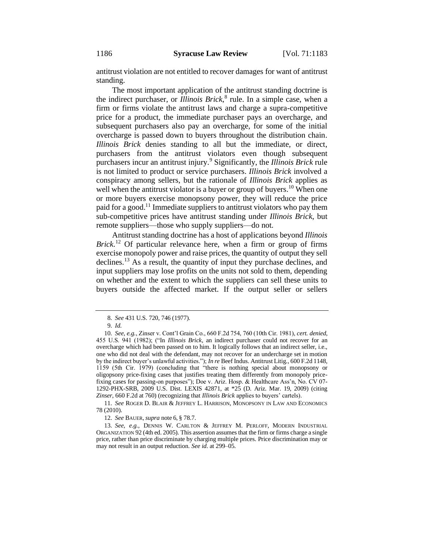antitrust violation are not entitled to recover damages for want of antitrust standing.

The most important application of the antitrust standing doctrine is the indirect purchaser, or *Illinois Brick*, 8 rule. In a simple case, when a firm or firms violate the antitrust laws and charge a supra-competitive price for a product, the immediate purchaser pays an overcharge, and subsequent purchasers also pay an overcharge, for some of the initial overcharge is passed down to buyers throughout the distribution chain. *Illinois Brick* denies standing to all but the immediate, or direct, purchasers from the antitrust violators even though subsequent purchasers incur an antitrust injury.<sup>9</sup> Significantly, the *Illinois Brick* rule is not limited to product or service purchasers. *Illinois Brick* involved a conspiracy among sellers, but the rationale of *Illinois Brick* applies as well when the antitrust violator is a buyer or group of buyers.<sup>10</sup> When one or more buyers exercise monopsony power, they will reduce the price paid for a good.<sup>11</sup> Immediate suppliers to antitrust violators who pay them sub-competitive prices have antitrust standing under *Illinois Brick*, but remote suppliers—those who supply suppliers—do not.

Antitrust standing doctrine has a host of applications beyond *Illinois Brick*. <sup>12</sup> Of particular relevance here, when a firm or group of firms exercise monopoly power and raise prices, the quantity of output they sell declines.<sup>13</sup> As a result, the quantity of input they purchase declines, and input suppliers may lose profits on the units not sold to them, depending on whether and the extent to which the suppliers can sell these units to buyers outside the affected market. If the output seller or sellers

11. *See* ROGER D. BLAIR & JEFFREY L. HARRISON, MONOPSONY IN LAW AND ECONOMICS 78 (2010).

12. *See* BAUER, *supra* note 6, § 78.7.

13. *See*, *e.g.*, DENNIS W. CARLTON & JEFFREY M. PERLOFF, MODERN INDUSTRIAL ORGANIZATION 92 (4th ed. 2005). This assertion assumes that the firm or firms charge a single price, rather than price discriminate by charging multiple prices. Price discrimination may or may not result in an output reduction. *See id*. at 299–05.

<sup>8.</sup> *See* 431 U.S. 720, 746 (1977).

<sup>9.</sup> *Id.*

<sup>10.</sup> *See*, *e.g.*, Zinser v. Cont'l Grain Co., 660 F.2d 754, 760 (10th Cir. 1981), *cert. denied*, 455 U.S. 941 (1982); ("In *Illinois Brick*, an indirect purchaser could not recover for an overcharge which had been passed on to him. It logically follows that an indirect seller, i.e., one who did not deal with the defendant, may not recover for an undercharge set in motion by the indirect buyer's unlawful activities."); *In re* Beef Indus. Antitrust Litig., 600 F.2d 1148, 1159 (5th Cir. 1979) (concluding that "there is nothing special about monopsony or oligopsony price-fixing cases that justifies treating them differently from monopoly pricefixing cases for passing-on purposes"); Doe v. Ariz. Hosp. & Healthcare Ass'n, No. CV 07- 1292-PHX-SRB, 2009 U.S. Dist. LEXIS 42871, at \*25 (D. Ariz. Mar. 19, 2009) (citing *Zinser*, 660 F.2d at 760) (recognizing that *Illinois Brick* applies to buyers' cartels).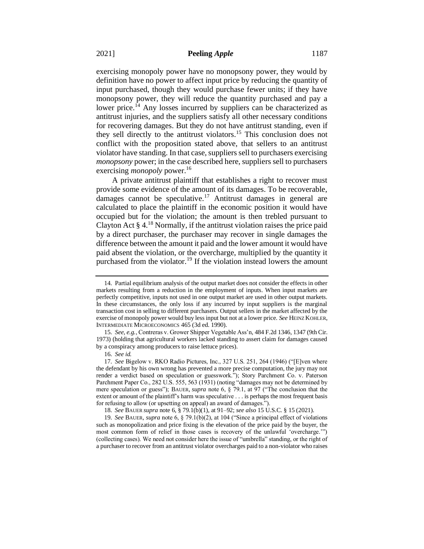exercising monopoly power have no monopsony power, they would by definition have no power to affect input price by reducing the quantity of input purchased, though they would purchase fewer units; if they have monopsony power, they will reduce the quantity purchased and pay a lower price.<sup>14</sup> Any losses incurred by suppliers can be characterized as antitrust injuries, and the suppliers satisfy all other necessary conditions for recovering damages. But they do not have antitrust standing, even if they sell directly to the antitrust violators.<sup>15</sup> This conclusion does not conflict with the proposition stated above, that sellers to an antitrust violator have standing. In that case, suppliers sell to purchasers exercising *monopsony* power; in the case described here, suppliers sell to purchasers exercising *monopoly* power.<sup>16</sup>

A private antitrust plaintiff that establishes a right to recover must provide some evidence of the amount of its damages. To be recoverable, damages cannot be speculative.<sup>17</sup> Antitrust damages in general are calculated to place the plaintiff in the economic position it would have occupied but for the violation; the amount is then trebled pursuant to Clayton Act  $\S 4$ .<sup>18</sup> Normally, if the antitrust violation raises the price paid by a direct purchaser, the purchaser may recover in single damages the difference between the amount it paid and the lower amount it would have paid absent the violation, or the overcharge, multiplied by the quantity it purchased from the violator.<sup>19</sup> If the violation instead lowers the amount

<sup>14.</sup> Partial equilibrium analysis of the output market does not consider the effects in other markets resulting from a reduction in the employment of inputs. When input markets are perfectly competitive, inputs not used in one output market are used in other output markets. In these circumstances, the only loss if any incurred by input suppliers is the marginal transaction cost in selling to different purchasers. Output sellers in the market affected by the exercise of monopoly power would buy less input but not at a lower price. *See* HEINZ KOHLER, INTERMEDIATE MICROECONOMICS 465 (3d ed. 1990).

<sup>15.</sup> *See*, *e.g.*, Contreras v. Grower Shipper Vegetable Ass'n, 484 F.2d 1346, 1347 (9th Cir. 1973) (holding that agricultural workers lacked standing to assert claim for damages caused by a conspiracy among producers to raise lettuce prices).

<sup>16.</sup> *See id.* 

<sup>17.</sup> *See* Bigelow v. RKO Radio Pictures, Inc., 327 U.S. 251, 264 (1946) ("[E]ven where the defendant by his own wrong has prevented a more precise computation, the jury may not render a verdict based on speculation or guesswork."); Story Parchment Co. v. Paterson Parchment Paper Co., 282 U.S. 555, 563 (1931) (noting "damages may not be determined by mere speculation or guess"); BAUER, *supra* note 6, § 79.1, at 97 ("The conclusion that the extent or amount of the plaintiff's harm was speculative . . . is perhaps the most frequent basis for refusing to allow (or upsetting on appeal) an award of damages.").

<sup>18.</sup> *See* BAUER *supra* note 6, § 79.1(b)(1), at 91–92; *see also* 15 U.S.C. § 15 (2021).

<sup>19.</sup> *See* BAUER, *supra* note 6, § 79.1(b)(2), at 104 ("Since a principal effect of violations such as monopolization and price fixing is the elevation of the price paid by the buyer, the most common form of relief in those cases is recovery of the unlawful 'overcharge.'") (collecting cases). We need not consider here the issue of "umbrella" standing, or the right of a purchaser to recover from an antitrust violator overcharges paid to a non-violator who raises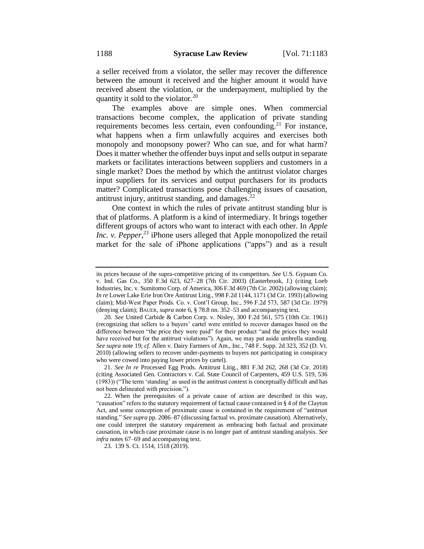a seller received from a violator, the seller may recover the difference between the amount it received and the higher amount it would have received absent the violation, or the underpayment, multiplied by the quantity it sold to the violator.<sup>20</sup>

The examples above are simple ones. When commercial transactions become complex, the application of private standing requirements becomes less certain, even confounding.<sup>21</sup> For instance, what happens when a firm unlawfully acquires and exercises both monopoly and monopsony power? Who can sue, and for what harm? Does it matter whether the offender buys input and sells output in separate markets or facilitates interactions between suppliers and customers in a single market? Does the method by which the antitrust violator charges input suppliers for its services and output purchasers for its products matter? Complicated transactions pose challenging issues of causation, antitrust injury, antitrust standing, and damages. $^{22}$ 

One context in which the rules of private antitrust standing blur is that of platforms. A platform is a kind of intermediary. It brings together different groups of actors who want to interact with each other. In *Apple*  Inc. v. Pepper,<sup>23</sup> iPhone users alleged that Apple monopolized the retail market for the sale of iPhone applications ("apps") and as a result

23. 139 S. Ct. 1514, 1518 (2019).

its prices because of the supra-competitive pricing of its competitors. *See* U.S. Gypsum Co. v. Ind. Gas Co., 350 F.3d 623, 627–28 (7th Cir. 2003) (Easterbrook, J.) (citing Loeb Industries, Inc. v. Sumitomo Corp. of America, 306 F.3d 469 (7th Cir. 2002) (allowing claim); *In re* Lower Lake Erie Iron Ore Antitrust Litig., 998 F.2d 1144, 1171 (3d Cir. 1993) (allowing claim); Mid-West Paper Prods. Co. v. Cont'l Group, Inc., 596 F.2d 573, 587 (3d Cir. 1979) (denying claim); BAUER, *supra* note 6, § 78.8 nn. 352–53 and accompanying text.

<sup>20.</sup> *See* United Carbide & Carbon Corp. v. Nisley, 300 F.2d 561, 575 (10th Cir. 1961) (recognizing that sellers to a buyers' cartel were entitled to recover damages based on the difference between "the price they were paid" for their product "and the prices they would have received but for the antitrust violations"). Again, we may put aside umbrella standing. *See supra* note 19; *cf*. Allen v. Dairy Farmers of Am., Inc., 748 F. Supp. 2d 323, 352 (D. Vt. 2010) (allowing sellers to recover under-payments to buyers not participating in conspiracy who were cowed into paying lower prices by cartel).

<sup>21.</sup> *See In re* Processed Egg Prods. Antitrust Litig., 881 F.3d 262, 268 (3d Cir. 2018) (citing Associated Gen. Contractors v. Cal. State Council of Carpenters, 459 U.S. 519, 536 (1983)) ("The term 'standing' as used in the antitrust context is conceptually difficult and has not been delineated with precision.").

<sup>22.</sup> When the prerequisites of a private cause of action are described in this way, "causation" refers to the statutory requirement of factual cause contained in § 4 of the Clayton Act, and some conception of proximate cause is contained in the requirement of "antitrust standing." *See supra* pp. 2086–87 (discussing factual vs. proximate causation). Alternatively, one could interpret the statutory requirement as embracing both factual and proximate causation, in which case proximate cause is no longer part of antitrust standing analysis. *See infra* notes 67–69 and accompanying text.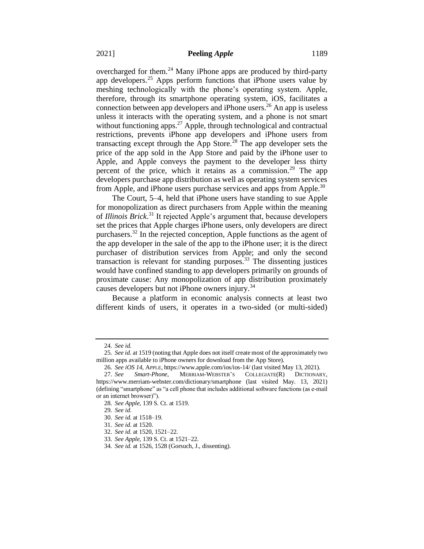overcharged for them.<sup>24</sup> Many iPhone apps are produced by third-party app developers.<sup>25</sup> Apps perform functions that iPhone users value by meshing technologically with the phone's operating system. Apple, therefore, through its smartphone operating system, iOS, facilitates a connection between app developers and iPhone users.<sup>26</sup> An app is useless unless it interacts with the operating system, and a phone is not smart without functioning apps. $27$  Apple, through technological and contractual restrictions, prevents iPhone app developers and iPhone users from transacting except through the App Store.<sup>28</sup> The app developer sets the price of the app sold in the App Store and paid by the iPhone user to Apple, and Apple conveys the payment to the developer less thirty percent of the price, which it retains as a commission.<sup>29</sup> The app developers purchase app distribution as well as operating system services from Apple, and iPhone users purchase services and apps from Apple.<sup>30</sup>

The Court, 5–4, held that iPhone users have standing to sue Apple for monopolization as direct purchasers from Apple within the meaning of *Illinois Brick*. <sup>31</sup> It rejected Apple's argument that, because developers set the prices that Apple charges iPhone users, only developers are direct purchasers.<sup>32</sup> In the rejected conception, Apple functions as the agent of the app developer in the sale of the app to the iPhone user; it is the direct purchaser of distribution services from Apple; and only the second transaction is relevant for standing purposes.<sup>33</sup> The dissenting justices would have confined standing to app developers primarily on grounds of proximate cause: Any monopolization of app distribution proximately causes developers but not iPhone owners injury.<sup>34</sup>

Because a platform in economic analysis connects at least two different kinds of users, it operates in a two-sided (or multi-sided)

<sup>24.</sup> *See id.* 

<sup>25.</sup> *See id*. at 1519 (noting that Apple does not itself create most of the approximately two million apps available to iPhone owners for download from the App Store).

<sup>26.</sup> *See iOS 14*, APPLE, https://www.apple.com/ios/ios-14/ (last visited May 13, 2021).

<sup>27.</sup> *See Smart-Phone*, MERRIAM-WEBSTER'S COLLEGIATE(R) DICTIONARY, https://www.merriam-webster.com/dictionary/smartphone (last visited May. 13, 2021) (defining "smartphone" as "a cell phone that includes additional software functions (as e-mail or an internet browser)").

<sup>28.</sup> *See Apple,* 139 S. Ct. at 1519.

<sup>29.</sup> *See id*.

<sup>30.</sup> *See id.* at 1518–19.

<sup>31.</sup> *See id*. at 1520.

<sup>32.</sup> *See id*. at 1520, 1521–22.

<sup>33.</sup> *See Apple*, 139 S. Ct. at 1521–22.

<sup>34.</sup> *See id.* at 1526, 1528 (Gorsuch, J., dissenting).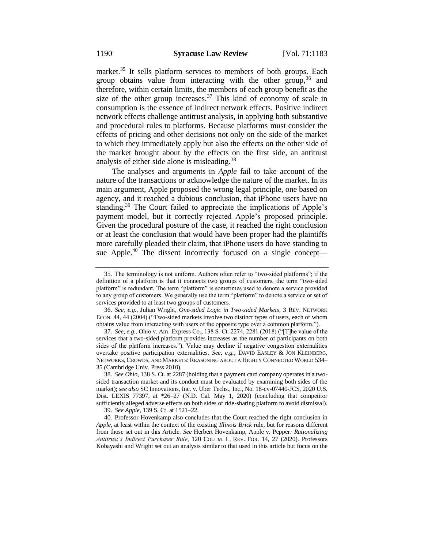market.<sup>35</sup> It sells platform services to members of both groups. Each group obtains value from interacting with the other group,<sup>36</sup> and therefore, within certain limits, the members of each group benefit as the size of the other group increases.<sup>37</sup> This kind of economy of scale in consumption is the essence of indirect network effects. Positive indirect network effects challenge antitrust analysis, in applying both substantive and procedural rules to platforms. Because platforms must consider the effects of pricing and other decisions not only on the side of the market to which they immediately apply but also the effects on the other side of the market brought about by the effects on the first side, an antitrust analysis of either side alone is misleading.<sup>38</sup>

The analyses and arguments in *Apple* fail to take account of the nature of the transactions or acknowledge the nature of the market. In its main argument, Apple proposed the wrong legal principle, one based on agency, and it reached a dubious conclusion, that iPhone users have no standing.<sup>39</sup> The Court failed to appreciate the implications of Apple's payment model, but it correctly rejected Apple's proposed principle. Given the procedural posture of the case, it reached the right conclusion or at least the conclusion that would have been proper had the plaintiffs more carefully pleaded their claim, that iPhone users do have standing to sue Apple.<sup>40</sup> The dissent incorrectly focused on a single concept—

<sup>35.</sup> The terminology is not uniform. Authors often refer to "two-sided platforms"; if the definition of a platform is that it connects two groups of customers, the term "two-sided platform" is redundant. The term "platform" is sometimes used to denote a service provided to any group of customers. We generally use the term "platform" to denote a service or set of services provided to at least two groups of customers.

<sup>36.</sup> *See*, *e.g.*, Julian Wright, *One-sided Logic in Two-sided Markets*, 3 REV. NETWORK ECON. 44, 44 (2004) ("Two-sided markets involve two distinct types of users, each of whom obtains value from interacting with users of the opposite type over a common platform.").

<sup>37.</sup> *See*, *e.g.*, Ohio v. Am. Express Co., 138 S. Ct. 2274, 2281 (2018) ("[T]he value of the services that a two-sided platform provides increases as the number of participants on both sides of the platform increases."). Value may decline if negative congestion externalities overtake positive participation externalities. *See*, *e.g.*, DAVID EASLEY & JON KLEINBERG, NETWORKS, CROWDS, AND MARKETS: REASONING ABOUT A HIGHLY CONNECTED WORLD 534– 35 (Cambridge Univ. Press 2010).

<sup>38.</sup> *See Ohio*, 138 S. Ct. at 2287 (holding that a payment card company operates in a twosided transaction market and its conduct must be evaluated by examining both sides of the market); *see also* SC Innovations, Inc. v. Uber Techs., Inc., No. 18-cv-07440-JCS, 2020 U.S. Dist. LEXIS 77397, at \*26–27 (N.D. Cal. May 1, 2020) (concluding that competitor sufficiently alleged adverse effects on both sides of ride-sharing platform to avoid dismissal).

<sup>39.</sup> *See Apple*, 139 S. Ct. at 1521–22.

<sup>40.</sup> Professor Hovenkamp also concludes that the Court reached the right conclusion in *Apple*, at least within the context of the existing *Illinois Brick* rule, but for reasons different from those set out in this Article. *See* Herbert Hovenkamp, Apple v. Pepper*: Rationalizing Antitrust's Indirect Purchaser Rule*, 120 COLUM. L. REV. FOR. 14, 27 (2020). Professors Kobayashi and Wright set out an analysis similar to that used in this article but focus on the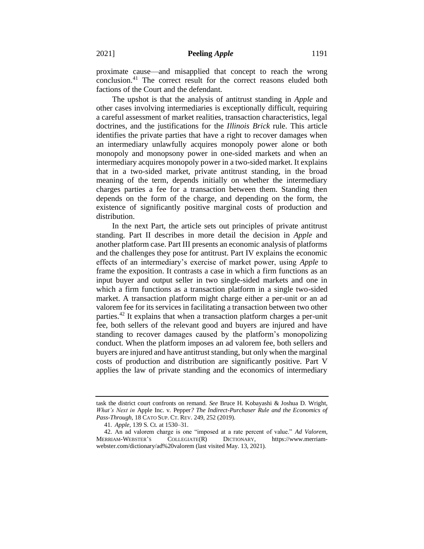proximate cause—and misapplied that concept to reach the wrong conclusion.<sup>41</sup> The correct result for the correct reasons eluded both factions of the Court and the defendant.

The upshot is that the analysis of antitrust standing in *Apple* and other cases involving intermediaries is exceptionally difficult, requiring a careful assessment of market realities, transaction characteristics, legal doctrines, and the justifications for the *Illinois Brick* rule. This article identifies the private parties that have a right to recover damages when an intermediary unlawfully acquires monopoly power alone or both monopoly and monopsony power in one-sided markets and when an intermediary acquires monopoly power in a two-sided market. It explains that in a two-sided market, private antitrust standing, in the broad meaning of the term, depends initially on whether the intermediary charges parties a fee for a transaction between them. Standing then depends on the form of the charge, and depending on the form, the existence of significantly positive marginal costs of production and distribution.

In the next Part, the article sets out principles of private antitrust standing. Part II describes in more detail the decision in *Apple* and another platform case. Part III presents an economic analysis of platforms and the challenges they pose for antitrust. Part IV explains the economic effects of an intermediary's exercise of market power, using *Apple* to frame the exposition. It contrasts a case in which a firm functions as an input buyer and output seller in two single-sided markets and one in which a firm functions as a transaction platform in a single two-sided market. A transaction platform might charge either a per-unit or an ad valorem fee for its services in facilitating a transaction between two other parties.<sup>42</sup> It explains that when a transaction platform charges a per-unit fee, both sellers of the relevant good and buyers are injured and have standing to recover damages caused by the platform's monopolizing conduct. When the platform imposes an ad valorem fee, both sellers and buyers are injured and have antitrust standing, but only when the marginal costs of production and distribution are significantly positive. Part V applies the law of private standing and the economics of intermediary

task the district court confronts on remand. *See* Bruce H. Kobayashi & Joshua D. Wright, *What's Next in* Apple Inc. v. Pepper*? The Indirect-Purchaser Rule and the Economics of Pass-Through*, 18 CATO SUP. CT. REV. 249, 252 (2019).

<sup>41.</sup> *Apple*, 139 S. Ct. at 1530–31.

<sup>42.</sup> An ad valorem charge is one "imposed at a rate percent of value." *Ad Valorem*, MERRIAM-WEBSTER'S COLLEGIATE(R) DICTIONARY, https://www.merriamwebster.com/dictionary/ad%20valorem (last visited May. 13, 2021).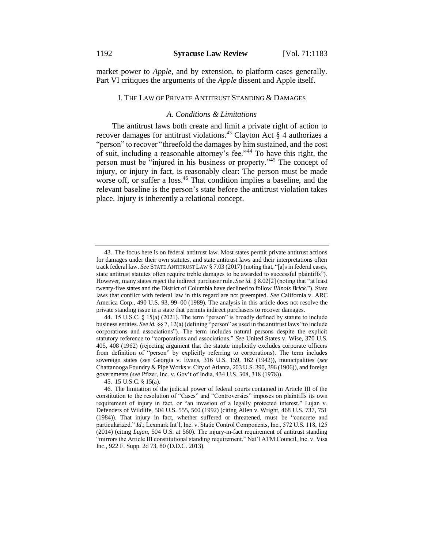market power to *Apple*, and by extension, to platform cases generally. Part VI critiques the arguments of the *Apple* dissent and Apple itself.

#### I. THE LAW OF PRIVATE ANTITRUST STANDING & DAMAGES

#### *A. Conditions & Limitations*

The antitrust laws both create and limit a private right of action to recover damages for antitrust violations.<sup>43</sup> Clayton Act  $\S$  4 authorizes a "person" to recover "threefold the damages by him sustained, and the cost of suit, including a reasonable attorney's fee."<sup>44</sup> To have this right, the person must be "injured in his business or property."<sup>45</sup> The concept of injury, or injury in fact, is reasonably clear: The person must be made worse off, or suffer a loss.<sup>46</sup> That condition implies a baseline, and the relevant baseline is the person's state before the antitrust violation takes place. Injury is inherently a relational concept.

45. 15 U.S.C. § 15(a).

<sup>43.</sup> The focus here is on federal antitrust law. Most states permit private antitrust actions for damages under their own statutes, and state antitrust laws and their interpretations often track federal law. *See* STATE ANTITRUST LAW § 7.03 (2017) (noting that, "[a]s in federal cases, state antitrust statutes often require treble damages to be awarded to successful plaintiffs"). However, many states reject the indirect purchaser rule. *See id*. § 8.02[2] (noting that "at least twenty-five states and the District of Columbia have declined to follow *Illinois Brick*."). State laws that conflict with federal law in this regard are not preempted. *See* California v. ARC America Corp., 490 U.S. 93, 99–00 (1989). The analysis in this article does not resolve the private standing issue in a state that permits indirect purchasers to recover damages.

<sup>44.</sup> 15 U.S.C. § 15(a) (2021). The term "person" is broadly defined by statute to include business entities. *See id.* §§ 7, 12(a) (defining "person" as used in the antitrust laws "to include corporations and associations"). The term includes natural persons despite the explicit statutory reference to "corporations and associations." *See* United States v. Wise, 370 U.S. 405, 408 (1962) (rejecting argument that the statute implicitly excludes corporate officers from definition of "person" by explicitly referring to corporations). The term includes sovereign states (*see* Georgia v. Evans, 316 U.S. 159, 162 (1942)), municipalities (*see*  Chattanooga Foundry & Pipe Works v. City of Atlanta, 203 U.S. 390, 396 (1906)), and foreign governments (*see* Pfizer, Inc. v. Gov't of India, 434 U.S. 308, 318 (1978)).

<sup>46.</sup> The limitation of the judicial power of federal courts contained in Article III of the constitution to the resolution of "Cases" and "Controversies" imposes on plaintiffs its own requirement of injury in fact, or "an invasion of a legally protected interest." Lujan v. Defenders of Wildlife, 504 U.S. 555, 560 (1992) (citing Allen v. Wright, 468 U.S. 737, 751 (1984)). That injury in fact, whether suffered or threatened, must be "concrete and particularized." *Id*.; Lexmark Int'l, Inc. v. Static Control Components, Inc., 572 U.S. 118, 125 (2014) (citing *Lujan*, 504 U.S. at 560). The injury-in-fact requirement of antitrust standing "mirrors the Article III constitutional standing requirement." Nat'l ATM Council, Inc. v. Visa Inc., 922 F. Supp. 2d 73, 80 (D.D.C. 2013).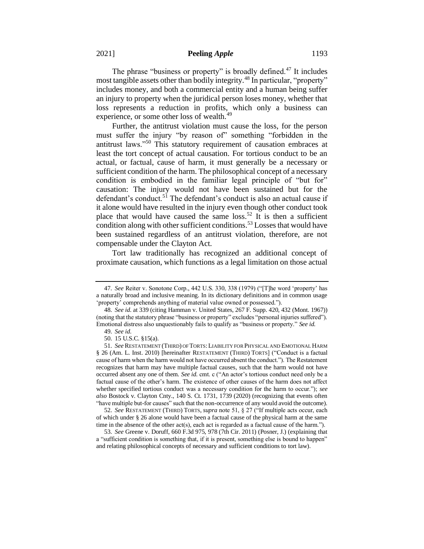The phrase "business or property" is broadly defined.<sup>47</sup> It includes most tangible assets other than bodily integrity.<sup>48</sup> In particular, "property" includes money, and both a commercial entity and a human being suffer an injury to property when the juridical person loses money, whether that loss represents a reduction in profits, which only a business can experience, or some other loss of wealth.<sup>49</sup>

Further, the antitrust violation must cause the loss, for the person must suffer the injury "by reason of" something "forbidden in the antitrust laws."<sup>50</sup> This statutory requirement of causation embraces at least the tort concept of actual causation. For tortious conduct to be an actual, or factual, cause of harm, it must generally be a necessary or sufficient condition of the harm. The philosophical concept of a necessary condition is embodied in the familiar legal principle of "but for" causation: The injury would not have been sustained but for the defendant's conduct.<sup>51</sup> The defendant's conduct is also an actual cause if it alone would have resulted in the injury even though other conduct took place that would have caused the same loss.<sup>52</sup> It is then a sufficient condition along with other sufficient conditions.<sup>53</sup> Losses that would have been sustained regardless of an antitrust violation, therefore, are not compensable under the Clayton Act.

Tort law traditionally has recognized an additional concept of proximate causation, which functions as a legal limitation on those actual

<sup>47.</sup> *See* Reiter v. Sonotone Corp., 442 U.S. 330, 338 (1979) ("[T]he word 'property' has a naturally broad and inclusive meaning. In its dictionary definitions and in common usage 'property' comprehends anything of material value owned or possessed.").

<sup>48.</sup> *See id*. at 339 (citing Hamman v. United States, 267 F. Supp. 420, 432 (Mont. 1967)) (noting that the statutory phrase "business or property" excludes "personal injuries suffered"). Emotional distress also unquestionably fails to qualify as "business or property." *See id.*

<sup>49.</sup> *See id*.

<sup>50.</sup> 15 U.S.C. §15(a).

<sup>51.</sup> *See* RESTATEMENT (THIRD) OF TORTS:LIABILITY FOR PHYSICAL AND EMOTIONAL HARM § 26 (Am. L. Inst. 2010) [hereinafter RESTATEMENT (THIRD) TORTS] ("Conduct is a factual cause of harm when the harm would not have occurred absent the conduct."). The Restatement recognizes that harm may have multiple factual causes, such that the harm would not have occurred absent any one of them. *See id.* cmt. c ("An actor's tortious conduct need only be a factual cause of the other's harm. The existence of other causes of the harm does not affect whether specified tortious conduct was a necessary condition for the harm to occur."); *see also* Bostock v. Clayton Cnty., 140 S. Ct. 1731, 1739 (2020) (recognizing that events often "have multiple but-for causes" such that the non-occurrence of any would avoid the outcome).

<sup>52.</sup> *See* RESTATEMENT (THIRD) TORTS, *supra* note 51, § 27 ("If multiple acts occur, each of which under § 26 alone would have been a factual cause of the physical harm at the same time in the absence of the other act(s), each act is regarded as a factual cause of the harm.").

<sup>53.</sup> *See* Greene v. Doruff, 660 F.3d 975, 978 (7th Cir. 2011) (Posner, J.) (explaining that a "sufficient condition is something that, if it is present, something else is bound to happen" and relating philosophical concepts of necessary and sufficient conditions to tort law).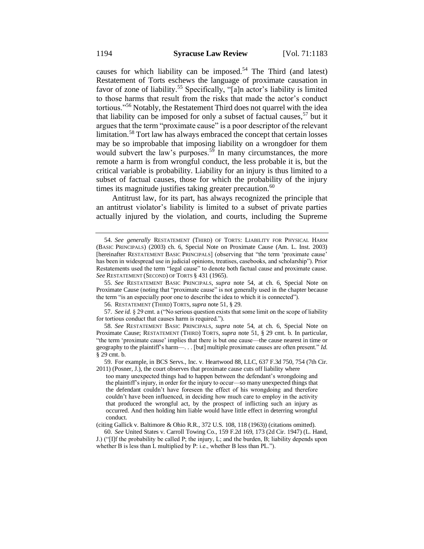causes for which liability can be imposed.<sup>54</sup> The Third (and latest) Restatement of Torts eschews the language of proximate causation in favor of zone of liability.<sup>55</sup> Specifically, "[a]n actor's liability is limited to those harms that result from the risks that made the actor's conduct tortious."<sup>56</sup> Notably, the Restatement Third does not quarrel with the idea that liability can be imposed for only a subset of factual causes,  $57$  but it argues that the term "proximate cause" is a poor descriptor of the relevant limitation.<sup>58</sup> Tort law has always embraced the concept that certain losses may be so improbable that imposing liability on a wrongdoer for them would subvert the law's purposes.<sup>59</sup> In many circumstances, the more remote a harm is from wrongful conduct, the less probable it is, but the critical variable is probability. Liability for an injury is thus limited to a subset of factual causes, those for which the probability of the injury times its magnitude justifies taking greater precaution.<sup>60</sup>

Antitrust law, for its part, has always recognized the principle that an antitrust violator's liability is limited to a subset of private parties actually injured by the violation, and courts, including the Supreme

(citing Gallick v. Baltimore & Ohio R.R., 372 U.S. 108, 118 (1963)) (citations omitted).

<sup>54.</sup> *See generally* RESTATEMENT (THIRD) OF TORTS: LIABILITY FOR PHYSICAL HARM (BASIC PRINCIPALS) (2003) ch. 6, Special Note on Proximate Cause (Am. L. Inst. 2003) [hereinafter RESTATEMENT BASIC PRINCIPALS] (observing that "the term 'proximate cause' has been in widespread use in judicial opinions, treatises, casebooks, and scholarship"). Prior Restatements used the term "legal cause" to denote both factual cause and proximate cause. *See* RESTATEMENT (SECOND) OF TORTS § 431 (1965).

<sup>55.</sup> *See* RESTATEMENT BASIC PRINCIPALS, *supra* note 54, at ch. 6, Special Note on Proximate Cause (noting that "proximate cause" is not generally used in the chapter because the term "is an especially poor one to describe the idea to which it is connected").

<sup>56.</sup> RESTATEMENT (THIRD) TORTS, *supra* note 51, § 29.

<sup>57.</sup> *See id.* § 29 cmt. a ("No serious question exists that some limit on the scope of liability for tortious conduct that causes harm is required.").

<sup>58.</sup> *See* RESTATEMENT BASIC PRINCIPALS, *supra* note 54, at ch. 6, Special Note on Proximate Cause; RESTATEMENT (THIRD) TORTS, *supra* note 51, § 29 cmt. b. In particular, "the term 'proximate cause' implies that there is but one cause—the cause nearest in time or geography to the plaintiff's harm—. . . [but] multiple proximate causes are often present." *Id*. § 29 cmt. b.

<sup>59.</sup> For example, in BCS Servs., Inc. v. Heartwood 88, LLC, 637 F.3d 750, 754 (7th Cir. 2011) (Posner, J.), the court observes that proximate cause cuts off liability where

too many unexpected things had to happen between the defendant's wrongdoing and the plaintiff's injury, in order for the injury to occur—so many unexpected things that the defendant couldn't have foreseen the effect of his wrongdoing and therefore couldn't have been influenced, in deciding how much care to employ in the activity that produced the wrongful act, by the prospect of inflicting such an injury as occurred. And then holding him liable would have little effect in deterring wrongful conduct.

<sup>60.</sup> *See* United States v. Carroll Towing Co., 159 F.2d 169, 173 (2d Cir. 1947) (L. Hand, J.) ("[I]f the probability be called P; the injury, L; and the burden, B; liability depends upon whether B is less than L multiplied by P: i.e., whether B less than PL.").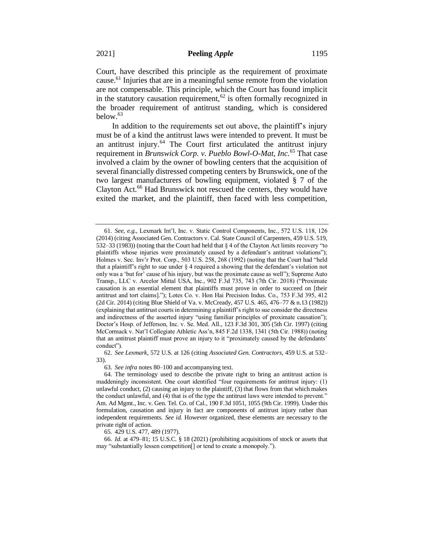Court, have described this principle as the requirement of proximate cause.<sup>61</sup> Injuries that are in a meaningful sense remote from the violation are not compensable. This principle, which the Court has found implicit in the statutory causation requirement,<sup>62</sup> is often formally recognized in the broader requirement of antitrust standing, which is considered below.<sup>63</sup>

In addition to the requirements set out above, the plaintiff's injury must be of a kind the antitrust laws were intended to prevent. It must be an antitrust injury.<sup>64</sup> The Court first articulated the antitrust injury requirement in *Brunswick Corp. v. Pueblo Bowl-O-Mat, Inc.*<sup>65</sup> That case involved a claim by the owner of bowling centers that the acquisition of several financially distressed competing centers by Brunswick, one of the two largest manufacturers of bowling equipment, violated § 7 of the Clayton Act.<sup>66</sup> Had Brunswick not rescued the centers, they would have exited the market, and the plaintiff, then faced with less competition,

62. *See Lexmark*, 572 U.S. at 126 (citing *Associated Gen. Contractors*, 459 U.S. at 532– 33).

63. *See infra* notes 80–100 and accompanying text.

65. 429 U.S. 477, 489 (1977).

66. *Id.* at 479–81; 15 U.S.C. § 18 (2021) (prohibiting acquisitions of stock or assets that may "substantially lessen competition[] or tend to create a monopoly.").

<sup>61.</sup> *See*, *e.g.*, Lexmark Int'l, Inc. v. Static Control Components, Inc., 572 U.S. 118, 126 (2014) (citing Associated Gen. Contractors v. Cal. State Council of Carpenters, 459 U.S. 519, 532–33 (1983)) (noting that the Court had held that § 4 of the Clayton Act limits recovery "to plaintiffs whose injuries were proximately caused by a defendant's antitrust violations"); Holmes v. Sec. Inv'r Prot. Corp., 503 U.S. 258, 268 (1992) (noting that the Court had "held that a plaintiff's right to sue under § 4 required a showing that the defendant's violation not only was a 'but for' cause of his injury, but was the proximate cause as well"); Supreme Auto Transp., LLC v. Arcelor Mittal USA, Inc., 902 F.3d 735, 743 (7th Cir. 2018) ("Proximate causation is an essential element that plaintiffs must prove in order to succeed on [their antitrust and tort claims]."); Lotes Co. v. Hon Hai Precision Indus. Co., 753 F.3d 395, 412 (2d Cir. 2014) (citing Blue Shield of Va. v. McCready, 457 U.S. 465, 476–77 & n.13 (1982)) (explaining that antitrust courts in determining a plaintiff's right to sue consider the directness and indirectness of the asserted injury "using familiar principles of proximate causation"); Doctor's Hosp. of Jefferson, Inc. v. Se. Med. All., 123 F.3d 301, 305 (5th Cir. 1997) (citing McCormack v. Nat'l Collegiate Athletic Ass'n, 845 F.2d 1338, 1341 (5th Cir. 1988)) (noting that an antitrust plaintiff must prove an injury to it "proximately caused by the defendants' conduct").

<sup>64.</sup> The terminology used to describe the private right to bring an antitrust action is maddeningly inconsistent. One court identified "four requirements for antitrust injury: (1) unlawful conduct, (2) causing an injury to the plaintiff, (3) that flows from that which makes the conduct unlawful, and (4) that is of the type the antitrust laws were intended to prevent." Am. Ad Mgmt., Inc. v. Gen. Tel. Co. of Cal., 190 F.3d 1051, 1055 (9th Cir. 1999). Under this formulation, causation and injury in fact are components of antitrust injury rather than independent requirements. *See id.* However organized, these elements are necessary to the private right of action.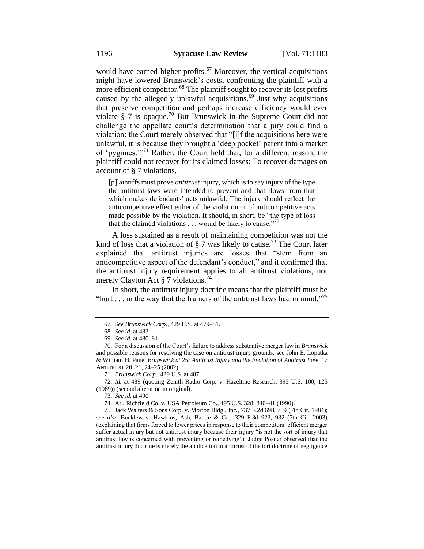would have earned higher profits.<sup>67</sup> Moreover, the vertical acquisitions might have lowered Brunswick's costs, confronting the plaintiff with a more efficient competitor.<sup>68</sup> The plaintiff sought to recover its lost profits caused by the allegedly unlawful acquisitions.<sup>69</sup> Just why acquisitions that preserve competition and perhaps increase efficiency would ever violate § 7 is opaque.<sup>70</sup> But Brunswick in the Supreme Court did not challenge the appellate court's determination that a jury could find a violation; the Court merely observed that "[i]f the acquisitions here were unlawful, it is because they brought a 'deep pocket' parent into a market of 'pygmies.'"<sup>71</sup> Rather, the Court held that, for a different reason, the plaintiff could not recover for its claimed losses: To recover damages on account of § 7 violations,

[p]laintiffs must prove *antitrust* injury, which is to say injury of the type the antitrust laws were intended to prevent and that flows from that which makes defendants' acts unlawful. The injury should reflect the anticompetitive effect either of the violation or of anticompetitive acts made possible by the violation. It should, in short, be "the type of loss that the claimed violations  $\dots$  would be likely to cause."<sup>72</sup>

A loss sustained as a result of maintaining competition was not the kind of loss that a violation of  $\S 7$  was likely to cause.<sup>73</sup> The Court later explained that antitrust injuries are losses that "stem from an anticompetitive aspect of the defendant's conduct," and it confirmed that the antitrust injury requirement applies to all antitrust violations, not merely Clayton Act  $\S 7$  violations.<sup>74</sup>

In short, the antitrust injury doctrine means that the plaintiff must be "hurt . . . in the way that the framers of the antitrust laws had in mind."<sup>75</sup>

72. *Id.* at 489 (quoting Zenith Radio Corp. v. Hazeltine Research, 395 U.S. 100, 125 (1969)) (second alteration in original).

74. Atl. Richfield Co. v. USA Petroleum Co., 495 U.S. 328, 340–41 (1990).

75. Jack Walters & Sons Corp. v. Morton Bldg., Inc., 737 F.2d 698, 709 (7th Cir. 1984); *see also* Bucklew v. Hawkins, Ash, Baptie & Co., 329 F.3d 923, 932 (7th Cir. 2003) (explaining that firms forced to lower prices in response to their competitors' efficient merger suffer actual injury but not antitrust injury because their injury "is not the sort of injury that antitrust law is concerned with preventing or remedying"). Judge Posner observed that the antitrust injury doctrine is merely the application to antitrust of the tort doctrine of negligence

<sup>67.</sup> *See Brunswick Corp.*, 429 U.S. at 479–81.

<sup>68.</sup> *See id.* at 483.

<sup>69.</sup> *See id.* at 480–81.

<sup>70.</sup> For a discussion of the Court's failure to address substantive merger law in *Brunswick*  and possible reasons for resolving the case on antitrust injury grounds, see John E. Lopatka & William H. Page, *Brunswick at 25: Antitrust Injury and the Evolution of Antitrust Law*, 17 ANTITRUST 20, 21, 24–25 (2002).

<sup>71.</sup> *Brunswick Corp.*, 429 U.S. at 487.

<sup>73.</sup> *See id.* at 490.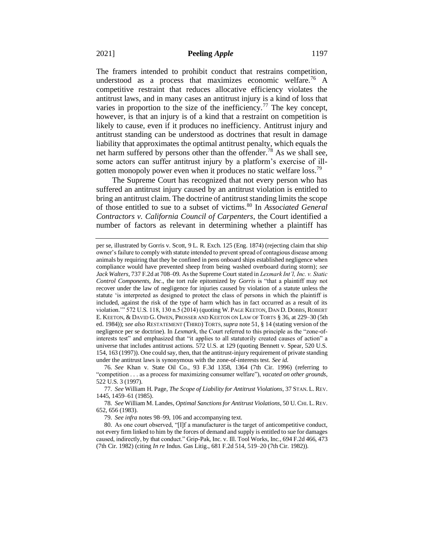The framers intended to prohibit conduct that restrains competition, understood as a process that maximizes economic welfare.<sup>76</sup> A competitive restraint that reduces allocative efficiency violates the antitrust laws, and in many cases an antitrust injury is a kind of loss that varies in proportion to the size of the inefficiency.<sup>77</sup> The key concept, however, is that an injury is of a kind that a restraint on competition is likely to cause, even if it produces no inefficiency. Antitrust injury and antitrust standing can be understood as doctrines that result in damage liability that approximates the optimal antitrust penalty, which equals the net harm suffered by persons other than the offender.<sup>78</sup> As we shall see, some actors can suffer antitrust injury by a platform's exercise of illgotten monopoly power even when it produces no static welfare loss.<sup>79</sup>

The Supreme Court has recognized that not every person who has suffered an antitrust injury caused by an antitrust violation is entitled to bring an antitrust claim. The doctrine of antitrust standing limits the scope of those entitled to sue to a subset of victims.<sup>80</sup> In *Associated General Contractors v. California Council of Carpenters*, the Court identified a number of factors as relevant in determining whether a plaintiff has

79. *See infra* notes 98–99, 106 and accompanying text.

per se, illustrated by Gorris v. Scott, 9 L. R. Exch. 125 (Eng. 1874) (rejecting claim that ship owner's failure to comply with statute intended to prevent spread of contagious disease among animals by requiring that they be confined in pens onboard ships established negligence when compliance would have prevented sheep from being washed overboard during storm); *see Jack Walters*, 737 F.2d at 708–09. As the Supreme Court stated in *Lexmark Int'l, Inc. v. Static Control Components, Inc*., the tort rule epitomized by *Gorris* is "that a plaintiff may not recover under the law of negligence for injuries caused by violation of a statute unless the statute 'is interpreted as designed to protect the class of persons in which the plaintiff is included, against the risk of the type of harm which has in fact occurred as a result of its violation.'" 572 U.S. 118, 130 n.5 (2014) (quoting W. PAGE KEETON, DAN D. DOBBS, ROBERT E. KEETON, & DAVID G. OWEN, PROSSER AND KEETON ON LAW OF TORTS § 36, at 229–30 (5th ed. 1984)); *see also* RESTATEMENT (THIRD) TORTS, *supra* note 51, § 14 (stating version of the negligence per se doctrine). In *Lexmark*, the Court referred to this principle as the "zone-ofinterests test" and emphasized that "it applies to all statutorily created causes of action" a universe that includes antitrust actions. 572 U.S. at 129 (quoting Bennett v. Spear, 520 U.S. 154, 163 (1997)). One could say, then, that the antitrust-injury requirement of private standing under the antitrust laws is synonymous with the zone-of-interests test. *See id.*

<sup>76.</sup> *See* Khan v. State Oil Co., 93 F.3d 1358, 1364 (7th Cir. 1996) (referring to "competition . . . as a process for maximizing consumer welfare"), *vacated on other grounds*, 522 U.S. 3 (1997).

<sup>77.</sup> *See* William H. Page, *The Scope of Liability for Antitrust Violations*, 37 STAN. L. REV. 1445, 1459–61 (1985).

<sup>78.</sup> *See* William M. Landes, *Optimal Sanctions for Antitrust Violations*, 50 U. CHI. L.REV. 652, 656 (1983).

<sup>80.</sup> As one court observed, "[I]f a manufacturer is the target of anticompetitive conduct, not every firm linked to him by the forces of demand and supply is entitled to sue for damages caused, indirectly, by that conduct." Grip-Pak, Inc. v. Ill. Tool Works, Inc., 694 F.2d 466, 473 (7th Cir. 1982) (citing *In re* Indus. Gas Litig., 681 F.2d 514, 519–20 (7th Cir. 1982)).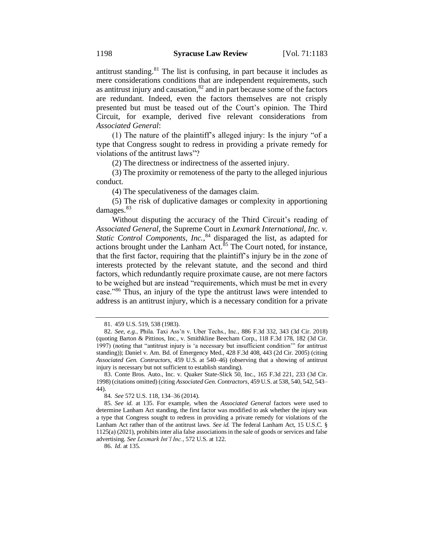antitrust standing. $81$  The list is confusing, in part because it includes as mere considerations conditions that are independent requirements, such as antitrust injury and causation, $82$  and in part because some of the factors are redundant. Indeed, even the factors themselves are not crisply presented but must be teased out of the Court's opinion. The Third Circuit, for example, derived five relevant considerations from *Associated General*:

(1) The nature of the plaintiff's alleged injury: Is the injury "of a type that Congress sought to redress in providing a private remedy for violations of the antitrust laws"?

(2) The directness or indirectness of the asserted injury.

(3) The proximity or remoteness of the party to the alleged injurious conduct.

(4) The speculativeness of the damages claim.

(5) The risk of duplicative damages or complexity in apportioning damages.<sup>83</sup>

Without disputing the accuracy of the Third Circuit's reading of *Associated General*, the Supreme Court in *Lexmark International, Inc. v.*  Static Control Components, Inc.,<sup>84</sup> disparaged the list, as adapted for actions brought under the Lanham Act. $85$  The Court noted, for instance, that the first factor, requiring that the plaintiff's injury be in the zone of interests protected by the relevant statute, and the second and third factors, which redundantly require proximate cause, are not mere factors to be weighed but are instead "requirements, which must be met in every case."<sup>86</sup> Thus, an injury of the type the antitrust laws were intended to address is an antitrust injury, which is a necessary condition for a private

84. *See* 572 U.S. 118, 134–36 (2014).

<sup>81.</sup> 459 U.S. 519, 538 (1983).

<sup>82.</sup> *See*, *e.g.*, Phila. Taxi Ass'n v. Uber Techs., Inc., 886 F.3d 332, 343 (3d Cir. 2018) (quoting Barton & Pittinos, Inc., v. Smithkline Beecham Corp., 118 F.3d 178, 182 (3d Cir. 1997) (noting that "antitrust injury is 'a necessary but insufficient condition'" for antitrust standing)); Daniel v. Am. Bd. of Emergency Med., 428 F.3d 408, 443 (2d Cir. 2005) (citing *Associated Gen. Contractors*, 459 U.S. at 540–46) (observing that a showing of antitrust injury is necessary but not sufficient to establish standing).

<sup>83.</sup> Conte Bros. Auto., Inc. v. Quaker State-Slick 50, Inc., 165 F.3d 221, 233 (3d Cir. 1998) (citations omitted) (citing *Associated Gen. Contractors*, 459 U.S. at 538, 540, 542, 543– 44).

<sup>85.</sup> *See id*. at 135. For example, when the *Associated General* factors were used to determine Lanham Act standing, the first factor was modified to ask whether the injury was a type that Congress sought to redress in providing a private remedy for violations of the Lanham Act rather than of the antitrust laws. *See id.* The federal Lanham Act, 15 U.S.C. § 1125(a) (2021), prohibits inter alia false associations in the sale of goods or services and false advertising. *See Lexmark Int'l Inc.*, 572 U.S. at 122.

<sup>86.</sup> *Id*. at 135.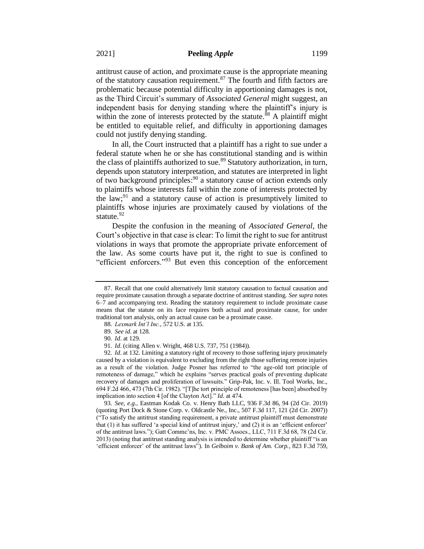antitrust cause of action, and proximate cause is the appropriate meaning of the statutory causation requirement. $87$  The fourth and fifth factors are problematic because potential difficulty in apportioning damages is not, as the Third Circuit's summary of *Associated General* might suggest, an independent basis for denying standing where the plaintiff's injury is within the zone of interests protected by the statute.<sup>88</sup> A plaintiff might be entitled to equitable relief, and difficulty in apportioning damages could not justify denying standing.

In all, the Court instructed that a plaintiff has a right to sue under a federal statute when he or she has constitutional standing and is within the class of plaintiffs authorized to sue.<sup>89</sup> Statutory authorization, in turn, depends upon statutory interpretation, and statutes are interpreted in light of two background principles: <sup>90</sup> a statutory cause of action extends only to plaintiffs whose interests fall within the zone of interests protected by the law;<sup>91</sup> and a statutory cause of action is presumptively limited to plaintiffs whose injuries are proximately caused by violations of the statute. $92$ 

Despite the confusion in the meaning of *Associated General*, the Court's objective in that case is clear: To limit the right to sue for antitrust violations in ways that promote the appropriate private enforcement of the law. As some courts have put it, the right to sue is confined to "efficient enforcers."<sup>93</sup> But even this conception of the enforcement

93. *See*, *e.g.*, Eastman Kodak Co. v. Henry Bath LLC, 936 F.3d 86, 94 (2d Cir. 2019) (quoting Port Dock & Stone Corp. v. Oldcastle Ne., Inc., 507 F.3d 117, 121 (2d Cir. 2007)) ("To satisfy the antitrust standing requirement, a private antitrust plaintiff must demonstrate that (1) it has suffered 'a special kind of antitrust injury,' and (2) it is an 'efficient enforcer' of the antitrust laws."); Gatt Commc'ns, Inc. v. PMC Assocs., LLC, 711 F.3d 68, 78 (2d Cir. 2013) (noting that antitrust standing analysis is intended to determine whether plaintiff "is an 'efficient enforcer' of the antitrust laws"). In *Gelboim v. Bank of Am. Corp.*, 823 F.3d 759,

<sup>87.</sup> Recall that one could alternatively limit statutory causation to factual causation and require proximate causation through a separate doctrine of antitrust standing. *See supra* notes 6–7 and accompanying text. Reading the statutory requirement to include proximate cause means that the statute on its face requires both actual and proximate cause, for under traditional tort analysis, only an actual cause can be a proximate cause.

<sup>88.</sup> *Lexmark Int'l Inc.*, 572 U.S. at 135.

<sup>89.</sup> *See id*. at 128.

<sup>90.</sup> *Id*. at 129.

<sup>91.</sup> *Id*. (citing Allen v. Wright, 468 U.S. 737, 751 (1984)).

<sup>92.</sup> *Id*. at 132. Limiting a statutory right of recovery to those suffering injury proximately caused by a violation is equivalent to excluding from the right those suffering remote injuries as a result of the violation. Judge Posner has referred to "the age-old tort principle of remoteness of damage," which he explains "serves practical goals of preventing duplicate recovery of damages and proliferation of lawsuits." Grip-Pak, Inc. v. Ill. Tool Works, Inc., 694 F.2d 466, 473 (7th Cir. 1982). "[T]he tort principle of remoteness [has been] absorbed by implication into section 4 [of the Clayton Act]." *Id*. at 474.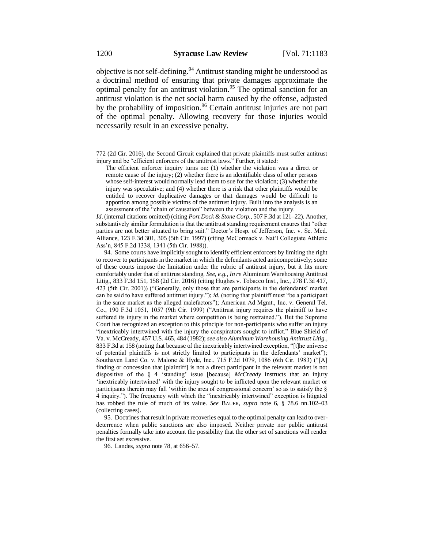objective is not self-defining.<sup>94</sup> Antitrust standing might be understood as a doctrinal method of ensuring that private damages approximate the optimal penalty for an antitrust violation.<sup>95</sup> The optimal sanction for an antitrust violation is the net social harm caused by the offense, adjusted by the probability of imposition.<sup>96</sup> Certain antitrust injuries are not part of the optimal penalty. Allowing recovery for those injuries would necessarily result in an excessive penalty.

*Id*. (internal citations omitted) (citing *Port Dock & Stone Corp.*, 507 F.3d at 121–22). Another, substantively similar formulation is that the antitrust standing requirement ensures that "other parties are not better situated to bring suit." Doctor's Hosp. of Jefferson, Inc. v. Se. Med. Alliance, 123 F.3d 301, 305 (5th Cir. 1997) (citing McCormack v. Nat'l Collegiate Athletic Ass'n, 845 F.2d 1338, 1341 (5th Cir. 1988)).

94. Some courts have implicitly sought to identify efficient enforcers by limiting the right to recover to participants in the market in which the defendants acted anticompetitively; some of these courts impose the limitation under the rubric of antitrust injury, but it fits more comfortably under that of antitrust standing. *See*, *e.g.*, *In re* Aluminum Warehousing Antitrust Litig., 833 F.3d 151, 158 (2d Cir. 2016) (citing Hughes v. Tobacco Inst., Inc., 278 F.3d 417, 423 (5th Cir. 2001)) ("Generally, only those that are participants in the defendants' market can be said to have suffered antitrust injury."); *id.* (noting that plaintiff must "be a participant in the same market as the alleged malefactors"); American Ad Mgmt., Inc. v. General Tel. Co., 190 F.3d 1051, 1057 (9th Cir. 1999) ("Antitrust injury requires the plaintiff to have suffered its injury in the market where competition is being restrained."). But the Supreme Court has recognized an exception to this principle for non-participants who suffer an injury "inextricably intertwined with the injury the conspirators sought to inflict." Blue Shield of Va. v. McCready, 457 U.S. 465, 484 (1982); *see also Aluminum Warehousing Antitrust Litig.*, 833 F.3d at 158 (noting that because of the inextricably intertwined exception, "[t]he universe of potential plaintiffs is not strictly limited to participants in the defendants' market"); Southaven Land Co. v. Malone & Hyde, Inc., 715 F.2d 1079, 1086 (6th Cir. 1983) ("[A] finding or concession that [plaintiff] is not a direct participant in the relevant market is not dispositive of the § 4 'standing' issue [because] *McCready* instructs that an injury 'inextricably intertwined' with the injury sought to be inflicted upon the relevant market or participants therein may fall 'within the area of congressional concern' so as to satisfy the § 4 inquiry."). The frequency with which the "inextricably intertwined" exception is litigated has robbed the rule of much of its value. *See* BAUER, *supra* note 6, § 78.6 nn.102–03 (collecting cases).

95. Doctrines that result in private recoveries equal to the optimal penalty can lead to overdeterrence when public sanctions are also imposed. Neither private nor public antitrust penalties formally take into account the possibility that the other set of sanctions will render the first set excessive.

96. Landes, *supra* note 78, at 656–57.

<sup>772 (2</sup>d Cir. 2016), the Second Circuit explained that private plaintiffs must suffer antitrust injury and be "efficient enforcers of the antitrust laws." Further, it stated:

The efficient enforcer inquiry turns on: (1) whether the violation was a direct or remote cause of the injury; (2) whether there is an identifiable class of other persons whose self-interest would normally lead them to sue for the violation; (3) whether the injury was speculative; and (4) whether there is a risk that other plaintiffs would be entitled to recover duplicative damages or that damages would be difficult to apportion among possible victims of the antitrust injury. Built into the analysis is an assessment of the "chain of causation" between the violation and the injury.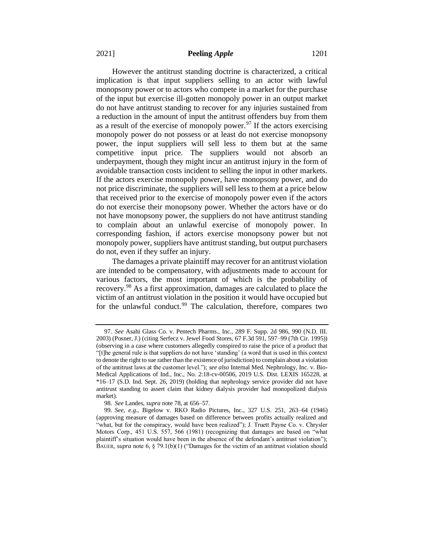However the antitrust standing doctrine is characterized, a critical implication is that input suppliers selling to an actor with lawful monopsony power or to actors who compete in a market for the purchase of the input but exercise ill-gotten monopoly power in an output market do not have antitrust standing to recover for any injuries sustained from a reduction in the amount of input the antitrust offenders buy from them as a result of the exercise of monopoly power.<sup>97</sup> If the actors exercising monopoly power do not possess or at least do not exercise monopsony power, the input suppliers will sell less to them but at the same competitive input price. The suppliers would not absorb an underpayment, though they might incur an antitrust injury in the form of avoidable transaction costs incident to selling the input in other markets. If the actors exercise monopoly power, have monopsony power, and do not price discriminate, the suppliers will sell less to them at a price below that received prior to the exercise of monopoly power even if the actors do not exercise their monopsony power. Whether the actors have or do not have monopsony power, the suppliers do not have antitrust standing to complain about an unlawful exercise of monopoly power. In corresponding fashion, if actors exercise monopsony power but not monopoly power, suppliers have antitrust standing, but output purchasers do not, even if they suffer an injury.

The damages a private plaintiff may recover for an antitrust violation are intended to be compensatory, with adjustments made to account for various factors, the most important of which is the probability of recovery.<sup>98</sup> As a first approximation, damages are calculated to place the victim of an antitrust violation in the position it would have occupied but for the unlawful conduct.<sup>99</sup> The calculation, therefore, compares two

<sup>97.</sup> *See* Asahi Glass Co. v. Pentech Pharms., Inc., 289 F. Supp. 2d 986, 990 (N.D. III. 2003) (Posner, J.) (citing Serfecz v. Jewel Food Stores, 67 F.3d 591, 597–99 (7th Cir. 1995)) (observing in a case where customers allegedly conspired to raise the price of a product that "[t]he general rule is that suppliers do not have 'standing' (a word that is used in this context to denote the right to sue rather than the existence of jurisdiction) to complain about a violation of the antitrust laws at the customer level."); *see also* Internal Med. Nephrology, Inc. v. Bio-Medical Applications of Ind., Inc., No. 2:18-cv-00506, 2019 U.S. Dist. LEXIS 165228, at \*16–17 (S.D. Ind. Sept. 26, 2019) (holding that nephrology service provider did not have antitrust standing to assert claim that kidney dialysis provider had monopolized dialysis market).

<sup>98.</sup> *See* Landes, *supra* note 78, at 656–57.

<sup>99.</sup> *See*, *e.g.*, Bigelow v. RKO Radio Pictures, Inc., 327 U.S. 251, 263–64 (1946) (approving measure of damages based on difference between profits actually realized and "what, but for the conspiracy, would have been realized"); J. Truett Payne Co. v. Chrysler Motors Corp., 451 U.S. 557, 566 (1981) (recognizing that damages are based on "what plaintiff's situation would have been in the absence of the defendant's antitrust violation"); BAUER, *supra* note 6,  $\S$  79.1(b)(1) ("Damages for the victim of an antitrust violation should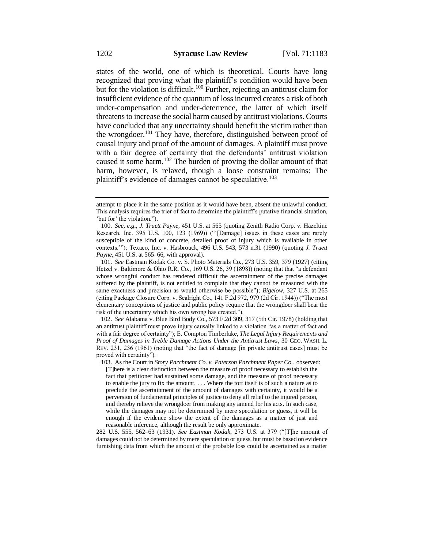states of the world, one of which is theoretical. Courts have long recognized that proving what the plaintiff's condition would have been but for the violation is difficult.<sup>100</sup> Further, rejecting an antitrust claim for insufficient evidence of the quantum of loss incurred creates a risk of both under-compensation and under-deterrence, the latter of which itself threatens to increase the social harm caused by antitrust violations. Courts have concluded that any uncertainty should benefit the victim rather than the wrongdoer.<sup>101</sup> They have, therefore, distinguished between proof of causal injury and proof of the amount of damages. A plaintiff must prove with a fair degree of certainty that the defendants' antitrust violation caused it some harm.<sup>102</sup> The burden of proving the dollar amount of that harm, however, is relaxed, though a loose constraint remains: The plaintiff's evidence of damages cannot be speculative.<sup>103</sup>

102. *See* Alabama v. Blue Bird Body Co., 573 F.2d 309, 317 (5th Cir. 1978) (holding that an antitrust plaintiff must prove injury causally linked to a violation "as a matter of fact and with a fair degree of certainty"); E. Compton Timberlake, *The Legal Injury Requirements and Proof of Damages in Treble Damage Actions Under the Antitrust Laws*, 30 GEO. WASH. L. REV. 231, 236 (1961) (noting that "the fact of damage [in private antitrust cases] must be proved with certainty").

282 U.S. 555, 562–63 (1931). *See Eastman Kodak*, 273 U.S. at 379 ("[T]he amount of damages could not be determined by mere speculation or guess, but must be based on evidence furnishing data from which the amount of the probable loss could be ascertained as a matter

attempt to place it in the same position as it would have been, absent the unlawful conduct. This analysis requires the trier of fact to determine the plaintiff's putative financial situation, 'but for' the violation.").

<sup>100.</sup> *See*, *e.g.*, *J. Truett Payne*, 451 U.S. at 565 (quoting Zenith Radio Corp. v. Hazeltine Research, Inc. 395 U.S. 100, 123 (1969)) ("'[Damage] issues in these cases are rarely susceptible of the kind of concrete, detailed proof of injury which is available in other contexts.'"); Texaco, Inc. v. Hasbrouck, 496 U.S. 543, 573 n.31 (1990) (quoting *J. Truett Payne*, 451 U.S. at 565–66, with approval).

<sup>101.</sup> *See* Eastman Kodak Co. v. S. Photo Materials Co., 273 U.S. 359, 379 (1927) (citing Hetzel v. Baltimore & Ohio R.R. Co., 169 U.S. 26, 39 (1898)) (noting that that "a defendant whose wrongful conduct has rendered difficult the ascertainment of the precise damages suffered by the plaintiff, is not entitled to complain that they cannot be measured with the same exactness and precision as would otherwise be possible"); *Bigelow*, 327 U.S. at 265 (citing Package Closure Corp. v. Sealright Co., 141 F.2d 972, 979 (2d Cir. 1944)) ("The most elementary conceptions of justice and public policy require that the wrongdoer shall bear the risk of the uncertainty which his own wrong has created.").

<sup>103.</sup> As the Court in *Story Parchment Co. v. Paterson Parchment Paper Co.*, observed: [T]here is a clear distinction between the measure of proof necessary to establish the fact that petitioner had sustained some damage, and the measure of proof necessary to enable the jury to fix the amount. . . . Where the tort itself is of such a nature as to preclude the ascertainment of the amount of damages with certainty, it would be a perversion of fundamental principles of justice to deny all relief to the injured person, and thereby relieve the wrongdoer from making any amend for his acts. In such case, while the damages may not be determined by mere speculation or guess, it will be enough if the evidence show the extent of the damages as a matter of just and reasonable inference, although the result be only approximate.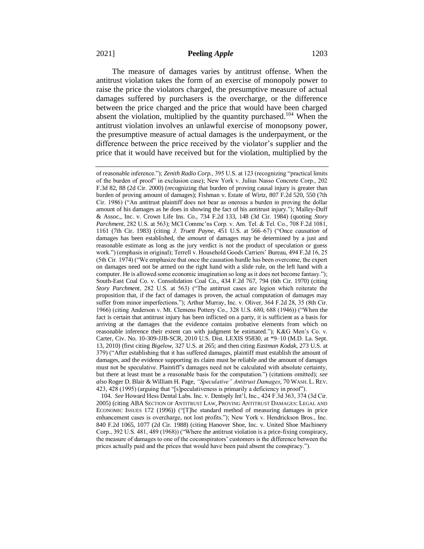The measure of damages varies by antitrust offense. When the antitrust violation takes the form of an exercise of monopoly power to raise the price the violators charged, the presumptive measure of actual damages suffered by purchasers is the overcharge, or the difference between the price charged and the price that would have been charged absent the violation, multiplied by the quantity purchased.<sup>104</sup> When the antitrust violation involves an unlawful exercise of monopsony power, the presumptive measure of actual damages is the underpayment, or the difference between the price received by the violator's supplier and the price that it would have received but for the violation, multiplied by the

104. *See* Howard Hess Dental Labs. Inc. v. Dentsply Int'l, Inc., 424 F.3d 363, 374 (3d Cir. 2005) (citing ABA SECTION OF ANTITRUST LAW, PROVING ANTITRUST DAMAGES: LEGAL AND ECONOMIC ISSUES 172 (1996)) ("[T]he standard method of measuring damages in price enhancement cases is overcharge, not lost profits."); New York v. Hendrickson Bros., Inc. 840 F.2d 1065, 1077 (2d Cir. 1988) (citing Hanover Shoe, Inc. v. United Shoe Machinery Corp., 392 U.S. 481, 489 (1968)) ("Where the antitrust violation is a price-fixing conspiracy, the measure of damages to one of the coconspirators' customers is the difference between the prices actually paid and the prices that would have been paid absent the conspiracy.").

of reasonable inference."); *Zenith Radio Corp.*, 395 U.S. at 123 (recognizing "practical limits of the burden of proof" in exclusion case); New York v. Julius Nasso Concrete Corp., 202 F.3d 82, 88 (2d Cir. 2000) (recognizing that burden of proving causal injury is greater than burden of proving amount of damages); Fishman v. Estate of Wirtz, 807 F.2d 520, 550 (7th Cir. 1986) ("An antitrust plaintiff does not bear as onerous a burden in proving the dollar amount of his damages as he does in showing the fact of his antitrust injury."); Malley-Duff & Assoc., Inc. v. Crown Life Ins. Co., 734 F.2d 133, 148 (3d Cir. 1984) (quoting *Story Parchment*, 282 U.S. at 563); MCI Commc'ns Corp. v. Am. Tel. & Tel. Co., 708 F.2d 1081, 1161 (7th Cir. 1983) (citing *J. Truett Payne*, 451 U.S. at 566–67) ("Once *causation* of damages has been established, the *amount* of damages may be determined by a just and reasonable estimate as long as the jury verdict is not the product of speculation or guess work.") (emphasis in original); Terrell v. Household Goods Carriers' Bureau, 494 F.2d 16, 25 (5th Cir. 1974) ("We emphasize that once the causation hurdle has been overcome, the expert on damages need not be armed on the right hand with a slide rule, on the left hand with a computer. He is allowed some economic imagination so long as it does not become fantasy."); South-East Coal Co. v. Consolidation Coal Co., 434 F.2d 767, 794 (6th Cir. 1970) (citing *Story Parchment*, 282 U.S. at 563) ("The antitrust cases are legion which reiterate the proposition that, if the fact of damages is proven, the actual computation of damages may suffer from minor imperfections."); Arthur Murray, Inc. v. Oliver, 364 F.2d 28, 35 (8th Cir. 1966) (citing Anderson v. Mt. Clemens Pottery Co., 328 U.S. 680, 688 (1946)) ("When the fact is certain that antitrust injury has been inflicted on a party, it is sufficient as a basis for arriving at the damages that the evidence contains probative elements from which on reasonable inference their extent can with judgment be estimated."); K&G Men's Co. v. Carter, Civ. No. 10-309-JJB-SCR, 2010 U.S. Dist. LEXIS 95830, at \*9–10 (M.D. La. Sept. 13, 2010) (first citing *Bigelow*, 327 U.S. at 265; and then citing *Eastman Kodak*, 273 U.S. at 379) ("After establishing that it has suffered damages, plaintiff must establish the amount of damages, and the evidence supporting its claim must be reliable and the amount of damages must not be speculative. Plaintiff's damages need not be calculated with absolute certainty, but there at least must be a reasonable basis for the computation.") (citations omitted); *see also* Roger D. Blair & William H. Page, *"Speculative" Antitrust Damages*, 70 WASH. L. REV. 423, 428 (1995) (arguing that "[s]peculativeness is primarily a deficiency in proof").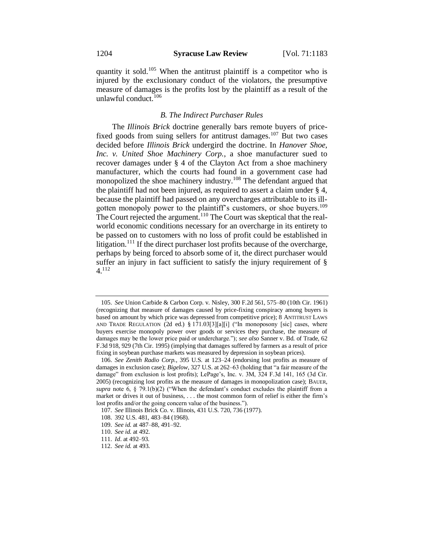quantity it sold.<sup>105</sup> When the antitrust plaintiff is a competitor who is injured by the exclusionary conduct of the violators, the presumptive measure of damages is the profits lost by the plaintiff as a result of the unlawful conduct.<sup>106</sup>

#### *B. The Indirect Purchaser Rules*

The *Illinois Brick* doctrine generally bars remote buyers of pricefixed goods from suing sellers for antitrust damages.<sup>107</sup> But two cases decided before *Illinois Brick* undergird the doctrine. In *Hanover Shoe, Inc. v. United Shoe Machinery Corp.*, a shoe manufacturer sued to recover damages under § 4 of the Clayton Act from a shoe machinery manufacturer, which the courts had found in a government case had monopolized the shoe machinery industry.<sup>108</sup> The defendant argued that the plaintiff had not been injured, as required to assert a claim under § 4, because the plaintiff had passed on any overcharges attributable to its illgotten monopoly power to the plaintiff's customers, or shoe buyers.<sup>109</sup> The Court rejected the argument.<sup>110</sup> The Court was skeptical that the realworld economic conditions necessary for an overcharge in its entirety to be passed on to customers with no loss of profit could be established in litigation.<sup>111</sup> If the direct purchaser lost profits because of the overcharge, perhaps by being forced to absorb some of it, the direct purchaser would suffer an injury in fact sufficient to satisfy the injury requirement of § 4.<sup>112</sup>

<sup>105.</sup> *See* Union Carbide & Carbon Corp. v. Nisley, 300 F.2d 561, 575–80 (10th Cir. 1961) (recognizing that measure of damages caused by price-fixing conspiracy among buyers is based on amount by which price was depressed from competitive price); 8 ANTITRUST LAWS AND TRADE REGULATION (2d ed.) § 171.03[3][a][i] ("In monoposony [sic] cases, where buyers exercise monopoly power over goods or services they purchase, the measure of damages may be the lower price paid or undercharge."); *see also* Sanner v. Bd. of Trade, 62 F.3d 918, 929 (7th Cir. 1995) (implying that damages suffered by farmers as a result of price fixing in soybean purchase markets was measured by depression in soybean prices).

<sup>106.</sup> *See Zenith Radio Corp.*, 395 U.S. at 123–24 (endorsing lost profits as measure of damages in exclusion case); *Bigelow*, 327 U.S. at 262–63 (holding that "a fair measure of the damage" from exclusion is lost profits); LePage's, Inc. v. 3M, 324 F.3d 141, 165 (3d Cir. 2005) (recognizing lost profits as the measure of damages in monopolization case); BAUER, *supra* note 6, § 79.1(b)(2) ("When the defendant's conduct excludes the plaintiff from a market or drives it out of business, . . . the most common form of relief is either the firm's lost profits and/or the going concern value of the business.").

<sup>107.</sup> *See* Illinois Brick Co. v. Illinois, 431 U.S. 720, 736 (1977).

<sup>108.</sup> 392 U.S. 481, 483–84 (1968).

<sup>109.</sup> *See id.* at 487–88, 491–92.

<sup>110.</sup> *See id.* at 492.

<sup>111.</sup> *Id*. at 492–93.

<sup>112.</sup> *See id.* at 493.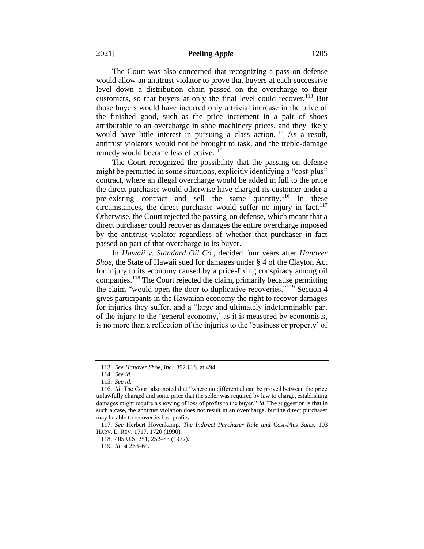The Court was also concerned that recognizing a pass-on defense would allow an antitrust violator to prove that buyers at each successive level down a distribution chain passed on the overcharge to their customers, so that buyers at only the final level could recover.<sup>113</sup> But those buyers would have incurred only a trivial increase in the price of the finished good, such as the price increment in a pair of shoes attributable to an overcharge in shoe machinery prices, and they likely would have little interest in pursuing a class action.<sup>114</sup> As a result, antitrust violators would not be brought to task, and the treble-damage remedy would become less effective.<sup>115</sup>

The Court recognized the possibility that the passing-on defense might be permitted in some situations, explicitly identifying a "cost-plus" contract, where an illegal overcharge would be added in full to the price the direct purchaser would otherwise have charged its customer under a pre-existing contract and sell the same quantity.<sup>116</sup> In these circumstances, the direct purchaser would suffer no injury in fact.<sup>117</sup> Otherwise, the Court rejected the passing-on defense, which meant that a direct purchaser could recover as damages the entire overcharge imposed by the antitrust violator regardless of whether that purchaser in fact passed on part of that overcharge to its buyer.

In *Hawaii v. Standard Oil Co.*, decided four years after *Hanover Shoe*, the State of Hawaii sued for damages under § 4 of the Clayton Act for injury to its economy caused by a price-fixing conspiracy among oil companies.<sup>118</sup> The Court rejected the claim, primarily because permitting the claim "would open the door to duplicative recoveries."<sup>119</sup> Section 4 gives participants in the Hawaiian economy the right to recover damages for injuries they suffer, and a "large and ultimately indeterminable part of the injury to the 'general economy,' as it is measured by economists, is no more than a reflection of the injuries to the 'business or property' of

<sup>113.</sup> *See Hanover Shoe, Inc.*, 392 U.S. at 494.

<sup>114.</sup> *See id.*

<sup>115.</sup> *See id.*

<sup>116.</sup> *Id*. The Court also noted that "where no differential can be proved between the price unlawfully charged and some price that the seller was required by law to charge, establishing damages might require a showing of loss of profits to the buyer." *Id*. The suggestion is that in such a case, the antitrust violation does not result in an overcharge, but the direct purchaser may be able to recover its lost profits.

<sup>117.</sup> *See* Herbert Hovenkamp, *The Indirect Purchaser Rule and Cost-Plus Sales*, 103 HARV. L. REV. 1717, 1720 (1990).

<sup>118.</sup> 405 U.S. 251, 252–53 (1972).

<sup>119.</sup> *Id*. at 263–64.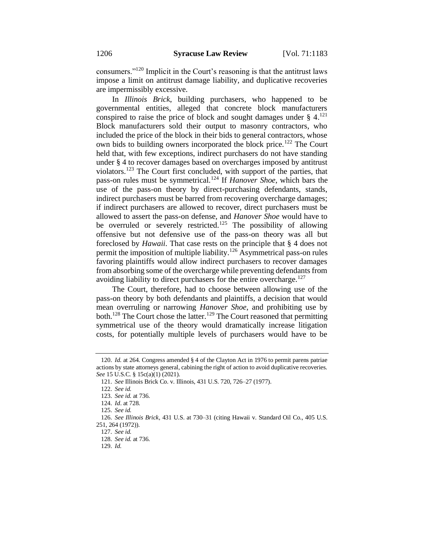consumers."<sup>120</sup> Implicit in the Court's reasoning is that the antitrust laws impose a limit on antitrust damage liability, and duplicative recoveries are impermissibly excessive.

In *Illinois Brick*, building purchasers, who happened to be governmental entities, alleged that concrete block manufacturers conspired to raise the price of block and sought damages under  $\S$  4.<sup>121</sup> Block manufacturers sold their output to masonry contractors, who included the price of the block in their bids to general contractors, whose own bids to building owners incorporated the block price.<sup>122</sup> The Court held that, with few exceptions, indirect purchasers do not have standing under § 4 to recover damages based on overcharges imposed by antitrust violators.<sup>123</sup> The Court first concluded, with support of the parties, that pass-on rules must be symmetrical.<sup>124</sup> If *Hanover Shoe*, which bars the use of the pass-on theory by direct-purchasing defendants, stands, indirect purchasers must be barred from recovering overcharge damages; if indirect purchasers are allowed to recover, direct purchasers must be allowed to assert the pass-on defense, and *Hanover Shoe* would have to be overruled or severely restricted.<sup>125</sup> The possibility of allowing offensive but not defensive use of the pass-on theory was all but foreclosed by *Hawaii*. That case rests on the principle that § 4 does not permit the imposition of multiple liability.<sup>126</sup> Asymmetrical pass-on rules favoring plaintiffs would allow indirect purchasers to recover damages from absorbing some of the overcharge while preventing defendants from avoiding liability to direct purchasers for the entire overcharge.<sup>127</sup>

The Court, therefore, had to choose between allowing use of the pass-on theory by both defendants and plaintiffs, a decision that would mean overruling or narrowing *Hanover Shoe*, and prohibiting use by both.<sup>128</sup> The Court chose the latter.<sup>129</sup> The Court reasoned that permitting symmetrical use of the theory would dramatically increase litigation costs, for potentially multiple levels of purchasers would have to be

<sup>120.</sup> *Id.* at 264. Congress amended § 4 of the Clayton Act in 1976 to permit parens patriae actions by state attorneys general, cabining the right of action to avoid duplicative recoveries. *See* 15 U.S.C. § 15c(a)(1) (2021).

<sup>121.</sup> *See* Illinois Brick Co. v. Illinois, 431 U.S. 720, 726–27 (1977).

<sup>122.</sup> *See id.*

<sup>123.</sup> *See id.* at 736.

<sup>124.</sup> *Id*. at 728.

<sup>125.</sup> *See id.*

<sup>126.</sup> *See Illinois Brick*, 431 U.S. at 730–31 (citing Hawaii v. Standard Oil Co., 405 U.S. 251, 264 (1972)).

<sup>127.</sup> *See id.*

<sup>128.</sup> *See id.* at 736.

<sup>129.</sup> *Id.*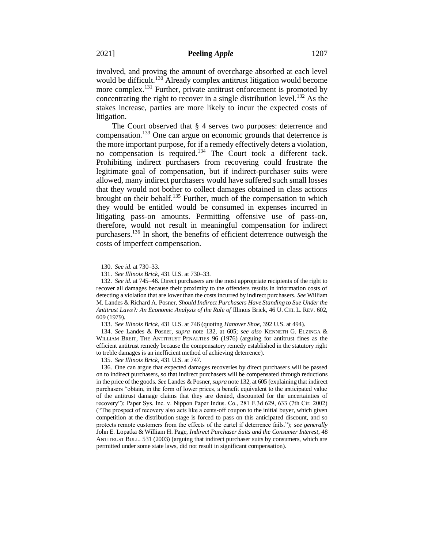litigation. The Court observed that § 4 serves two purposes: deterrence and compensation.<sup>133</sup> One can argue on economic grounds that deterrence is the more important purpose, for if a remedy effectively deters a violation, no compensation is required.<sup>134</sup> The Court took a different tack. Prohibiting indirect purchasers from recovering could frustrate the legitimate goal of compensation, but if indirect-purchaser suits were allowed, many indirect purchasers would have suffered such small losses that they would not bother to collect damages obtained in class actions brought on their behalf.<sup>135</sup> Further, much of the compensation to which they would be entitled would be consumed in expenses incurred in litigating pass-on amounts. Permitting offensive use of pass-on, therefore, would not result in meaningful compensation for indirect purchasers.<sup>136</sup> In short, the benefits of efficient deterrence outweigh the costs of imperfect compensation.

stakes increase, parties are more likely to incur the expected costs of

134. *See* Landes & Posner, *supra* note 132, at 605; *see also* KENNETH G. ELZINGA & WILLIAM BREIT, THE ANTITRUST PENALTIES 96 (1976) (arguing for antitrust fines as the efficient antitrust remedy because the compensatory remedy established in the statutory right to treble damages is an inefficient method of achieving deterrence).

135. *See Illinois Brick*, 431 U.S. at 747.

<sup>130.</sup> *See id*. at 730–33.

<sup>131.</sup> *See Illinois Brick*, 431 U.S. at 730–33.

<sup>132.</sup> *See id.* at 745–46. Direct purchasers are the most appropriate recipients of the right to recover all damages because their proximity to the offenders results in information costs of detecting a violation that are lower than the costs incurred by indirect purchasers. *See* William M. Landes & Richard A. Posner, *Should Indirect Purchasers Have Standing to Sue Under the Antitrust Laws?: An Economic Analysis of the Rule of* Illinois Brick, 46 U. CHI. L. REV. 602, 609 (1979).

<sup>133.</sup> *See Illinois Brick*, 431 U.S. at 746 (quoting *Hanover Shoe,* 392 U.S. at 494).

<sup>136.</sup> One can argue that expected damages recoveries by direct purchasers will be passed on to indirect purchasers, so that indirect purchasers will be compensated through reductions in the price of the goods. *See* Landes & Posner, *supra* note 132, at 605 (explaining that indirect purchasers "obtain, in the form of lower prices, a benefit equivalent to the anticipated value of the antitrust damage claims that they are denied, discounted for the uncertainties of recovery"); Paper Sys. Inc. v. Nippon Paper Indus. Co., 281 F.3d 629, 633 (7th Cir. 2002) ("The prospect of recovery also acts like a cents-off coupon to the initial buyer, which given competition at the distribution stage is forced to pass on this anticipated discount, and so protects remote customers from the effects of the cartel if deterrence fails."); *see generally* John E. Lopatka & William H. Page, *Indirect Purchaser Suits and the Consumer Interest*, 48 ANTITRUST BULL. 531 (2003) (arguing that indirect purchaser suits by consumers, which are permitted under some state laws, did not result in significant compensation).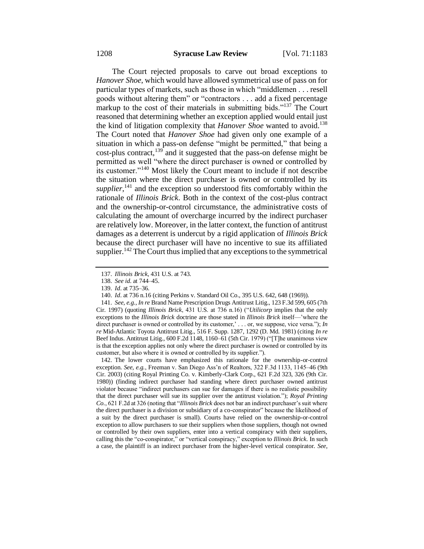The Court rejected proposals to carve out broad exceptions to *Hanover Shoe*, which would have allowed symmetrical use of pass on for particular types of markets, such as those in which "middlemen . . . resell goods without altering them" or "contractors . . . add a fixed percentage markup to the cost of their materials in submitting bids."<sup>137</sup> The Court reasoned that determining whether an exception applied would entail just the kind of litigation complexity that *Hanover Shoe* wanted to avoid.<sup>138</sup> The Court noted that *Hanover Shoe* had given only one example of a situation in which a pass-on defense "might be permitted," that being a cost-plus contract,<sup>139</sup> and it suggested that the pass-on defense might be permitted as well "where the direct purchaser is owned or controlled by its customer."<sup>140</sup> Most likely the Court meant to include if not describe the situation where the direct purchaser is owned or controlled by its supplier,  $141$  and the exception so understood fits comfortably within the rationale of *Illinois Brick*. Both in the context of the cost-plus contract and the ownership-or-control circumstance, the administrative costs of calculating the amount of overcharge incurred by the indirect purchaser are relatively low. Moreover, in the latter context, the function of antitrust damages as a deterrent is undercut by a rigid application of *Illinois Brick*  because the direct purchaser will have no incentive to sue its affiliated supplier.<sup>142</sup> The Court thus implied that any exceptions to the symmetrical

141. *See*, *e.g.*, *In re* Brand Name Prescription Drugs Antitrust Litig., 123 F.3d 599, 605 (7th Cir. 1997) (quoting *Illinois Brick*, 431 U.S. at 736 n.16) ("*Utilicorp* implies that the only exceptions to the *Illinois Brick* doctrine are those stated in *Illinois Brick* itself—'where the direct purchaser is owned or controlled by its customer,' . . . or, we suppose, vice versa."); *In re* Mid-Atlantic Toyota Antitrust Litig., 516 F. Supp. 1287, 1292 (D. Md. 1981) (citing *In re* Beef Indus. Antitrust Litig., 600 F.2d 1148, 1160–61 (5th Cir. 1979) ("[T]he unanimous view is that the exception applies not only where the direct purchaser is owned or controlled by its customer, but also where it is owned or controlled by its supplier.").

142. The lower courts have emphasized this rationale for the ownership-or-control exception. *See*, *e.g.*, Freeman v. San Diego Ass'n of Realtors, 322 F.3d 1133, 1145–46 (9th Cir. 2003) (citing Royal Printing Co. v. Kimberly-Clark Corp., 621 F.2d 323, 326 (9th Cir. 1980)) (finding indirect purchaser had standing where direct purchaser owned antitrust violator because "indirect purchasers can sue for damages if there is no realistic possibility that the direct purchaser will sue its supplier over the antitrust violation."); *Royal Printing Co.*, 621 F.2d at 326 (noting that "*Illinois Brick* does not bar an indirect purchaser's suit where the direct purchaser is a division or subsidiary of a co-conspirator" because the likelihood of a suit by the direct purchaser is small). Courts have relied on the ownership-or-control exception to allow purchasers to sue their suppliers when those suppliers, though not owned or controlled by their own suppliers, enter into a vertical conspiracy with their suppliers, calling this the "co-conspirator," or "vertical conspiracy," exception to *Illinois Brick*. In such a case, the plaintiff is an indirect purchaser from the higher-level vertical conspirator. *See*,

<sup>137.</sup> *Illinois Brick*, 431 U.S. at 743.

<sup>138.</sup> *See id*. at 744–45.

<sup>139.</sup> *Id*. at 735–36.

<sup>140.</sup> *Id*. at 736 n.16 (citing Perkins v. Standard Oil Co., 395 U.S. 642, 648 (1969)).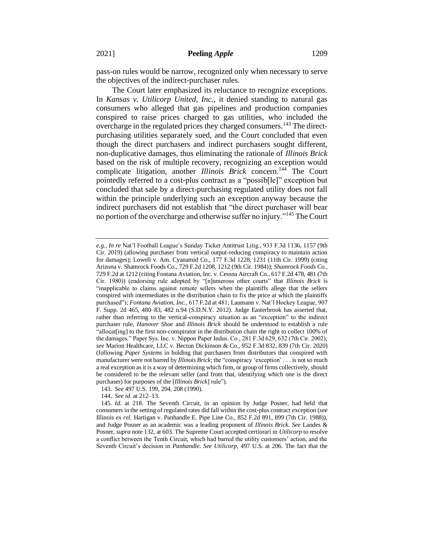pass-on rules would be narrow, recognized only when necessary to serve the objectives of the indirect-purchaser rules.

The Court later emphasized its reluctance to recognize exceptions. In *Kansas v. Utilicorp United, Inc.*, it denied standing to natural gas consumers who alleged that gas pipelines and production companies conspired to raise prices charged to gas utilities, who included the overcharge in the regulated prices they charged consumers.<sup>143</sup> The directpurchasing utilities separately sued, and the Court concluded that even though the direct purchasers and indirect purchasers sought different, non-duplicative damages, thus eliminating the rationale of *Illinois Brick*  based on the risk of multiple recovery, recognizing an exception would complicate litigation, another *Illinois Brick* concern.<sup>144</sup> The Court pointedly referred to a cost-plus contract as a "possib[le]" exception but concluded that sale by a direct-purchasing regulated utility does not fall within the principle underlying such an exception anyway because the indirect purchasers did not establish that "the direct purchaser will bear no portion of the overcharge and otherwise suffer no injury."<sup>145</sup> The Court

143. *See* 497 U.S. 199, 204, 208 (1990).

144. *See id*. at 212–13.

*e.g.*, *In re* Nat'l Football League's Sunday Ticket Antitrust Litig., 933 F.3d 1136, 1157 (9th Cir. 2019) (allowing purchaser from vertical output-reducing conspiracy to maintain action for damages); Lowell v. Am. Cyanamid Co., 177 F.3d 1228, 1231 (11th Cir. 1999) (citing Arizona v. Shamrock Foods Co., 729 F.2d 1208, 1212 (9th Cir. 1984)); *Shamrock Foods Co.,*  729 F.2d at 1212 (citing Fontana Aviation, Inc. v. Cessna Aircraft Co., 617 F.2d 478, 481 (7th Cir. 1980)) (endorsing rule adopted by "[n]umerous other courts" that *Illinois Brick* is "inapplicable to claims against remote sellers when the plaintiffs allege that the sellers conspired with intermediates in the distribution chain to fix the price at which the plaintiffs purchased"); *Fontana Aviation*, *Inc.,* 617 F.2d at 481; Laumann v. Nat'l Hockey League, 907 F. Supp. 2d 465, 480–83, 482 n.94 (S.D.N.Y. 2012). Judge Easterbrook has asserted that, rather than referring to the vertical-conspiracy situation as an "exception" to the indirect purchaser rule, *Hanover Shoe* and *Illinois Brick* should be understood to establish a rule "allocat[ing] to the first non-conspirator in the distribution chain the right to collect 100% of the damages." Paper Sys. Inc. v. Nippon Paper Indus. Co., 281 F.3d 629, 632 (7th Cir. 2002); *see* Marion Healthcare, LLC v. Becton Dickinson & Co., 952 F.3d 832, 839 (7th Cir. 2020) (following *Paper Systems* in holding that purchasers from distributors that conspired with manufacturer were not barred by *Illinois Brick*; the "conspiracy 'exception' . . . is not so much a real exception as it is a way of determining which firm, or group of firms collectively, should be considered to be the relevant seller (and from that, identifying which one is the direct purchaser) for purposes of the [*Illinois Brick*] rule").

<sup>145.</sup> *Id*. at 218. The Seventh Circuit, in an opinion by Judge Posner, had held that consumers in the setting of regulated rates did fall within the cost-plus contract exception (*see* Illinois *ex rel.* Hartigan v. Panhandle E. Pipe Line Co., 852 F.2d 891, 899 (7th Cir. 1988)), and Judge Posner as an academic was a leading proponent of *Illinois Brick*. *See* Landes & Posner, *supra* note 132, at 603. The Supreme Court accepted certiorari in *Utilicorp* to resolve a conflict between the Tenth Circuit, which had barred the utility customers' action, and the Seventh Circuit's decision in *Panhandle*. *See Utilicorp*, 497 U.S. at 206. The fact that the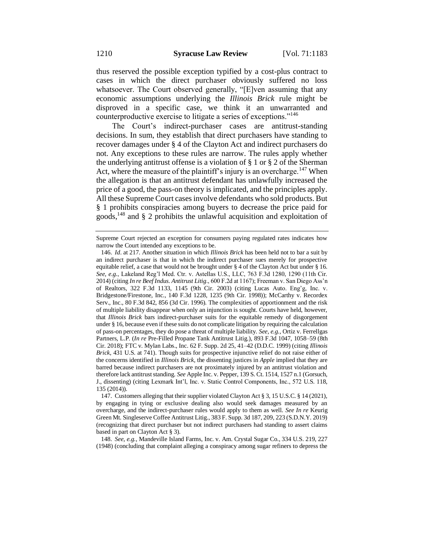thus reserved the possible exception typified by a cost-plus contract to cases in which the direct purchaser obviously suffered no loss whatsoever. The Court observed generally, "[E]ven assuming that any economic assumptions underlying the *Illinois Brick* rule might be disproved in a specific case, we think it an unwarranted and counterproductive exercise to litigate a series of exceptions."<sup>146</sup>

The Court's indirect-purchaser cases are antitrust-standing decisions. In sum, they establish that direct purchasers have standing to recover damages under § 4 of the Clayton Act and indirect purchasers do not. Any exceptions to these rules are narrow. The rules apply whether the underlying antitrust offense is a violation of § 1 or § 2 of the Sherman Act, where the measure of the plaintiff's injury is an overcharge.<sup>147</sup> When the allegation is that an antitrust defendant has unlawfully increased the price of a good, the pass-on theory is implicated, and the principles apply. All these Supreme Court cases involve defendants who sold products. But § 1 prohibits conspiracies among buyers to decrease the price paid for goods,<sup>148</sup> and § 2 prohibits the unlawful acquisition and exploitation of

148. *See*, *e.g.*, Mandeville Island Farms, Inc. v. Am. Crystal Sugar Co., 334 U.S. 219, 227 (1948) (concluding that complaint alleging a conspiracy among sugar refiners to depress the

Supreme Court rejected an exception for consumers paying regulated rates indicates how narrow the Court intended any exceptions to be.

<sup>146.</sup> *Id*. at 217. Another situation in which *Illinois Brick* has been held not to bar a suit by an indirect purchaser is that in which the indirect purchaser sues merely for prospective equitable relief, a case that would not be brought under § 4 of the Clayton Act but under § 16. *See*, *e.g.*, Lakeland Reg'l Med. Ctr. v. Astellas U.S., LLC, 763 F.3d 1280, 1290 (11th Cir. 2014) (citing *In re Beef Indus. Antitrust Litig*., 600 F.2d at 1167); Freeman v. San Diego Ass'n of Realtors, 322 F.3d 1133, 1145 (9th Cir. 2003) (citing Lucas Auto. Eng'g, Inc. v. Bridgestone/Firestone, Inc., 140 F.3d 1228, 1235 (9th Cir. 1998)); McCarthy v. Recordex Serv., Inc., 80 F.3d 842, 856 (3d Cir. 1996). The complexities of apportionment and the risk of multiple liability disappear when only an injunction is sought. Courts have held, however, that *Illinois Brick* bars indirect-purchaser suits for the equitable remedy of disgorgement under § 16, because even if these suits do not complicate litigation by requiring the calculation of pass-on percentages, they do pose a threat of multiple liability. *See*, *e.g.*, Ortiz v. Ferrellgas Partners, L.P. (*In re* Pre-Filled Propane Tank Antitrust Litig.), 893 F.3d 1047, 1058–59 (8th Cir. 2018); FTC v. Mylan Labs., Inc. 62 F. Supp. 2d 25, 41–42 (D.D.C. 1999) (citing *Illinois Brick*, 431 U.S. at 741). Though suits for prospective injunctive relief do not raise either of the concerns identified in *Illinois Brick*, the dissenting justices in *Apple* implied that they are barred because indirect purchasers are not proximately injured by an antitrust violation and therefore lack antitrust standing. *See* Apple Inc. v. Pepper, 139 S. Ct. 1514, 1527 n.1 (Gorsuch, J., dissenting) (citing Lexmark Int'l, Inc. v. Static Control Components, Inc., 572 U.S. 118, 135 (2014)).

<sup>147.</sup> Customers alleging that their supplier violated Clayton Act § 3, 15 U.S.C. § 14 (2021), by engaging in tying or exclusive dealing also would seek damages measured by an overcharge, and the indirect-purchaser rules would apply to them as well. *See In re* Keurig Green Mt. Singleserve Coffee Antitrust Litig., 383 F. Supp. 3d 187, 209, 223 (S.D.N.Y. 2019) (recognizing that direct purchaser but not indirect purchasers had standing to assert claims based in part on Clayton Act § 3).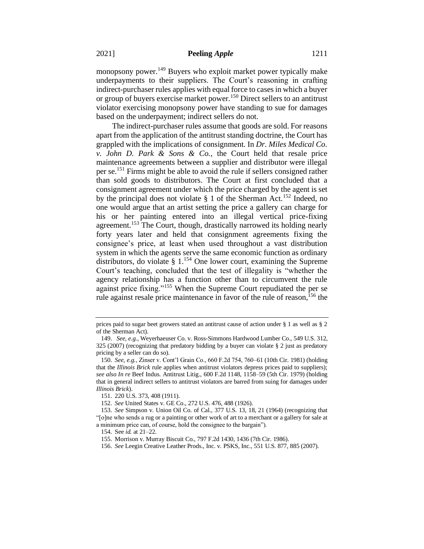monopsony power.<sup>149</sup> Buyers who exploit market power typically make underpayments to their suppliers. The Court's reasoning in crafting indirect-purchaser rules applies with equal force to cases in which a buyer or group of buyers exercise market power.<sup>150</sup> Direct sellers to an antitrust violator exercising monopsony power have standing to sue for damages based on the underpayment; indirect sellers do not.

The indirect-purchaser rules assume that goods are sold. For reasons apart from the application of the antitrust standing doctrine, the Court has grappled with the implications of consignment. In *Dr. Miles Medical Co. v. John D. Park & Sons & Co.*, the Court held that resale price maintenance agreements between a supplier and distributor were illegal per se.<sup>151</sup> Firms might be able to avoid the rule if sellers consigned rather than sold goods to distributors. The Court at first concluded that a consignment agreement under which the price charged by the agent is set by the principal does not violate § 1 of the Sherman Act.<sup>152</sup> Indeed, no one would argue that an artist setting the price a gallery can charge for his or her painting entered into an illegal vertical price-fixing agreement.<sup>153</sup> The Court, though, drastically narrowed its holding nearly forty years later and held that consignment agreements fixing the consignee's price, at least when used throughout a vast distribution system in which the agents serve the same economic function as ordinary distributors, do violate § 1.<sup>154</sup> One lower court, examining the Supreme Court's teaching, concluded that the test of illegality is "whether the agency relationship has a function other than to circumvent the rule against price fixing."<sup>155</sup> When the Supreme Court repudiated the per se rule against resale price maintenance in favor of the rule of reason,<sup> $156$ </sup> the

prices paid to sugar beet growers stated an antitrust cause of action under § 1 as well as § 2 of the Sherman Act).

<sup>149.</sup> *See, e.g.*, Weyerhaeuser Co. v. Ross-Simmons Hardwood Lumber Co., 549 U.S. 312, 325 (2007) (recognizing that predatory bidding by a buyer can violate § 2 just as predatory pricing by a seller can do so).

<sup>150.</sup> *See, e.g.*, Zinser v. Cont'l Grain Co., 660 F.2d 754, 760–61 (10th Cir. 1981) (holding that the *Illinois Brick* rule applies when antitrust violators depress prices paid to suppliers); *see also In re* Beef Indus. Antitrust Litig., 600 F.2d 1148, 1158–59 (5th Cir. 1979) (holding that in general indirect sellers to antitrust violators are barred from suing for damages under *Illinois Brick*).

<sup>151.</sup> 220 U.S. 373, 408 (1911).

<sup>152.</sup> *See* United States v. GE Co., 272 U.S. 476, 488 (1926).

<sup>153.</sup> *See* Simpson v. Union Oil Co. of Cal., 377 U.S. 13, 18, 21 (1964) (recognizing that "[o]ne who sends a rug or a painting or other work of art to a merchant or a gallery for sale at a minimum price can, of course, hold the consignee to the bargain").

<sup>154.</sup> See *id.* at 21–22.

<sup>155.</sup> Morrison v. Murray Biscuit Co., 797 F.2d 1430, 1436 (7th Cir. 1986).

<sup>156.</sup> *See* Leegin Creative Leather Prods., Inc. v. PSKS, Inc., 551 U.S. 877, 885 (2007).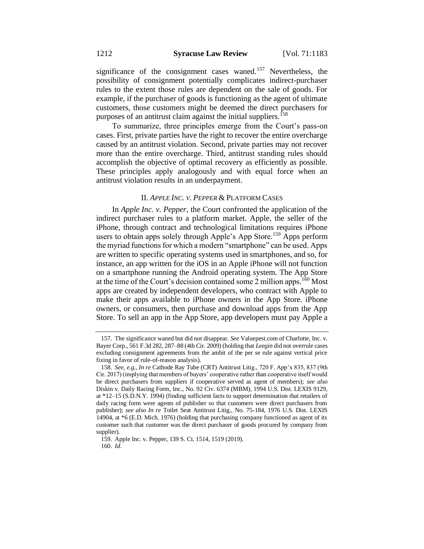significance of the consignment cases waned.<sup>157</sup> Nevertheless, the possibility of consignment potentially complicates indirect-purchaser rules to the extent those rules are dependent on the sale of goods. For example, if the purchaser of goods is functioning as the agent of ultimate customers, those customers might be deemed the direct purchasers for purposes of an antitrust claim against the initial suppliers.<sup>158</sup>

To summarize, three principles emerge from the Court's pass-on cases. First, private parties have the right to recover the entire overcharge caused by an antitrust violation. Second, private parties may not recover more than the entire overcharge. Third, antitrust standing rules should accomplish the objective of optimal recovery as efficiently as possible. These principles apply analogously and with equal force when an antitrust violation results in an underpayment.

#### II. *APPLE INC. V. PEPPER* & PLATFORM CASES

In *Apple Inc. v. Pepper*, the Court confronted the application of the indirect purchaser rules to a platform market. Apple, the seller of the iPhone, through contract and technological limitations requires iPhone users to obtain apps solely through Apple's App Store.<sup>159</sup> Apps perform the myriad functions for which a modern "smartphone" can be used. Apps are written to specific operating systems used in smartphones, and so, for instance, an app written for the iOS in an Apple iPhone will not function on a smartphone running the Android operating system. The App Store at the time of the Court's decision contained some 2 million apps.<sup>160</sup> Most apps are created by independent developers, who contract with Apple to make their apps available to iPhone owners in the App Store. iPhone owners, or consumers, then purchase and download apps from the App Store. To sell an app in the App Store, app developers must pay Apple a

<sup>157.</sup> The significance waned but did not disappear. *See* Valuepest.com of Charlotte, Inc. v. Bayer Corp., 561 F.3d 282, 287–88 (4th Cir. 2009) (holding that *Leegin* did not overrule cases excluding consignment agreements from the ambit of the per se rule against vertical price fixing in favor of rule-of-reason analysis).

<sup>158.</sup> *See, e.g.*, *In re* Cathode Ray Tube (CRT) Antitrust Litig., 720 F. App'x 835, 837 (9th Cir. 2017) (implying that members of buyers' cooperative rather than cooperative itself would be direct purchasers from suppliers if cooperative served as agent of members); *see also*  Diskin v. Daily Racing Form, Inc., No. 92 Civ. 6374 (MBM), 1994 U.S. Dist. LEXIS 9129, at \*12–15 (S.D.N.Y. 1994) (finding sufficient facts to support determination that retailers of daily racing form were agents of publisher so that customers were direct purchasers from publisher); *see also In re* Toilet Seat Antitrust Litig., No. 75-184, 1976 U.S. Dist. LEXIS 14904, at \*6 (E.D. Mich. 1976) (holding that purchasing company functioned as agent of its customer such that customer was the direct purchaser of goods procured by company from supplier).

<sup>159.</sup> Apple Inc. v. Pepper, 139 S. Ct. 1514, 1519 (2019). 160. *Id*.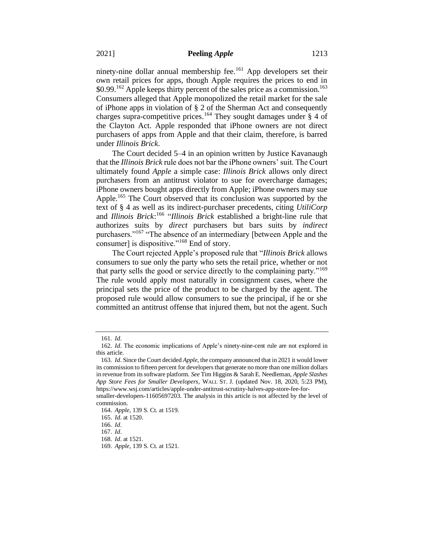ninety-nine dollar annual membership fee.<sup>161</sup> App developers set their own retail prices for apps, though Apple requires the prices to end in  $$0.99<sup>162</sup>$  Apple keeps thirty percent of the sales price as a commission.<sup>163</sup> Consumers alleged that Apple monopolized the retail market for the sale of iPhone apps in violation of § 2 of the Sherman Act and consequently charges supra-competitive prices.<sup>164</sup> They sought damages under  $\S$  4 of the Clayton Act. Apple responded that iPhone owners are not direct purchasers of apps from Apple and that their claim, therefore, is barred under *Illinois Brick*.

The Court decided 5–4 in an opinion written by Justice Kavanaugh that the *Illinois Brick* rule does not bar the iPhone owners' suit. The Court ultimately found *Apple* a simple case: *Illinois Brick* allows only direct purchasers from an antitrust violator to sue for overcharge damages; iPhone owners bought apps directly from Apple; iPhone owners may sue Apple.<sup>165</sup> The Court observed that its conclusion was supported by the text of § 4 as well as its indirect-purchaser precedents, citing *UtiliCorp*  and *Illinois Brick*: 166 "*Illinois Brick* established a bright-line rule that authorizes suits by *direct* purchasers but bars suits by *indirect* purchasers."<sup>167</sup> "The absence of an intermediary [between Apple and the consumer] is dispositive."<sup>168</sup> End of story.

The Court rejected Apple's proposed rule that "*Illinois Brick* allows consumers to sue only the party who sets the retail price, whether or not that party sells the good or service directly to the complaining party."<sup>169</sup> The rule would apply most naturally in consignment cases, where the principal sets the price of the product to be charged by the agent. The proposed rule would allow consumers to sue the principal, if he or she committed an antitrust offense that injured them, but not the agent. Such

<sup>161.</sup> *Id*.

<sup>162.</sup> *Id*. The economic implications of Apple's ninety-nine-cent rule are not explored in this article.

<sup>163.</sup> *Id*. Since the Court decided *Apple*, the company announced that in 2021 it would lower its commission to fifteen percent for developers that generate no more than one million dollars in revenue from its software platform. *See* Tim Higgins & Sarah E. Needleman, *Apple Slashes App Store Fees for Smaller Developers*, WALL ST. J. (updated Nov. 18, 2020, 5:23 PM), https://www.wsj.com/articles/apple-under-antitrust-scrutiny-halves-app-store-fee-forsmaller-developers-11605697203. The analysis in this article is not affected by the level of

commission. 164. *Apple*, 139 S. Ct. at 1519.

<sup>165.</sup> *Id*. at 1520.

<sup>166.</sup> *Id*.

<sup>167.</sup> *Id*.

<sup>168.</sup> *Id*. at 1521.

<sup>169.</sup> *Apple*, 139 S. Ct. at 1521.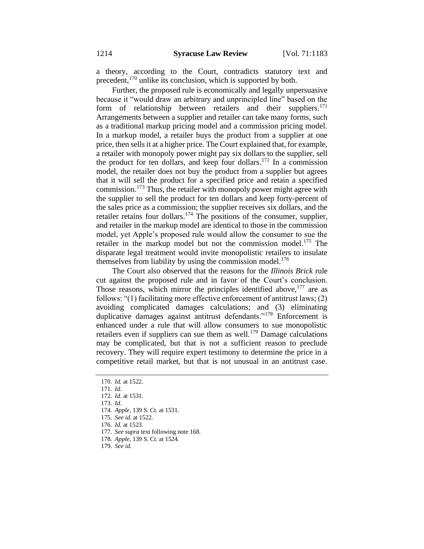a theory, according to the Court, contradicts statutory text and precedent,<sup>170</sup> unlike its conclusion, which is supported by both.

Further, the proposed rule is economically and legally unpersuasive because it "would draw an arbitrary and unprincipled line" based on the form of relationship between retailers and their suppliers.<sup>171</sup> Arrangements between a supplier and retailer can take many forms, such as a traditional markup pricing model and a commission pricing model. In a markup model, a retailer buys the product from a supplier at one price, then sells it at a higher price. The Court explained that, for example, a retailer with monopoly power might pay six dollars to the supplier, sell the product for ten dollars, and keep four dollars. <sup>172</sup> In a commission model, the retailer does not buy the product from a supplier but agrees that it will sell the product for a specified price and retain a specified commission.<sup>173</sup> Thus, the retailer with monopoly power might agree with the supplier to sell the product for ten dollars and keep forty-percent of the sales price as a commission; the supplier receives six dollars, and the retailer retains four dollars.<sup>174</sup> The positions of the consumer, supplier, and retailer in the markup model are identical to those in the commission model, yet Apple's proposed rule would allow the consumer to sue the retailer in the markup model but not the commission model.<sup>175</sup> The disparate legal treatment would invite monopolistic retailers to insulate themselves from liability by using the commission model.<sup>176</sup>

The Court also observed that the reasons for the *Illinois Brick* rule cut against the proposed rule and in favor of the Court's conclusion. Those reasons, which mirror the principles identified above,  $177$  are as follows: "(1) facilitating more effective enforcement of antitrust laws; (2) avoiding complicated damages calculations; and (3) eliminating duplicative damages against antitrust defendants."<sup>178</sup> Enforcement is enhanced under a rule that will allow consumers to sue monopolistic retailers even if suppliers can sue them as well.<sup>179</sup> Damage calculations may be complicated, but that is not a sufficient reason to preclude recovery. They will require expert testimony to determine the price in a competitive retail market, but that is not unusual in an antitrust case.

<sup>170.</sup> *Id.* at 1522.

<sup>171.</sup> *Id*. 172. *Id*. at 1531.

<sup>173.</sup> *Id*.

<sup>174.</sup> *Apple*, 139 S. Ct. at 1531.

<sup>175.</sup> *See id*. at 1522.

<sup>176.</sup> *Id.* at 1523.

<sup>177.</sup> *See supra* text following note 168.

<sup>178.</sup> *Apple*, 139 S. Ct. at 1524.

<sup>179.</sup> *See id*.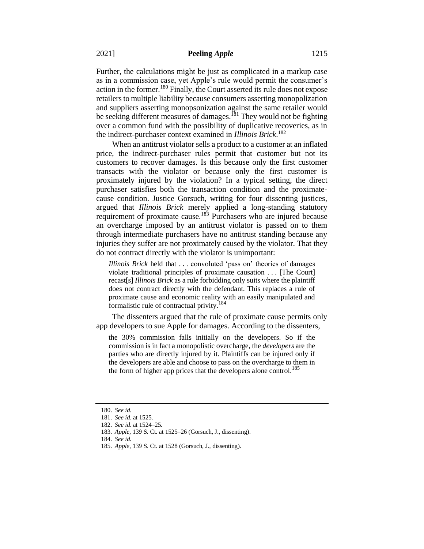Further, the calculations might be just as complicated in a markup case as in a commission case, yet Apple's rule would permit the consumer's action in the former.<sup>180</sup> Finally, the Court asserted its rule does not expose retailers to multiple liability because consumers asserting monopolization and suppliers asserting monopsonization against the same retailer would be seeking different measures of damages.<sup>181</sup> They would not be fighting over a common fund with the possibility of duplicative recoveries, as in the indirect-purchaser context examined in *Illinois Brick*. 182

When an antitrust violator sells a product to a customer at an inflated price, the indirect-purchaser rules permit that customer but not its customers to recover damages. Is this because only the first customer transacts with the violator or because only the first customer is proximately injured by the violation? In a typical setting, the direct purchaser satisfies both the transaction condition and the proximatecause condition. Justice Gorsuch, writing for four dissenting justices, argued that *Illinois Brick* merely applied a long-standing statutory requirement of proximate cause.<sup>183</sup> Purchasers who are injured because an overcharge imposed by an antitrust violator is passed on to them through intermediate purchasers have no antitrust standing because any injuries they suffer are not proximately caused by the violator. That they do not contract directly with the violator is unimportant:

*Illinois Brick* held that . . . convoluted 'pass on' theories of damages violate traditional principles of proximate causation . . . [The Court] recast[s] *Illinois Brick* as a rule forbidding only suits where the plaintiff does not contract directly with the defendant. This replaces a rule of proximate cause and economic reality with an easily manipulated and formalistic rule of contractual privity.<sup>184</sup>

The dissenters argued that the rule of proximate cause permits only app developers to sue Apple for damages. According to the dissenters,

the 30% commission falls initially on the developers. So if the commission is in fact a monopolistic overcharge, the *developers* are the parties who are directly injured by it. Plaintiffs can be injured only if the developers are able and choose to pass on the overcharge to them in the form of higher app prices that the developers alone control.<sup>185</sup>

<sup>180.</sup> *See id*.

<sup>181.</sup> *See id*. at 1525.

<sup>182.</sup> *See id*. at 1524–25.

<sup>183.</sup> *Apple*, 139 S. Ct. at 1525–26 (Gorsuch, J., dissenting).

<sup>184.</sup> *See id.* 

<sup>185.</sup> *Apple*, 139 S. Ct. at 1528 (Gorsuch, J., dissenting).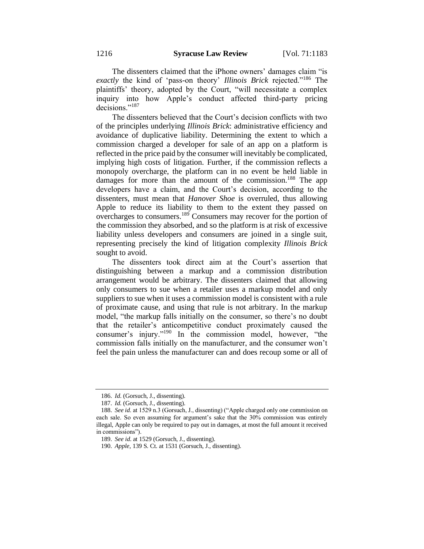The dissenters claimed that the iPhone owners' damages claim "is *exactly* the kind of 'pass-on theory' *Illinois Brick* rejected."<sup>186</sup> The plaintiffs' theory, adopted by the Court, "will necessitate a complex inquiry into how Apple's conduct affected third-party pricing decisions."<sup>187</sup>

The dissenters believed that the Court's decision conflicts with two of the principles underlying *Illinois Brick*: administrative efficiency and avoidance of duplicative liability. Determining the extent to which a commission charged a developer for sale of an app on a platform is reflected in the price paid by the consumer will inevitably be complicated, implying high costs of litigation. Further, if the commission reflects a monopoly overcharge, the platform can in no event be held liable in damages for more than the amount of the commission.<sup>188</sup> The app developers have a claim, and the Court's decision, according to the dissenters, must mean that *Hanover Shoe* is overruled, thus allowing Apple to reduce its liability to them to the extent they passed on overcharges to consumers.<sup>189</sup> Consumers may recover for the portion of the commission they absorbed, and so the platform is at risk of excessive liability unless developers and consumers are joined in a single suit, representing precisely the kind of litigation complexity *Illinois Brick* sought to avoid.

The dissenters took direct aim at the Court's assertion that distinguishing between a markup and a commission distribution arrangement would be arbitrary. The dissenters claimed that allowing only consumers to sue when a retailer uses a markup model and only suppliers to sue when it uses a commission model is consistent with a rule of proximate cause, and using that rule is not arbitrary. In the markup model, "the markup falls initially on the consumer, so there's no doubt that the retailer's anticompetitive conduct proximately caused the consumer's injury."<sup>190</sup> In the commission model, however, "the commission falls initially on the manufacturer, and the consumer won't feel the pain unless the manufacturer can and does recoup some or all of

<sup>186.</sup> *Id.* (Gorsuch, J., dissenting).

<sup>187.</sup> *Id.* (Gorsuch, J., dissenting).

<sup>188.</sup> *See id*. at 1529 n.3 (Gorsuch, J., dissenting) ("Apple charged only one commission on each sale. So even assuming for argument's sake that the 30% commission was entirely illegal, Apple can only be required to pay out in damages, at most the full amount it received in commissions").

<sup>189.</sup> *See id*. at 1529 (Gorsuch, J., dissenting).

<sup>190.</sup> *Apple*, 139 S. Ct. at 1531 (Gorsuch, J., dissenting).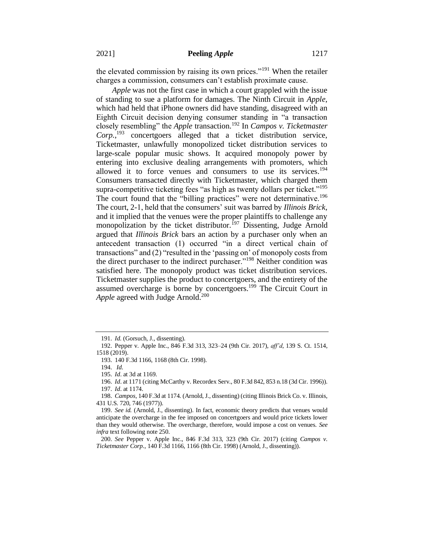the elevated commission by raising its own prices."<sup>191</sup> When the retailer charges a commission, consumers can't establish proximate cause.

*Apple* was not the first case in which a court grappled with the issue of standing to sue a platform for damages. The Ninth Circuit in *Apple*, which had held that iPhone owners did have standing, disagreed with an Eighth Circuit decision denying consumer standing in "a transaction closely resembling" the *Apple* transaction.<sup>192</sup> In *Campos v. Ticketmaster Corp.*, <sup>193</sup> concertgoers alleged that a ticket distribution service, Ticketmaster, unlawfully monopolized ticket distribution services to large-scale popular music shows. It acquired monopoly power by entering into exclusive dealing arrangements with promoters, which allowed it to force venues and consumers to use its services.<sup>194</sup> Consumers transacted directly with Ticketmaster, which charged them supra-competitive ticketing fees "as high as twenty dollars per ticket."<sup>195</sup> The court found that the "billing practices" were not determinative.<sup>196</sup> The court, 2-1, held that the consumers' suit was barred by *Illinois Brick*, and it implied that the venues were the proper plaintiffs to challenge any monopolization by the ticket distributor.<sup>197</sup> Dissenting, Judge Arnold argued that *Illinois Brick* bars an action by a purchaser only when an antecedent transaction (1) occurred "in a direct vertical chain of transactions" and (2) "resulted in the 'passing on' of monopoly costs from the direct purchaser to the indirect purchaser."<sup>198</sup> Neither condition was satisfied here. The monopoly product was ticket distribution services. Ticketmaster supplies the product to concertgoers, and the entirety of the assumed overcharge is borne by concertgoers.<sup>199</sup> The Circuit Court in Apple agreed with Judge Arnold.<sup>200</sup>

<sup>191.</sup> *Id.* (Gorsuch, J., dissenting).

<sup>192.</sup> Pepper v. Apple Inc., 846 F.3d 313, 323–24 (9th Cir. 2017), *aff'd*, 139 S. Ct. 1514, 1518 (2019).

<sup>193.</sup> 140 F.3d 1166, 1168 (8th Cir. 1998).

<sup>194.</sup> *Id.*

<sup>195.</sup> *Id*. at 3d at 1169.

<sup>196.</sup> *Id*. at 1171 (citing McCarthy v. Recordex Serv., 80 F.3d 842, 853 n.18 (3d Cir. 1996)). 197. *Id*. at 1174.

<sup>198.</sup> *Campos*, 140 F.3d at 1174*.* (Arnold, J., dissenting) (citing Illinois Brick Co. v. Illinois, 431 U.S. 720, 746 (1977)).

<sup>199.</sup> *See id.* (Arnold, J., dissenting). In fact, economic theory predicts that venues would anticipate the overcharge in the fee imposed on concertgoers and would price tickets lower than they would otherwise. The overcharge, therefore, would impose a cost on venues. *See infra* text following note 250.

<sup>200.</sup> *See* Pepper v. Apple Inc., 846 F.3d 313, 323 (9th Cir. 2017) (citing *Campos v. Ticketmaster Corp.*, 140 F.3d 1166, 1166 (8th Cir. 1998) (Arnold, J., dissenting)).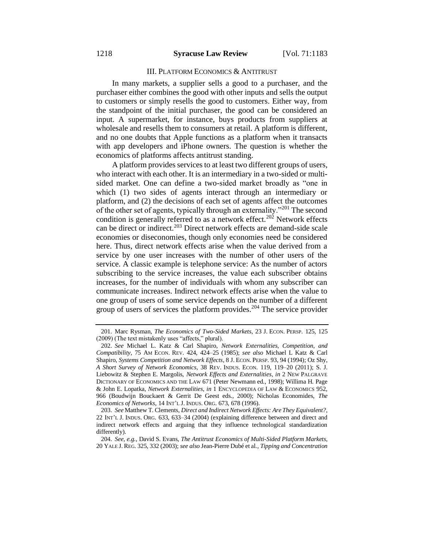#### III. PLATFORM ECONOMICS & ANTITRUST

In many markets, a supplier sells a good to a purchaser, and the purchaser either combines the good with other inputs and sells the output to customers or simply resells the good to customers. Either way, from the standpoint of the initial purchaser, the good can be considered an input. A supermarket, for instance, buys products from suppliers at wholesale and resells them to consumers at retail. A platform is different, and no one doubts that Apple functions as a platform when it transacts with app developers and iPhone owners. The question is whether the economics of platforms affects antitrust standing.

A platform provides services to at least two different groups of users, who interact with each other. It is an intermediary in a two-sided or multisided market. One can define a two-sided market broadly as "one in which (1) two sides of agents interact through an intermediary or platform, and (2) the decisions of each set of agents affect the outcomes of the other set of agents, typically through an externality."<sup>201</sup> The second condition is generally referred to as a network effect.<sup>202</sup> Network effects can be direct or indirect.<sup>203</sup> Direct network effects are demand-side scale economies or diseconomies, though only economies need be considered here. Thus, direct network effects arise when the value derived from a service by one user increases with the number of other users of the service. A classic example is telephone service: As the number of actors subscribing to the service increases, the value each subscriber obtains increases, for the number of individuals with whom any subscriber can communicate increases. Indirect network effects arise when the value to one group of users of some service depends on the number of a different group of users of services the platform provides.<sup>204</sup> The service provider

<sup>201.</sup> Marc Rysman, *The Economics of Two-Sided Markets*, 23 J. ECON. PERSP. 125, 125 (2009) (The text mistakenly uses "affects," plural).

<sup>202.</sup> *See* Michael L. Katz & Carl Shapiro, *Network Externalities, Competition, and Compatibility*, 75 AM ECON. REV. 424, 424–25 (1985); *see also* Michael L Katz & Carl Shapiro, *Systems Competition and Network Effects*, 8 J. ECON. PERSP. 93, 94 (1994); Oz Shy, *A Short Survey of Network Economics*, 38 REV. INDUS. ECON. 119, 119–20 (2011); S. J. Liebowitz & Stephen E. Margolis, *Network Effects and Externalities*, *in* 2 NEW PALGRAVE DICTIONARY OF ECONOMICS AND THE LAW 671 (Peter Newmann ed., 1998); Willima H. Page & John E. Lopatka, *Network Externalities*, *in* 1 ENCYCLOPEDIA OF LAW & ECONOMICS 952, 966 (Boudwijn Bouckaert & Gerrit De Geest eds., 2000); Nicholas Economides, *The Economics of Networks*, 14 INT'L J. INDUS. ORG. 673, 678 (1996).

<sup>203.</sup> *See* Matthew T. Clements, *Direct and Indirect Network Effects: Are They Equivalent?*, 22 INT'L J. INDUS. ORG. 633, 633–34 (2004) (explaining difference between and direct and indirect network effects and arguing that they influence technological standardization differently).

<sup>204.</sup> *See, e.g.*, David S. Evans, *The Antitrust Economics of Multi-Sided Platform Markets*, 20 YALE J. REG. 325, 332 (2003); *see also* Jean-Pierre Dubé et al., *Tipping and Concentration*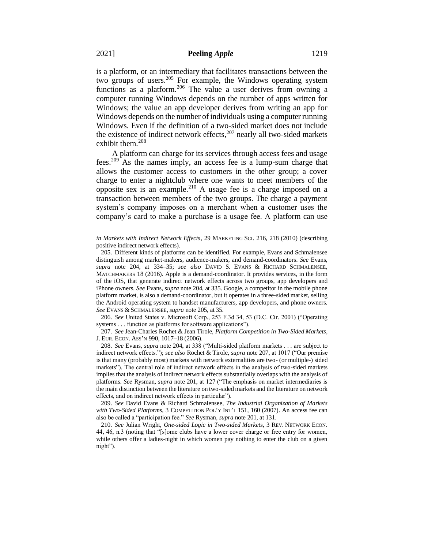is a platform, or an intermediary that facilitates transactions between the two groups of users.<sup>205</sup> For example, the Windows operating system functions as a platform.<sup>206</sup> The value a user derives from owning a computer running Windows depends on the number of apps written for Windows; the value an app developer derives from writing an app for Windows depends on the number of individuals using a computer running Windows. Even if the definition of a two-sided market does not include the existence of indirect network effects, $207$  nearly all two-sided markets exhibit them.<sup>208</sup>

A platform can charge for its services through access fees and usage fees.<sup>209</sup> As the names imply, an access fee is a lump-sum charge that allows the customer access to customers in the other group; a cover charge to enter a nightclub where one wants to meet members of the opposite sex is an example.<sup>210</sup> A usage fee is a charge imposed on a transaction between members of the two groups. The charge a payment system's company imposes on a merchant when a customer uses the company's card to make a purchase is a usage fee. A platform can use

206. *See* United States v. Microsoft Corp., 253 F.3d 34, 53 (D.C. Cir. 2001) ("Operating systems . . . function as platforms for software applications").

207. *See* Jean-Charles Rochet & Jean Tirole, *Platform Competition in Two-Sided Markets*, J. EUR. ECON. ASS'N 990, 1017–18 (2006).

208. *See* Evans, *supra* note 204, at 338 ("Multi-sided platform markets . . . are subject to indirect network effects."); *see also* Rochet & Tirole, *supra* note 207, at 1017 ("Our premise is that many (probably most) markets with network externalities are two- (or multiple-) sided markets"). The central role of indirect network effects in the analysis of two-sided markets implies that the analysis of indirect network effects substantially overlaps with the analysis of platforms. *See* Rysman, *supra* note 201, at 127 ("The emphasis on market intermediaries is the main distinction between the literature on two-sided markets and the literature on network effects, and on indirect network effects in particular").

209. *See* David Evans & Richard Schmalensee*, The Industrial Organization of Markets with Two-Sided Platforms*, 3 COMPETITION POL'Y INT'L 151, 160 (2007). An access fee can also be called a "participation fee." *See* Rysman, *supra* note 201, at 131.

210. *See* Julian Wright, *One-sided Logic in Two-sided Markets*, 3 REV. NETWORK ECON. 44, 46, n.3 (noting that "[s]ome clubs have a lower cover charge or free entry for women, while others offer a ladies-night in which women pay nothing to enter the club on a given night").

*in Markets with Indirect Network Effects*, 29 MARKETING SCI. 216, 218 (2010) (describing positive indirect network effects).

<sup>205.</sup> Different kinds of platforms can be identified. For example, Evans and Schmalensee distinguish among market-makers, audience-makers, and demand-coordinators. *See* Evans, *supra* note 204, at 334–35; *see also* DAVID S. EVANS & RICHARD SCHMALENSEE, MATCHMAKERS 18 (2016). Apple is a demand-coordinator. It provides services, in the form of the iOS, that generate indirect network effects across two groups, app developers and iPhone owners. *See* Evans, *supra* note 204, at 335. Google, a competitor in the mobile phone platform market, is also a demand-coordinator, but it operates in a three-sided market, selling the Android operating system to handset manufacturers, app developers, and phone owners. *See* EVANS & SCHMALENSEE, *supra* note 205, at 35.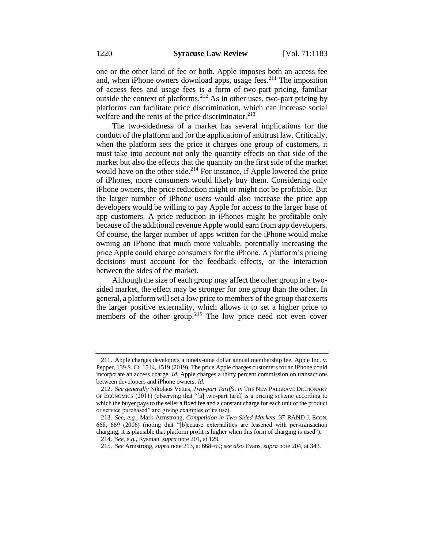one or the other kind of fee or both. Apple imposes both an access fee and, when iPhone owners download apps, usage fees.<sup>211</sup> The imposition of access fees and usage fees is a form of two-part pricing, familiar outside the context of platforms.<sup>212</sup> As in other uses, two-part pricing by platforms can facilitate price discrimination, which can increase social welfare and the rents of the price discriminator.<sup>213</sup>

The two-sidedness of a market has several implications for the conduct of the platform and for the application of antitrust law. Critically, when the platform sets the price it charges one group of customers, it must take into account not only the quantity effects on that side of the market but also the effects that the quantity on the first side of the market would have on the other side. $2^{14}$  For instance, if Apple lowered the price of iPhones, more consumers would likely buy them. Considering only iPhone owners, the price reduction might or might not be profitable. But the larger number of iPhone users would also increase the price app developers would be willing to pay Apple for access to the larger base of app customers. A price reduction in iPhones might be profitable only because of the additional revenue Apple would earn from app developers. Of course, the larger number of apps written for the iPhone would make owning an iPhone that much more valuable, potentially increasing the price Apple could charge consumers for the iPhone. A platform's pricing decisions must account for the feedback effects, or the interaction between the sides of the market.

Although the size of each group may affect the other group in a twosided market, the effect may be stronger for one group than the other. In general, a platform will set a low price to members of the group that exerts the larger positive externality, which allows it to set a higher price to members of the other group.<sup>215</sup> The low price need not even cover

<sup>211.</sup> Apple charges developers a ninety-nine dollar annual membership fee. Apple Inc. v. Pepper, 139 S. Ct. 1514, 1519 (2019). The price Apple charges customers for an iPhone could incorporate an access charge. *Id.* Apple charges a thirty percent commission on transactions between developers and iPhone owners. *Id*.

<sup>212.</sup> *See generally* Nikolaos Vettas, *Two-part Tariffs*, *in* THE NEW PALGRAVE DICTIONARY OF ECONOMICS (2011) (observing that "[a] two‐part tariff is a pricing scheme according to which the buyer pays to the seller a fixed fee and a constant charge for each unit of the product or service purchased" and giving examples of its use).

<sup>213.</sup> *See, e.g.*, Mark Armstrong, *Competition in Two-Sided Markets*, 37 RAND J. ECON. 668, 669 (2006) (noting that "[b]ecause externalities are lessened with per-transaction charging, it is plausible that platform profit is higher when this form of charging is used").

<sup>214.</sup> *See, e.g.*, Rysman, *supra* note 201, at 129.

<sup>215.</sup> *See* Armstrong, *supra* note 213, at 668–69; *see also* Evans, *supra* note 204, at 343.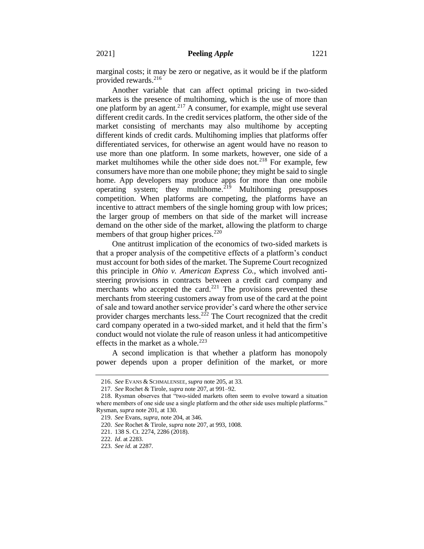marginal costs; it may be zero or negative, as it would be if the platform provided rewards.<sup>216</sup>

Another variable that can affect optimal pricing in two-sided markets is the presence of multihoming, which is the use of more than one platform by an agent.<sup>217</sup> A consumer, for example, might use several different credit cards. In the credit services platform, the other side of the market consisting of merchants may also multihome by accepting different kinds of credit cards. Multihoming implies that platforms offer differentiated services, for otherwise an agent would have no reason to use more than one platform. In some markets, however, one side of a market multihomes while the other side does not.<sup>218</sup> For example, few consumers have more than one mobile phone; they might be said to single home. App developers may produce apps for more than one mobile operating system; they multihome. $2^{19}$  Multihoming presupposes competition. When platforms are competing, the platforms have an incentive to attract members of the single homing group with low prices; the larger group of members on that side of the market will increase demand on the other side of the market, allowing the platform to charge members of that group higher prices.<sup>220</sup>

One antitrust implication of the economics of two-sided markets is that a proper analysis of the competitive effects of a platform's conduct must account for both sides of the market. The Supreme Court recognized this principle in *Ohio v. American Express Co.*, which involved antisteering provisions in contracts between a credit card company and merchants who accepted the card.<sup>221</sup> The provisions prevented these merchants from steering customers away from use of the card at the point of sale and toward another service provider's card where the other service provider charges merchants less.<sup>222</sup> The Court recognized that the credit card company operated in a two-sided market, and it held that the firm's conduct would not violate the rule of reason unless it had anticompetitive effects in the market as a whole.<sup>223</sup>

A second implication is that whether a platform has monopoly power depends upon a proper definition of the market, or more

<sup>216.</sup> *See* EVANS & SCHMALENSEE, *supra* note 205, at 33.

<sup>217.</sup> *See* Rochet & Tirole, *supra* note 207, at 991–92.

<sup>218.</sup> Rysman observes that "two-sided markets often seem to evolve toward a situation where members of one side use a single platform and the other side uses multiple platforms." Rysman, *supra* note 201, at 130.

<sup>219.</sup> *See* Evans, *supra*, note 204, at 346.

<sup>220.</sup> *See* Rochet & Tirole, *supra* note 207, at 993, 1008.

<sup>221.</sup> 138 S. Ct. 2274, 2286 (2018).

<sup>222.</sup> *Id*. at 2283.

<sup>223.</sup> *See id*. at 2287.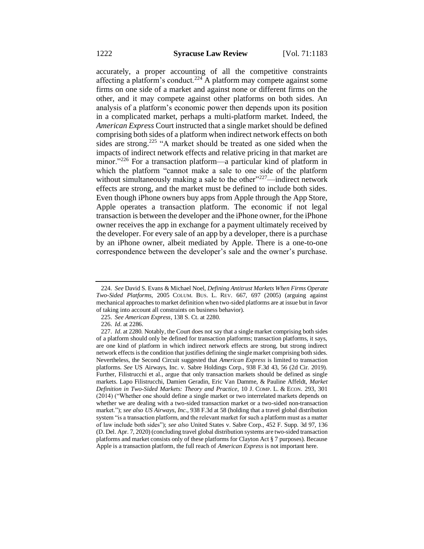accurately, a proper accounting of all the competitive constraints affecting a platform's conduct.<sup>224</sup> A platform may compete against some firms on one side of a market and against none or different firms on the other, and it may compete against other platforms on both sides. An analysis of a platform's economic power then depends upon its position in a complicated market, perhaps a multi-platform market. Indeed, the *American Express* Court instructed that a single market should be defined comprising both sides of a platform when indirect network effects on both sides are strong.<sup>225</sup> "A market should be treated as one sided when the impacts of indirect network effects and relative pricing in that market are minor."<sup>226</sup> For a transaction platform—a particular kind of platform in which the platform "cannot make a sale to one side of the platform without simultaneously making a sale to the other" $227$ —indirect network effects are strong, and the market must be defined to include both sides. Even though iPhone owners buy apps from Apple through the App Store, Apple operates a transaction platform. The economic if not legal transaction is between the developer and the iPhone owner, for the iPhone owner receives the app in exchange for a payment ultimately received by the developer. For every sale of an app by a developer, there is a purchase by an iPhone owner, albeit mediated by Apple. There is a one-to-one correspondence between the developer's sale and the owner's purchase.

<sup>224.</sup> *See* David S. Evans & Michael Noel, *Defining Antitrust Markets When Firms Operate Two-Sided Platforms*, 2005 COLUM. BUS. L. REV. 667, 697 (2005) (arguing against mechanical approaches to market definition when two-sided platforms are at issue but in favor of taking into account all constraints on business behavior).

<sup>225.</sup> *See American Express*, 138 S. Ct. at 2280.

<sup>226.</sup> *Id*. at 2286.

<sup>227.</sup> *Id*. at 2280. Notably, the Court does not say that a single market comprising both sides of a platform should only be defined for transaction platforms; transaction platforms, it says, are one kind of platform in which indirect network effects are strong, but strong indirect network effects is the condition that justifies defining the single market comprising both sides. Nevertheless, the Second Circuit suggested that *American Express* is limited to transaction platforms. *See* US Airways, Inc. v. Sabre Holdings Corp., 938 F.3d 43, 56 (2d Cir. 2019). Further, Filistrucchi et al., argue that only transaction markets should be defined as single markets. Lapo Filistrucchi, Damien Geradin, Eric Van Damme, & Pauline Affeldt, *Market Definition in Two-Sided Markets: Theory and Practice*, 10 J. COMP. L. & ECON. 293, 301 (2014) ("Whether one should define a single market or two interrelated markets depends on whether we are dealing with a two-sided transaction market or a two-sided non-transaction market."); *see also US Airways, Inc*., 938 F.3d at 58 (holding that a travel global distribution system "is a transaction platform, and the relevant market for such a platform must as a matter of law include both sides"); *see also* United States v. Sabre Corp., 452 F. Supp. 3d 97, 136 (D. Del. Apr. 7, 2020) (concluding travel global distribution systems are two-sided transaction platforms and market consists only of these platforms for Clayton Act § 7 purposes). Because Apple is a transaction platform, the full reach of *American Express* is not important here.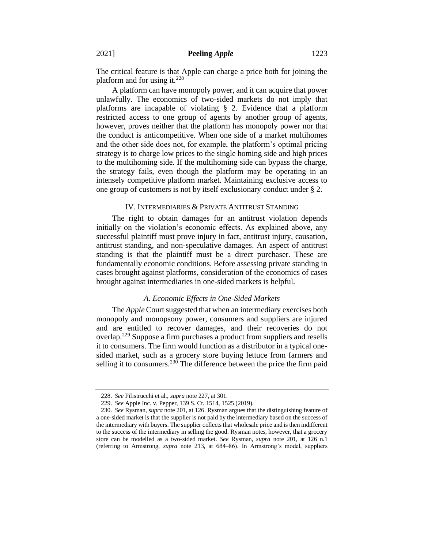The critical feature is that Apple can charge a price both for joining the platform and for using it.<sup>228</sup>

A platform can have monopoly power, and it can acquire that power unlawfully. The economics of two-sided markets do not imply that platforms are incapable of violating § 2. Evidence that a platform restricted access to one group of agents by another group of agents, however, proves neither that the platform has monopoly power nor that the conduct is anticompetitive. When one side of a market multihomes and the other side does not, for example, the platform's optimal pricing strategy is to charge low prices to the single homing side and high prices to the multihoming side. If the multihoming side can bypass the charge, the strategy fails, even though the platform may be operating in an intensely competitive platform market. Maintaining exclusive access to one group of customers is not by itself exclusionary conduct under § 2.

#### IV. INTERMEDIARIES & PRIVATE ANTITRUST STANDING

The right to obtain damages for an antitrust violation depends initially on the violation's economic effects. As explained above, any successful plaintiff must prove injury in fact, antitrust injury, causation, antitrust standing, and non-speculative damages. An aspect of antitrust standing is that the plaintiff must be a direct purchaser. These are fundamentally economic conditions. Before assessing private standing in cases brought against platforms, consideration of the economics of cases brought against intermediaries in one-sided markets is helpful.

#### *A. Economic Effects in One-Sided Markets*

The *Apple* Court suggested that when an intermediary exercises both monopoly and monopsony power, consumers and suppliers are injured and are entitled to recover damages, and their recoveries do not overlap.<sup>229</sup> Suppose a firm purchases a product from suppliers and resells it to consumers. The firm would function as a distributor in a typical onesided market, such as a grocery store buying lettuce from farmers and selling it to consumers.<sup>230</sup> The difference between the price the firm paid

<sup>228.</sup> *See* Filistrucchi et al., *supra* note 227, at 301.

<sup>229.</sup> *See* Apple Inc. v. Pepper, 139 S. Ct. 1514, 1525 (2019).

<sup>230.</sup> *See* Rysman, *supra* note 201, at 126. Rysman argues that the distinguishing feature of a one-sided market is that the supplier is not paid by the intermediary based on the success of the intermediary with buyers. The supplier collects that wholesale price and is then indifferent to the success of the intermediary in selling the good. Rysman notes, however, that a grocery store can be modelled as a two-sided market. *See* Rysman*, supra* note 201, at 126 n.1 (referring to Armstrong, *supra* note 213, at 684–86). In Armstrong's model, suppliers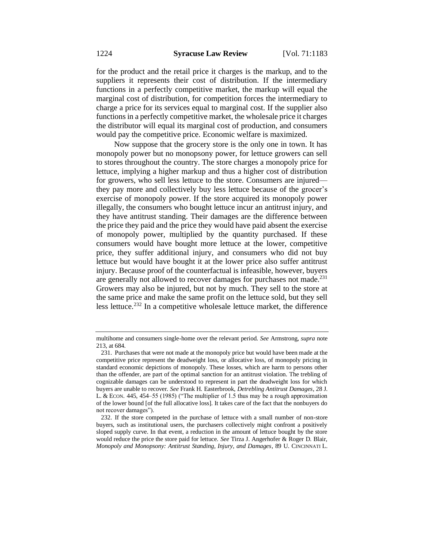for the product and the retail price it charges is the markup, and to the suppliers it represents their cost of distribution. If the intermediary functions in a perfectly competitive market, the markup will equal the marginal cost of distribution, for competition forces the intermediary to charge a price for its services equal to marginal cost. If the supplier also functions in a perfectly competitive market, the wholesale price it charges the distributor will equal its marginal cost of production, and consumers would pay the competitive price. Economic welfare is maximized.

Now suppose that the grocery store is the only one in town. It has monopoly power but no monopsony power, for lettuce growers can sell to stores throughout the country. The store charges a monopoly price for lettuce, implying a higher markup and thus a higher cost of distribution for growers, who sell less lettuce to the store. Consumers are injured they pay more and collectively buy less lettuce because of the grocer's exercise of monopoly power. If the store acquired its monopoly power illegally, the consumers who bought lettuce incur an antitrust injury, and they have antitrust standing. Their damages are the difference between the price they paid and the price they would have paid absent the exercise of monopoly power, multiplied by the quantity purchased. If these consumers would have bought more lettuce at the lower, competitive price, they suffer additional injury, and consumers who did not buy lettuce but would have bought it at the lower price also suffer antitrust injury. Because proof of the counterfactual is infeasible, however, buyers are generally not allowed to recover damages for purchases not made.<sup>231</sup> Growers may also be injured, but not by much. They sell to the store at the same price and make the same profit on the lettuce sold, but they sell less lettuce.<sup>232</sup> In a competitive wholesale lettuce market, the difference

multihome and consumers single-home over the relevant period. *See* Armstrong, *supra* note 213, at 684.

<sup>231.</sup> Purchases that were not made at the monopoly price but would have been made at the competitive price represent the deadweight loss, or allocative loss, of monopoly pricing in standard economic depictions of monopoly. These losses, which are harm to persons other than the offender, are part of the optimal sanction for an antitrust violation. The trebling of cognizable damages can be understood to represent in part the deadweight loss for which buyers are unable to recover. *See* Frank H. Easterbrook, *Detrebling Antitrust Damages*, 28 J. L. & ECON. 445, 454–55 (1985) ("The multiplier of 1.5 thus may be a rough approximation of the lower bound [of the full allocative loss]. It takes care of the fact that the nonbuyers do not recover damages").

<sup>232.</sup> If the store competed in the purchase of lettuce with a small number of non-store buyers, such as institutional users, the purchasers collectively might confront a positively sloped supply curve. In that event, a reduction in the amount of lettuce bought by the store would reduce the price the store paid for lettuce. *See* Tirza J. Angerhofer & Roger D. Blair, *Monopoly and Monopsony: Antitrust Standing, Injury, and Damages*, 89 U. CINCINNATI L.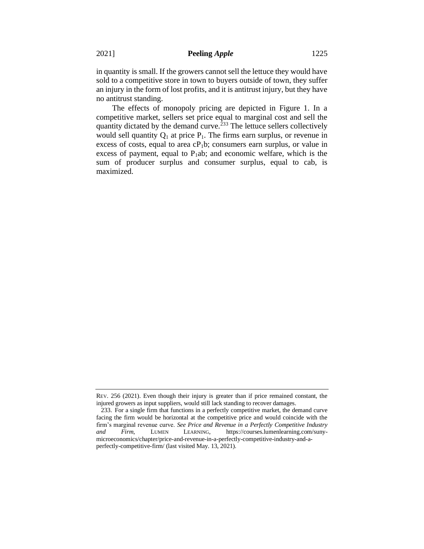in quantity is small. If the growers cannot sell the lettuce they would have sold to a competitive store in town to buyers outside of town, they suffer an injury in the form of lost profits, and it is antitrust injury, but they have no antitrust standing.

The effects of monopoly pricing are depicted in Figure 1. In a competitive market, sellers set price equal to marginal cost and sell the quantity dictated by the demand curve.<sup> $233$ </sup> The lettuce sellers collectively would sell quantity  $Q_1$  at price  $P_1$ . The firms earn surplus, or revenue in excess of costs, equal to area  $cP_1b$ ; consumers earn surplus, or value in excess of payment, equal to  $P_1$ ab; and economic welfare, which is the sum of producer surplus and consumer surplus, equal to cab, is maximized.

REV. 256 (2021). Even though their injury is greater than if price remained constant, the injured growers as input suppliers, would still lack standing to recover damages.

<sup>233.</sup> For a single firm that functions in a perfectly competitive market, the demand curve facing the firm would be horizontal at the competitive price and would coincide with the firm's marginal revenue curve. *See Price and Revenue in a Perfectly Competitive Industry and Firm*, LUMEN LEARNING, https://courses.lumenlearning.com/sunymicroeconomics/chapter/price-and-revenue-in-a-perfectly-competitive-industry-and-aperfectly-competitive-firm/ (last visited May. 13, 2021).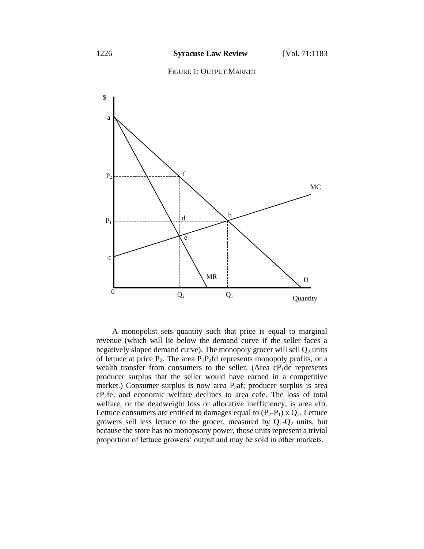



A monopolist sets quantity such that price is equal to marginal revenue (which will lie below the demand curve if the seller faces a negatively sloped demand curve). The monopoly grocer will sell  $Q_2$  units of lettuce at price  $P_2$ . The area  $P_1P_2$ fd represents monopoly profits, or a wealth transfer from consumers to the seller. (Area  $cP_1$ de represents producer surplus that the seller would have earned in a competitive market.) Consumer surplus is now area  $P_2$ af; producer surplus is area cP2fe; and economic welfare declines to area cafe. The loss of total welfare, or the deadweight loss or allocative inefficiency, is area efb. Lettuce consumers are entitled to damages equal to  $(P_2-P_1)$  x  $Q_2$ . Lettuce growers sell less lettuce to the grocer, measured by  $Q_1-Q_2$  units, but because the store has no monopsony power, those units represent a trivial proportion of lettuce growers' output and may be sold in other markets.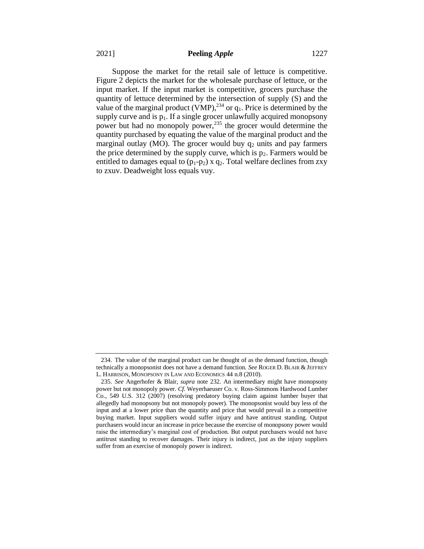Suppose the market for the retail sale of lettuce is competitive. Figure 2 depicts the market for the wholesale purchase of lettuce, or the input market. If the input market is competitive, grocers purchase the quantity of lettuce determined by the intersection of supply (S) and the value of the marginal product (VMP),  $^{234}$  or  $q_1$ . Price is determined by the supply curve and is  $p_1$ . If a single grocer unlawfully acquired monopsony power but had no monopoly power,<sup>235</sup> the grocer would determine the quantity purchased by equating the value of the marginal product and the marginal outlay (MO). The grocer would buy  $q_2$  units and pay farmers the price determined by the supply curve, which is  $p_2$ . Farmers would be entitled to damages equal to  $(p_1-p_2)$  x  $q_2$ . Total welfare declines from zxy to zxuv. Deadweight loss equals vuy.

<sup>234.</sup> The value of the marginal product can be thought of as the demand function, though technically a monopsonist does not have a demand function. *See* ROGER D. BLAIR & JEFFREY L. HARRISON, MONOPSONY IN LAW AND ECONOMICS 44 n.8 (2010).

<sup>235.</sup> *See* Angerhofer & Blair, *supra* note 232. An intermediary might have monopsony power but not monopoly power. *Cf.* Weyerhaeuser Co. v. Ross-Simmons Hardwood Lumber Co., 549 U.S. 312 (2007) (resolving predatory buying claim against lumber buyer that allegedly had monopsony but not monopoly power). The monopsonist would buy less of the input and at a lower price than the quantity and price that would prevail in a competitive buying market. Input suppliers would suffer injury and have antitrust standing. Output purchasers would incur an increase in price because the exercise of monopsony power would raise the intermediary's marginal cost of production. But output purchasers would not have antitrust standing to recover damages. Their injury is indirect, just as the injury suppliers suffer from an exercise of monopoly power is indirect.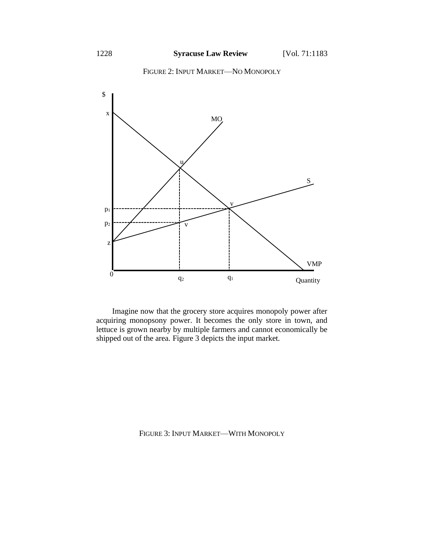



Imagine now that the grocery store acquires monopoly power after acquiring monopsony power. It becomes the only store in town, and lettuce is grown nearby by multiple farmers and cannot economically be shipped out of the area. Figure 3 depicts the input market.

FIGURE 3: INPUT MARKET—WITH MONOPOLY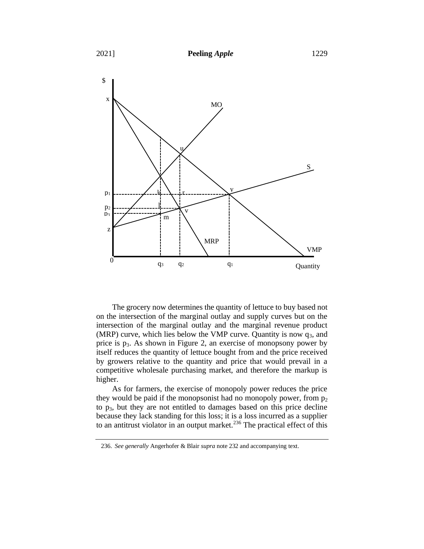

The grocery now determines the quantity of lettuce to buy based not on the intersection of the marginal outlay and supply curves but on the intersection of the marginal outlay and the marginal revenue product (MRP) curve, which lies below the VMP curve. Quantity is now  $q_3$ , and price is  $p_3$ . As shown in Figure 2, an exercise of monopsony power by itself reduces the quantity of lettuce bought from and the price received by growers relative to the quantity and price that would prevail in a competitive wholesale purchasing market, and therefore the markup is higher.

As for farmers, the exercise of monopoly power reduces the price they would be paid if the monopsonist had no monopoly power, from  $p_2$ to p3, but they are not entitled to damages based on this price decline because they lack standing for this loss; it is a loss incurred as a supplier to an antitrust violator in an output market.<sup>236</sup> The practical effect of this

<sup>236.</sup> *See generally* Angerhofer & Blair *supra* note 232 and accompanying text.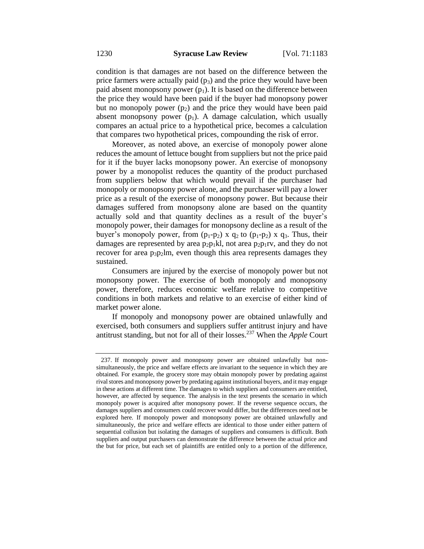condition is that damages are not based on the difference between the price farmers were actually paid  $(p_3)$  and the price they would have been paid absent monopsony power  $(p_1)$ . It is based on the difference between the price they would have been paid if the buyer had monopsony power but no monopoly power  $(p_2)$  and the price they would have been paid absent monopsony power  $(p_1)$ . A damage calculation, which usually compares an actual price to a hypothetical price, becomes a calculation that compares two hypothetical prices, compounding the risk of error.

Moreover, as noted above, an exercise of monopoly power alone reduces the amount of lettuce bought from suppliers but not the price paid for it if the buyer lacks monopsony power. An exercise of monopsony power by a monopolist reduces the quantity of the product purchased from suppliers below that which would prevail if the purchaser had monopoly or monopsony power alone, and the purchaser will pay a lower price as a result of the exercise of monopsony power. But because their damages suffered from monopsony alone are based on the quantity actually sold and that quantity declines as a result of the buyer's monopoly power, their damages for monopsony decline as a result of the buyer's monopoly power, from  $(p_1-p_2)$  x  $q_2$  to  $(p_1-p_2)$  x  $q_3$ . Thus, their damages are represented by area  $p_2p_1kl$ , not area  $p_2p_1rv$ , and they do not recover for area  $p_3p_2lm$ , even though this area represents damages they sustained.

Consumers are injured by the exercise of monopoly power but not monopsony power. The exercise of both monopoly and monopsony power, therefore, reduces economic welfare relative to competitive conditions in both markets and relative to an exercise of either kind of market power alone.

If monopoly and monopsony power are obtained unlawfully and exercised, both consumers and suppliers suffer antitrust injury and have antitrust standing, but not for all of their losses.<sup>237</sup> When the *Apple* Court

<sup>237.</sup> If monopoly power and monopsony power are obtained unlawfully but nonsimultaneously, the price and welfare effects are invariant to the sequence in which they are obtained. For example, the grocery store may obtain monopoly power by predating against rival stores and monopsony power by predating against institutional buyers, and it may engage in these actions at different time. The damages to which suppliers and consumers are entitled, however, are affected by sequence. The analysis in the text presents the scenario in which monopoly power is acquired after monopsony power. If the reverse sequence occurs, the damages suppliers and consumers could recover would differ, but the differences need not be explored here. If monopoly power and monopsony power are obtained unlawfully and simultaneously, the price and welfare effects are identical to those under either pattern of sequential collusion but isolating the damages of suppliers and consumers is difficult. Both suppliers and output purchasers can demonstrate the difference between the actual price and the but for price, but each set of plaintiffs are entitled only to a portion of the difference,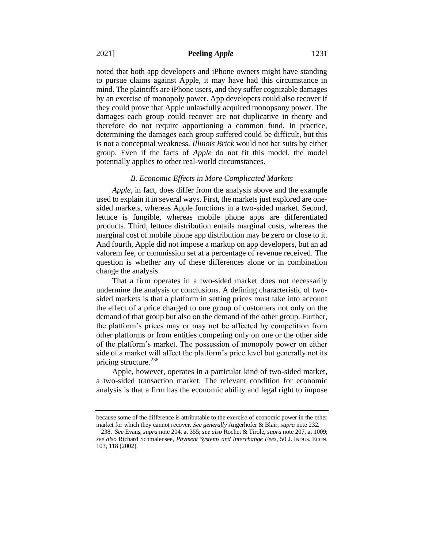noted that both app developers and iPhone owners might have standing to pursue claims against Apple, it may have had this circumstance in mind. The plaintiffs are iPhone users, and they suffer cognizable damages by an exercise of monopoly power. App developers could also recover if they could prove that Apple unlawfully acquired monopsony power. The damages each group could recover are not duplicative in theory and therefore do not require apportioning a common fund. In practice, determining the damages each group suffered could be difficult, but this is not a conceptual weakness. *Illinois Brick* would not bar suits by either group. Even if the facts of *Apple* do not fit this model, the model potentially applies to other real-world circumstances.

#### *B. Economic Effects in More Complicated Markets*

*Apple*, in fact, does differ from the analysis above and the example used to explain it in several ways. First, the markets just explored are onesided markets, whereas Apple functions in a two-sided market. Second, lettuce is fungible, whereas mobile phone apps are differentiated products. Third, lettuce distribution entails marginal costs, whereas the marginal cost of mobile phone app distribution may be zero or close to it. And fourth, Apple did not impose a markup on app developers, but an ad valorem fee, or commission set at a percentage of revenue received. The question is whether any of these differences alone or in combination change the analysis.

That a firm operates in a two-sided market does not necessarily undermine the analysis or conclusions. A defining characteristic of twosided markets is that a platform in setting prices must take into account the effect of a price charged to one group of customers not only on the demand of that group but also on the demand of the other group. Further, the platform's prices may or may not be affected by competition from other platforms or from entities competing only on one or the other side of the platform's market. The possession of monopoly power on either side of a market will affect the platform's price level but generally not its pricing structure.<sup>238</sup>

Apple, however, operates in a particular kind of two-sided market, a two-sided transaction market. The relevant condition for economic analysis is that a firm has the economic ability and legal right to impose

because some of the difference is attributable to the exercise of economic power in the other market for which they cannot recover. *See generally* Angerhofer & Blair, *supra* note 232.

<sup>238.</sup> *See* Evans, *supra* note 204, at 355; *see also* Rochet & Tirole, *supra* note 207, at 1009; *see also* Richard Schmalensee, *Payment Systems and Interchange Fees*, 50 J. INDUS. ECON. 103, 118 (2002).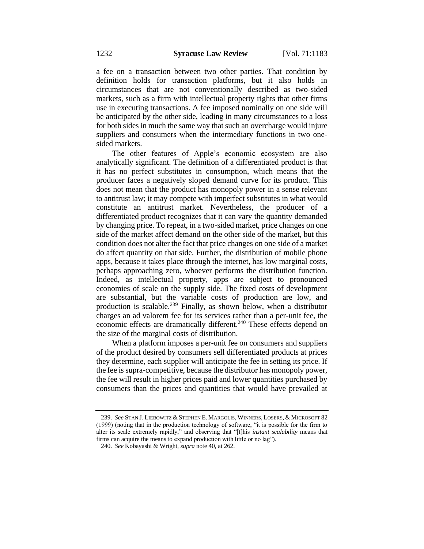a fee on a transaction between two other parties. That condition by definition holds for transaction platforms, but it also holds in circumstances that are not conventionally described as two-sided markets, such as a firm with intellectual property rights that other firms use in executing transactions. A fee imposed nominally on one side will be anticipated by the other side, leading in many circumstances to a loss for both sides in much the same way that such an overcharge would injure suppliers and consumers when the intermediary functions in two onesided markets.

The other features of Apple's economic ecosystem are also analytically significant. The definition of a differentiated product is that it has no perfect substitutes in consumption, which means that the producer faces a negatively sloped demand curve for its product. This does not mean that the product has monopoly power in a sense relevant to antitrust law; it may compete with imperfect substitutes in what would constitute an antitrust market. Nevertheless, the producer of a differentiated product recognizes that it can vary the quantity demanded by changing price. To repeat, in a two-sided market, price changes on one side of the market affect demand on the other side of the market, but this condition does not alter the fact that price changes on one side of a market do affect quantity on that side. Further, the distribution of mobile phone apps, because it takes place through the internet, has low marginal costs, perhaps approaching zero, whoever performs the distribution function. Indeed, as intellectual property, apps are subject to pronounced economies of scale on the supply side. The fixed costs of development are substantial, but the variable costs of production are low, and production is scalable.<sup>239</sup> Finally, as shown below, when a distributor charges an ad valorem fee for its services rather than a per-unit fee, the economic effects are dramatically different.<sup>240</sup> These effects depend on the size of the marginal costs of distribution.

When a platform imposes a per-unit fee on consumers and suppliers of the product desired by consumers sell differentiated products at prices they determine, each supplier will anticipate the fee in setting its price. If the fee is supra-competitive, because the distributor has monopoly power, the fee will result in higher prices paid and lower quantities purchased by consumers than the prices and quantities that would have prevailed at

<sup>239.</sup> *See* STAN J. LIEBOWITZ &STEPHEN E. MARGOLIS, WINNERS, LOSERS, & MICROSOFT 82 (1999) (noting that in the production technology of software, "it is possible for the firm to alter its scale extremely rapidly," and observing that "[t]his *instant scalability* means that firms can acquire the means to expand production with little or no lag").

<sup>240.</sup> *See* Kobayashi & Wright, *supra* note 40, at 262.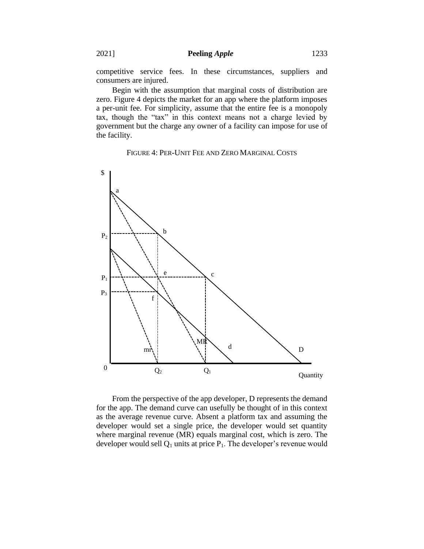competitive service fees. In these circumstances, suppliers and consumers are injured.

Begin with the assumption that marginal costs of distribution are zero. Figure 4 depicts the market for an app where the platform imposes a per-unit fee. For simplicity, assume that the entire fee is a monopoly tax, though the "tax" in this context means not a charge levied by government but the charge any owner of a facility can impose for use of the facility.

# FIGURE 4: PER-UNIT FEE AND ZERO MARGINAL COSTS



From the perspective of the app developer, D represents the demand for the app. The demand curve can usefully be thought of in this context as the average revenue curve. Absent a platform tax and assuming the developer would set a single price, the developer would set quantity where marginal revenue (MR) equals marginal cost, which is zero. The developer would sell  $Q_1$  units at price  $P_1$ . The developer's revenue would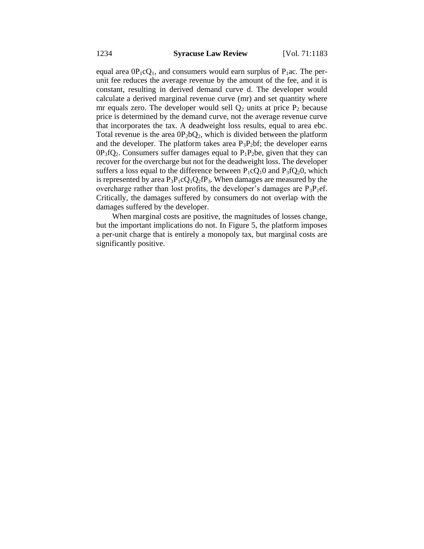equal area  $0P_1cQ_1$ , and consumers would earn surplus of  $P_1ac$ . The perunit fee reduces the average revenue by the amount of the fee, and it is constant, resulting in derived demand curve d. The developer would calculate a derived marginal revenue curve (mr) and set quantity where mr equals zero. The developer would sell  $Q_2$  units at price  $P_2$  because price is determined by the demand curve, not the average revenue curve that incorporates the tax. A deadweight loss results, equal to area ebc. Total revenue is the area  $0P_2bQ_2$ , which is divided between the platform and the developer. The platform takes area  $P_3P_2$ bf; the developer earns  $0P_3fQ_2$ . Consumers suffer damages equal to  $P_1P_2$ be, given that they can recover for the overcharge but not for the deadweight loss. The developer suffers a loss equal to the difference between  $P_1CQ_1O$  and  $P_3fQ_2O$ , which is represented by area  $P_3P_1cQ_1Q_2fP_3$ . When damages are measured by the overcharge rather than lost profits, the developer's damages are  $P_3P_1$ ef. Critically, the damages suffered by consumers do not overlap with the damages suffered by the developer.

When marginal costs are positive, the magnitudes of losses change, but the important implications do not. In Figure 5, the platform imposes a per-unit charge that is entirely a monopoly tax, but marginal costs are significantly positive.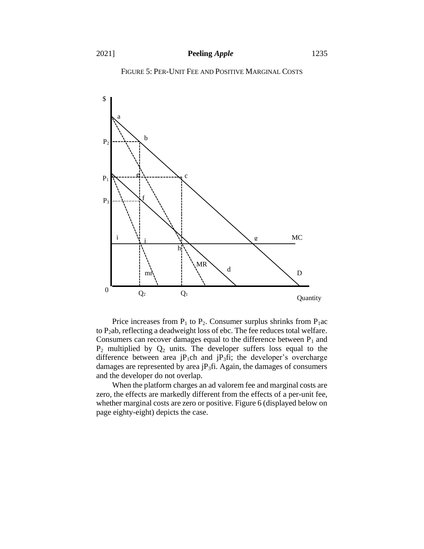



Price increases from  $P_1$  to  $P_2$ . Consumer surplus shrinks from  $P_1$ ac to P<sub>2</sub>ab, reflecting a deadweight loss of ebc. The fee reduces total welfare. Consumers can recover damages equal to the difference between  $P_1$  and  $P_2$  multiplied by  $Q_2$  units. The developer suffers loss equal to the difference between area  $jP_1$ ch and  $jP_3$ fi; the developer's overcharge damages are represented by area  $iP_3$ fi. Again, the damages of consumers and the developer do not overlap.

When the platform charges an ad valorem fee and marginal costs are zero, the effects are markedly different from the effects of a per-unit fee, whether marginal costs are zero or positive. Figure 6 (displayed below on page eighty-eight) depicts the case.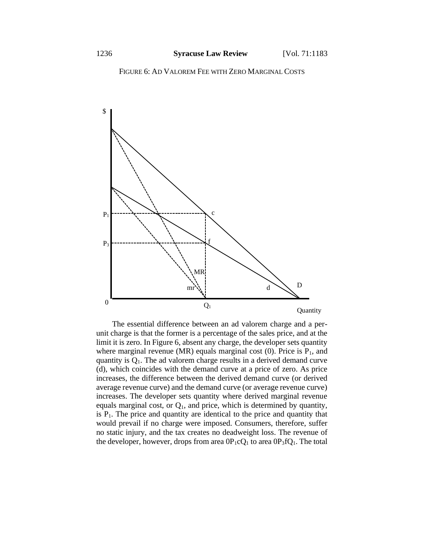FIGURE 6: AD VALOREM FEE WITH ZERO MARGINAL COSTS



The essential difference between an ad valorem charge and a perunit charge is that the former is a percentage of the sales price, and at the limit it is zero. In Figure 6, absent any charge, the developer sets quantity where marginal revenue (MR) equals marginal cost  $(0)$ . Price is  $P_1$ , and quantity is  $Q_1$ . The ad valorem charge results in a derived demand curve (d), which coincides with the demand curve at a price of zero. As price increases, the difference between the derived demand curve (or derived average revenue curve) and the demand curve (or average revenue curve) increases. The developer sets quantity where derived marginal revenue equals marginal cost, or  $Q_1$ , and price, which is determined by quantity, is  $P_1$ . The price and quantity are identical to the price and quantity that would prevail if no charge were imposed. Consumers, therefore, suffer no static injury, and the tax creates no deadweight loss. The revenue of the developer, however, drops from area  $0P_1cQ_1$  to area  $0P_3fQ_1$ . The total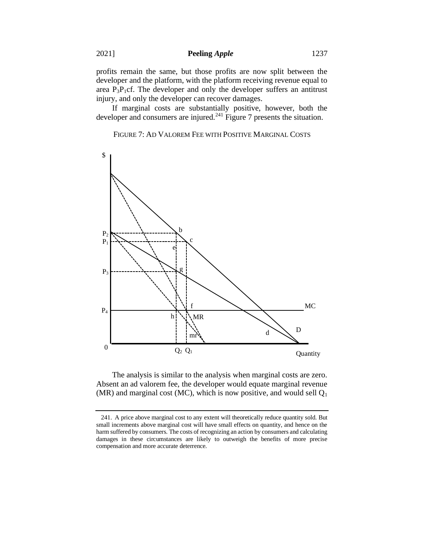profits remain the same, but those profits are now split between the developer and the platform, with the platform receiving revenue equal to area  $P_3P_1cf.$  The developer and only the developer suffers an antitrust injury, and only the developer can recover damages.

If marginal costs are substantially positive, however, both the developer and consumers are injured. $241$  Figure 7 presents the situation.

FIGURE 7: AD VALOREM FEE WITH POSITIVE MARGINAL COSTS



The analysis is similar to the analysis when marginal costs are zero. Absent an ad valorem fee, the developer would equate marginal revenue (MR) and marginal cost (MC), which is now positive, and would sell  $Q_1$ 

<sup>241.</sup> A price above marginal cost to any extent will theoretically reduce quantity sold. But small increments above marginal cost will have small effects on quantity, and hence on the harm suffered by consumers. The costs of recognizing an action by consumers and calculating damages in these circumstances are likely to outweigh the benefits of more precise compensation and more accurate deterrence.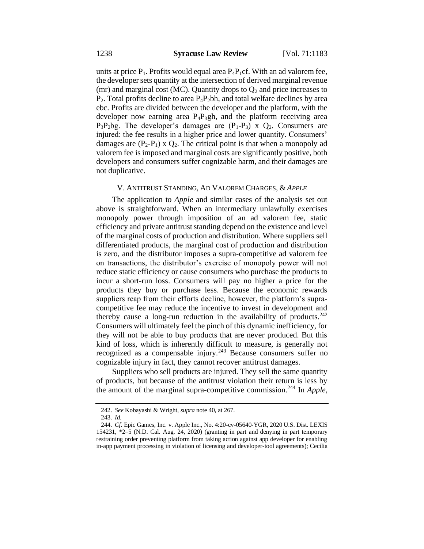units at price  $P_1$ . Profits would equal area  $P_4P_1$ cf. With an ad valorem fee, the developer sets quantity at the intersection of derived marginal revenue (mr) and marginal cost (MC). Quantity drops to  $Q_2$  and price increases to  $P_2$ . Total profits decline to area  $P_4P_2$ bh, and total welfare declines by area ebc. Profits are divided between the developer and the platform, with the developer now earning area  $P_4P_3gh$ , and the platform receiving area  $P_3P_2bg$ . The developer's damages are  $(P_1-P_3)$  x  $Q_2$ . Consumers are injured: the fee results in a higher price and lower quantity. Consumers' damages are  $(P_2-P_1) \times Q_2$ . The critical point is that when a monopoly ad valorem fee is imposed and marginal costs are significantly positive, both developers and consumers suffer cognizable harm, and their damages are not duplicative.

#### V. ANTITRUST STANDING, AD VALOREM CHARGES, & *APPLE*

The application to *Apple* and similar cases of the analysis set out above is straightforward. When an intermediary unlawfully exercises monopoly power through imposition of an ad valorem fee, static efficiency and private antitrust standing depend on the existence and level of the marginal costs of production and distribution. Where suppliers sell differentiated products, the marginal cost of production and distribution is zero, and the distributor imposes a supra-competitive ad valorem fee on transactions, the distributor's exercise of monopoly power will not reduce static efficiency or cause consumers who purchase the products to incur a short-run loss. Consumers will pay no higher a price for the products they buy or purchase less. Because the economic rewards suppliers reap from their efforts decline, however, the platform's supracompetitive fee may reduce the incentive to invest in development and thereby cause a long-run reduction in the availability of products.<sup>242</sup> Consumers will ultimately feel the pinch of this dynamic inefficiency, for they will not be able to buy products that are never produced. But this kind of loss, which is inherently difficult to measure, is generally not recognized as a compensable injury.<sup>243</sup> Because consumers suffer no cognizable injury in fact, they cannot recover antitrust damages.

Suppliers who sell products are injured. They sell the same quantity of products, but because of the antitrust violation their return is less by the amount of the marginal supra-competitive commission.<sup>244</sup> In *Apple*,

<sup>242.</sup> *See* Kobayashi & Wright, *supra* note 40, at 267.

<sup>243.</sup> *Id.*

<sup>244.</sup> *Cf.* Epic Games, Inc. v. Apple Inc., No. 4:20-cv-05640-YGR, 2020 U.S. Dist. LEXIS 154231, \*2–5 (N.D. Cal. Aug. 24, 2020) (granting in part and denying in part temporary restraining order preventing platform from taking action against app developer for enabling in-app payment processing in violation of licensing and developer-tool agreements); Cecilia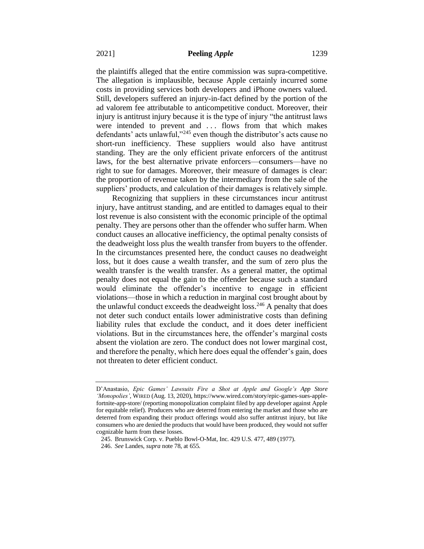the plaintiffs alleged that the entire commission was supra-competitive. The allegation is implausible, because Apple certainly incurred some costs in providing services both developers and iPhone owners valued. Still, developers suffered an injury-in-fact defined by the portion of the ad valorem fee attributable to anticompetitive conduct. Moreover, their injury is antitrust injury because it is the type of injury "the antitrust laws were intended to prevent and ... flows from that which makes defendants' acts unlawful,"<sup>245</sup> even though the distributor's acts cause no short-run inefficiency. These suppliers would also have antitrust standing. They are the only efficient private enforcers of the antitrust laws, for the best alternative private enforcers—consumers—have no right to sue for damages. Moreover, their measure of damages is clear: the proportion of revenue taken by the intermediary from the sale of the suppliers' products, and calculation of their damages is relatively simple.

Recognizing that suppliers in these circumstances incur antitrust injury, have antitrust standing, and are entitled to damages equal to their lost revenue is also consistent with the economic principle of the optimal penalty. They are persons other than the offender who suffer harm. When conduct causes an allocative inefficiency, the optimal penalty consists of the deadweight loss plus the wealth transfer from buyers to the offender. In the circumstances presented here, the conduct causes no deadweight loss, but it does cause a wealth transfer, and the sum of zero plus the wealth transfer is the wealth transfer. As a general matter, the optimal penalty does not equal the gain to the offender because such a standard would eliminate the offender's incentive to engage in efficient violations—those in which a reduction in marginal cost brought about by the unlawful conduct exceeds the deadweight  $loss.<sup>246</sup>$  A penalty that does not deter such conduct entails lower administrative costs than defining liability rules that exclude the conduct, and it does deter inefficient violations. But in the circumstances here, the offender's marginal costs absent the violation are zero. The conduct does not lower marginal cost, and therefore the penalty, which here does equal the offender's gain, does not threaten to deter efficient conduct.

D'Anastasio, *Epic Games' Lawsuits Fire a Shot at Apple and Google's App Store 'Monopolies'*, WIRED (Aug. 13, 2020), https://www.wired.com/story/epic-games-sues-applefortnite-app-store/ (reporting monopolization complaint filed by app developer against Apple for equitable relief). Producers who are deterred from entering the market and those who are deterred from expanding their product offerings would also suffer antitrust injury, but like consumers who are denied the products that would have been produced, they would not suffer cognizable harm from these losses.

<sup>245.</sup> Brunswick Corp. v. Pueblo Bowl-O-Mat, Inc. 429 U.S. 477, 489 (1977).

<sup>246.</sup> *See* Landes, *supra* note 78, at 655.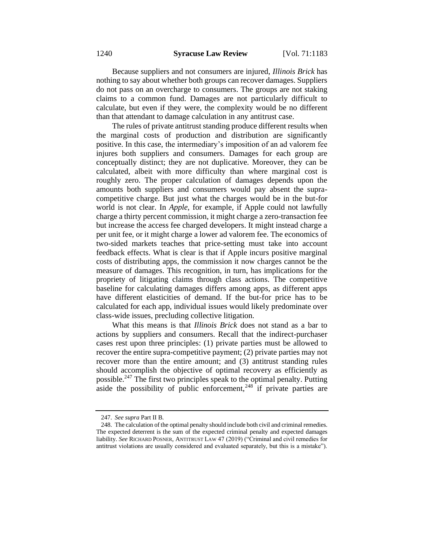Because suppliers and not consumers are injured, *Illinois Brick* has nothing to say about whether both groups can recover damages. Suppliers do not pass on an overcharge to consumers. The groups are not staking claims to a common fund. Damages are not particularly difficult to calculate, but even if they were, the complexity would be no different than that attendant to damage calculation in any antitrust case.

The rules of private antitrust standing produce different results when the marginal costs of production and distribution are significantly positive. In this case, the intermediary's imposition of an ad valorem fee injures both suppliers and consumers. Damages for each group are conceptually distinct; they are not duplicative. Moreover, they can be calculated, albeit with more difficulty than where marginal cost is roughly zero. The proper calculation of damages depends upon the amounts both suppliers and consumers would pay absent the supracompetitive charge. But just what the charges would be in the but-for world is not clear. In *Apple*, for example, if Apple could not lawfully charge a thirty percent commission, it might charge a zero-transaction fee but increase the access fee charged developers. It might instead charge a per unit fee, or it might charge a lower ad valorem fee. The economics of two-sided markets teaches that price-setting must take into account feedback effects. What is clear is that if Apple incurs positive marginal costs of distributing apps, the commission it now charges cannot be the measure of damages. This recognition, in turn, has implications for the propriety of litigating claims through class actions. The competitive baseline for calculating damages differs among apps, as different apps have different elasticities of demand. If the but-for price has to be calculated for each app, individual issues would likely predominate over class-wide issues, precluding collective litigation.

What this means is that *Illinois Brick* does not stand as a bar to actions by suppliers and consumers. Recall that the indirect-purchaser cases rest upon three principles: (1) private parties must be allowed to recover the entire supra-competitive payment; (2) private parties may not recover more than the entire amount; and (3) antitrust standing rules should accomplish the objective of optimal recovery as efficiently as possible.<sup>247</sup> The first two principles speak to the optimal penalty. Putting aside the possibility of public enforcement,  $248$  if private parties are

<sup>247.</sup> *See supra* Part II B*.*

<sup>248.</sup> The calculation of the optimal penalty should include both civil and criminal remedies. The expected deterrent is the sum of the expected criminal penalty and expected damages liability. *See* RICHARD POSNER, ANTITRUST LAW 47 (2019) ("Criminal and civil remedies for antitrust violations are usually considered and evaluated separately, but this is a mistake").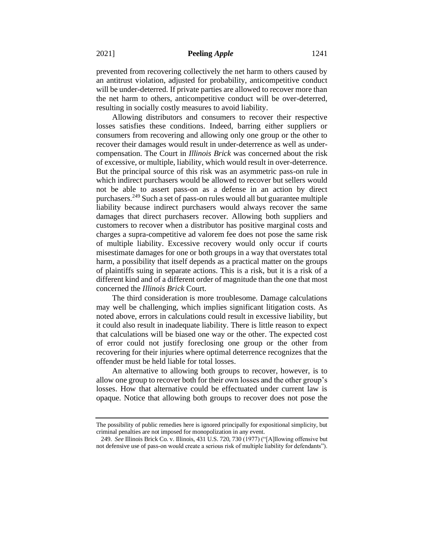prevented from recovering collectively the net harm to others caused by an antitrust violation, adjusted for probability, anticompetitive conduct will be under-deterred. If private parties are allowed to recover more than the net harm to others, anticompetitive conduct will be over-deterred, resulting in socially costly measures to avoid liability.

Allowing distributors and consumers to recover their respective losses satisfies these conditions. Indeed, barring either suppliers or consumers from recovering and allowing only one group or the other to recover their damages would result in under-deterrence as well as undercompensation. The Court in *Illinois Brick* was concerned about the risk of excessive, or multiple, liability, which would result in over-deterrence. But the principal source of this risk was an asymmetric pass-on rule in which indirect purchasers would be allowed to recover but sellers would not be able to assert pass-on as a defense in an action by direct purchasers.<sup>249</sup> Such a set of pass-on rules would all but guarantee multiple liability because indirect purchasers would always recover the same damages that direct purchasers recover. Allowing both suppliers and customers to recover when a distributor has positive marginal costs and charges a supra-competitive ad valorem fee does not pose the same risk of multiple liability. Excessive recovery would only occur if courts misestimate damages for one or both groups in a way that overstates total harm, a possibility that itself depends as a practical matter on the groups of plaintiffs suing in separate actions. This is a risk, but it is a risk of a different kind and of a different order of magnitude than the one that most concerned the *Illinois Brick* Court.

The third consideration is more troublesome. Damage calculations may well be challenging, which implies significant litigation costs. As noted above, errors in calculations could result in excessive liability, but it could also result in inadequate liability. There is little reason to expect that calculations will be biased one way or the other. The expected cost of error could not justify foreclosing one group or the other from recovering for their injuries where optimal deterrence recognizes that the offender must be held liable for total losses.

An alternative to allowing both groups to recover, however, is to allow one group to recover both for their own losses and the other group's losses. How that alternative could be effectuated under current law is opaque. Notice that allowing both groups to recover does not pose the

The possibility of public remedies here is ignored principally for expositional simplicity, but criminal penalties are not imposed for monopolization in any event.

<sup>249.</sup> *See* Illinois Brick Co. v. Illinois, 431 U.S. 720, 730 (1977) ("[A]llowing offensive but not defensive use of pass-on would create a serious risk of multiple liability for defendants").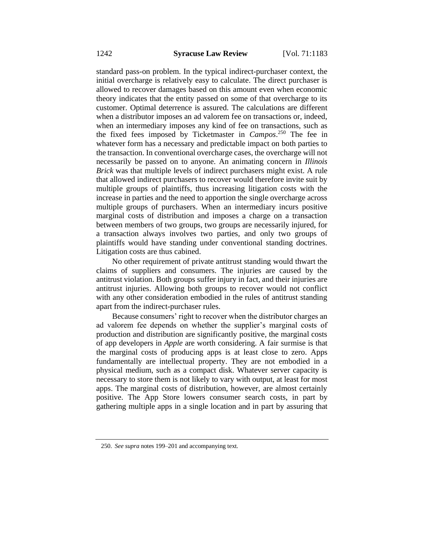standard pass-on problem. In the typical indirect-purchaser context, the initial overcharge is relatively easy to calculate. The direct purchaser is allowed to recover damages based on this amount even when economic theory indicates that the entity passed on some of that overcharge to its customer. Optimal deterrence is assured. The calculations are different when a distributor imposes an ad valorem fee on transactions or, indeed, when an intermediary imposes any kind of fee on transactions, such as the fixed fees imposed by Ticketmaster in *Campos*. <sup>250</sup> The fee in whatever form has a necessary and predictable impact on both parties to the transaction. In conventional overcharge cases, the overcharge will not necessarily be passed on to anyone. An animating concern in *Illinois Brick* was that multiple levels of indirect purchasers might exist. A rule that allowed indirect purchasers to recover would therefore invite suit by multiple groups of plaintiffs, thus increasing litigation costs with the increase in parties and the need to apportion the single overcharge across multiple groups of purchasers. When an intermediary incurs positive marginal costs of distribution and imposes a charge on a transaction between members of two groups, two groups are necessarily injured, for a transaction always involves two parties, and only two groups of plaintiffs would have standing under conventional standing doctrines. Litigation costs are thus cabined.

No other requirement of private antitrust standing would thwart the claims of suppliers and consumers. The injuries are caused by the antitrust violation. Both groups suffer injury in fact, and their injuries are antitrust injuries. Allowing both groups to recover would not conflict with any other consideration embodied in the rules of antitrust standing apart from the indirect-purchaser rules.

Because consumers' right to recover when the distributor charges an ad valorem fee depends on whether the supplier's marginal costs of production and distribution are significantly positive, the marginal costs of app developers in *Apple* are worth considering. A fair surmise is that the marginal costs of producing apps is at least close to zero. Apps fundamentally are intellectual property. They are not embodied in a physical medium, such as a compact disk. Whatever server capacity is necessary to store them is not likely to vary with output, at least for most apps. The marginal costs of distribution, however, are almost certainly positive. The App Store lowers consumer search costs, in part by gathering multiple apps in a single location and in part by assuring that

<sup>250.</sup> *See supra* notes 199–201 and accompanying text.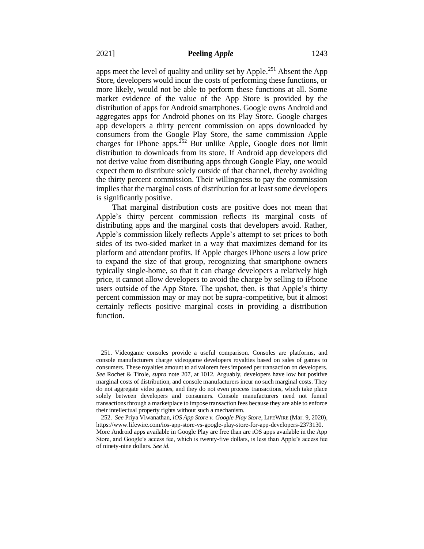apps meet the level of quality and utility set by Apple.<sup>251</sup> Absent the App Store, developers would incur the costs of performing these functions, or more likely, would not be able to perform these functions at all. Some market evidence of the value of the App Store is provided by the distribution of apps for Android smartphones. Google owns Android and aggregates apps for Android phones on its Play Store. Google charges app developers a thirty percent commission on apps downloaded by consumers from the Google Play Store, the same commission Apple charges for iPhone apps.<sup>252</sup> But unlike Apple, Google does not limit distribution to downloads from its store. If Android app developers did not derive value from distributing apps through Google Play, one would expect them to distribute solely outside of that channel, thereby avoiding the thirty percent commission. Their willingness to pay the commission implies that the marginal costs of distribution for at least some developers is significantly positive.

That marginal distribution costs are positive does not mean that Apple's thirty percent commission reflects its marginal costs of distributing apps and the marginal costs that developers avoid. Rather, Apple's commission likely reflects Apple's attempt to set prices to both sides of its two-sided market in a way that maximizes demand for its platform and attendant profits. If Apple charges iPhone users a low price to expand the size of that group, recognizing that smartphone owners typically single-home, so that it can charge developers a relatively high price, it cannot allow developers to avoid the charge by selling to iPhone users outside of the App Store. The upshot, then, is that Apple's thirty percent commission may or may not be supra-competitive, but it almost certainly reflects positive marginal costs in providing a distribution function.

<sup>251.</sup> Videogame consoles provide a useful comparison. Consoles are platforms, and console manufacturers charge videogame developers royalties based on sales of games to consumers. These royalties amount to ad valorem fees imposed per transaction on developers. *See* Rochet & Tirole, *supra* note 207, at 1012. Arguably, developers have low but positive marginal costs of distribution, and console manufacturers incur no such marginal costs. They do not aggregate video games, and they do not even process transactions, which take place solely between developers and consumers. Console manufacturers need not funnel transactions through a marketplace to impose transaction fees because they are able to enforce their intellectual property rights without such a mechanism.

<sup>252.</sup> *See* Priya Viwanathan, *iOS App Store v. Google Play Store*, LIFEWIRE (Mar. 9, 2020), https://www.lifewire.com/ios-app-store-vs-google-play-store-for-app-developers-2373130. More Android apps available in Google Play are free than are iOS apps available in the App Store, and Google's access fee, which is twenty-five dollars, is less than Apple's access fee of ninety-nine dollars. *See id*.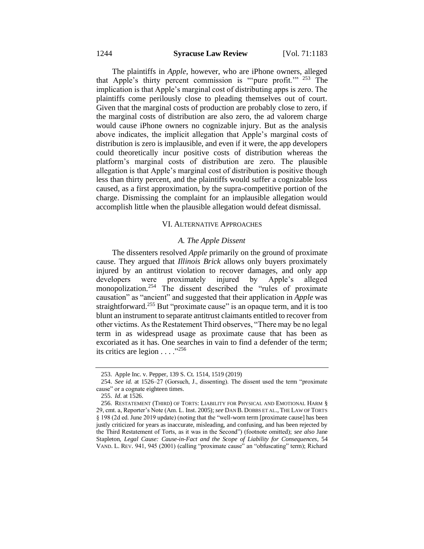The plaintiffs in *Apple*, however, who are iPhone owners, alleged that Apple's thirty percent commission is "'pure profit.'" <sup>253</sup> The implication is that Apple's marginal cost of distributing apps is zero. The plaintiffs come perilously close to pleading themselves out of court. Given that the marginal costs of production are probably close to zero, if the marginal costs of distribution are also zero, the ad valorem charge would cause iPhone owners no cognizable injury. But as the analysis above indicates, the implicit allegation that Apple's marginal costs of distribution is zero is implausible, and even if it were, the app developers could theoretically incur positive costs of distribution whereas the platform's marginal costs of distribution are zero. The plausible allegation is that Apple's marginal cost of distribution is positive though less than thirty percent, and the plaintiffs would suffer a cognizable loss caused, as a first approximation, by the supra-competitive portion of the charge. Dismissing the complaint for an implausible allegation would accomplish little when the plausible allegation would defeat dismissal.

## VI. ALTERNATIVE APPROACHES

#### *A. The Apple Dissent*

The dissenters resolved *Apple* primarily on the ground of proximate cause. They argued that *Illinois Brick* allows only buyers proximately injured by an antitrust violation to recover damages, and only app<br>developers were proximately injured by Apple's alleged developers were proximately injured by Apple's alleged monopolization.<sup>254</sup> The dissent described the "rules of proximate causation" as "ancient" and suggested that their application in *Apple* was straightforward.<sup>255</sup> But "proximate cause" is an opaque term, and it is too blunt an instrument to separate antitrust claimants entitled to recover from other victims. As the Restatement Third observes, "There may be no legal term in as widespread usage as proximate cause that has been as excoriated as it has. One searches in vain to find a defender of the term; its critics are legion  $\dots$  ."<sup>256</sup>

<sup>253.</sup> Apple Inc. v. Pepper, 139 S. Ct. 1514, 1519 (2019)

<sup>254.</sup> *See id.* at 1526–27 (Gorsuch, J., dissenting). The dissent used the term "proximate cause" or a cognate eighteen times.

<sup>255.</sup> *Id*. at 1526.

<sup>256.</sup> RESTATEMENT (THIRD) OF TORTS: LIABILITY FOR PHYSICAL AND EMOTIONAL HARM § 29, cmt. a, Reporter's Note (Am. L. Inst. 2005); *see* DAN B. DOBBS ET AL., THE LAW OF TORTS § 198 (2d ed. June 2019 update) (noting that the "well-worn term [proximate cause] has been justly criticized for years as inaccurate, misleading, and confusing, and has been rejected by the Third Restatement of Torts, as it was in the Second") (footnote omitted); *see also* Jane Stapleton, *Legal Cause: Cause-in-Fact and the Scope of Liability for Consequences*, 54 VAND. L. REV. 941, 945 (2001) (calling "proximate cause" an "obfuscating" term); Richard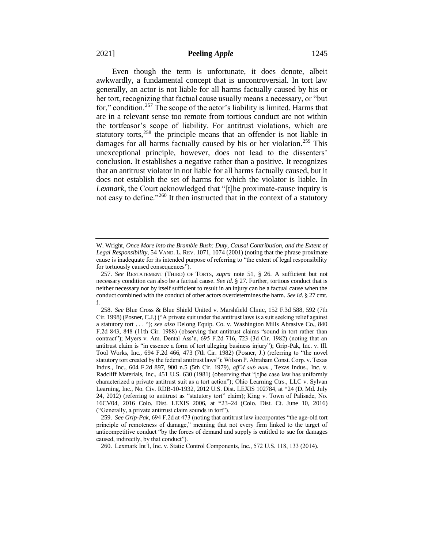Even though the term is unfortunate, it does denote, albeit awkwardly, a fundamental concept that is uncontroversial. In tort law generally, an actor is not liable for all harms factually caused by his or her tort, recognizing that factual cause usually means a necessary, or "but for," condition.<sup>257</sup> The scope of the actor's liability is limited. Harms that are in a relevant sense too remote from tortious conduct are not within the tortfeasor's scope of liability. For antitrust violations, which are statutory torts, $258$  the principle means that an offender is not liable in damages for all harms factually caused by his or her violation.<sup>259</sup> This unexceptional principle, however, does not lead to the dissenters' conclusion. It establishes a negative rather than a positive. It recognizes that an antitrust violator in not liable for all harms factually caused, but it does not establish the set of harms for which the violator is liable. In *Lexmark*, the Court acknowledged that "[t]he proximate-cause inquiry is not easy to define."<sup>260</sup> It then instructed that in the context of a statutory

W. Wright, *Once More into the Bramble Bush: Duty, Causal Contribution, and the Extent of Legal Responsibility*, 54 VAND. L. REV. 1071, 1074 (2001) (noting that the phrase proximate cause is inadequate for its intended purpose of referring to "the extent of legal responsibility for tortuously caused consequences").

<sup>257.</sup> *See* RESTATEMENT (THIRD) OF TORTS, *supra* note 51, § 26. A sufficient but not necessary condition can also be a factual cause. *See id*. § 27. Further, tortious conduct that is neither necessary nor by itself sufficient to result in an injury can be a factual cause when the conduct combined with the conduct of other actors overdetermines the harm. *See id*. § 27 cmt. f.

<sup>258.</sup> *See* Blue Cross & Blue Shield United v. Marshfield Clinic, 152 F.3d 588, 592 (7th Cir. 1998) (Posner, C.J.) ("A private suit under the antitrust laws is a suit seeking relief against a statutory tort . . . "); *see also* Delong Equip. Co. v. Washington Mills Abrasive Co., 840 F.2d 843, 848 (11th Cir. 1988) (observing that antitrust claims "sound in tort rather than contract"); Myers v. Am. Dental Ass'n, 695 F.2d 716, 723 (3d Cir. 1982) (noting that an antitrust claim is "in essence a form of tort alleging business injury"); Grip-Pak, Inc. v. Ill. Tool Works, Inc., 694 F.2d 466, 473 (7th Cir. 1982) (Posner, J.) (referring to "the novel statutory tort created by the federal antitrust laws"); Wilson P. Abraham Const. Corp. v. Texas Indus., Inc., 604 F.2d 897, 900 n.5 (5th Cir. 1979), *aff'd sub nom.*, Texas Indus., Inc. v. Radcliff Materials, Inc., 451 U.S. 630 (1981) (observing that "[t]he case law has uniformly characterized a private antitrust suit as a tort action"); Ohio Learning Ctrs., LLC v. Sylvan Learning, Inc., No. Civ. RDB-10-1932, 2012 U.S. Dist. LEXIS 102784, at \*24 (D. Md. July 24, 2012) (referring to antitrust as "statutory tort" claim); King v. Town of Palisade, No. 16CV04, 2016 Colo. Dist. LEXIS 2006, at \*23–24 (Colo. Dist. Ct. June 10, 2016) ("Generally, a private antitrust claim sounds in tort").

<sup>259.</sup> *See Grip-Pak*, 694 F.2d at 473 (noting that antitrust law incorporates "the age-old tort principle of remoteness of damage," meaning that not every firm linked to the target of anticompetitive conduct "by the forces of demand and supply is entitled to sue for damages caused, indirectly, by that conduct").

<sup>260.</sup> Lexmark Int'l, Inc. v. Static Control Components, Inc., 572 U.S. 118, 133 (2014).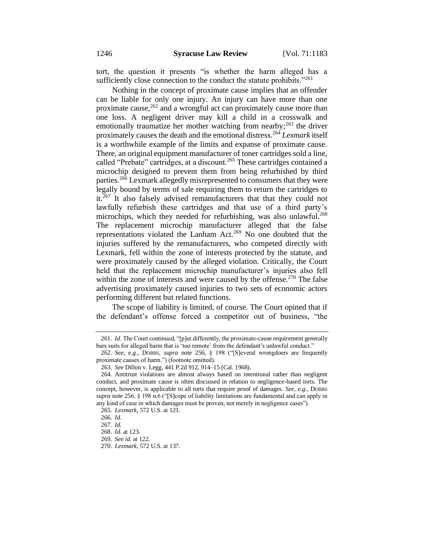tort, the question it presents "is whether the harm alleged has a sufficiently close connection to the conduct the statute prohibits."<sup>261</sup>

Nothing in the concept of proximate cause implies that an offender can be liable for only one injury. An injury can have more than one proximate cause, $262$  and a wrongful act can proximately cause more than one loss. A negligent driver may kill a child in a crosswalk and emotionally traumatize her mother watching from nearby; <sup>263</sup> the driver proximately causes the death and the emotional distress.<sup>264</sup> *Lexmark* itself is a worthwhile example of the limits and expanse of proximate cause. There, an original equipment manufacturer of toner cartridges sold a line, called "Prebate" cartridges, at a discount.<sup>265</sup> These cartridges contained a microchip designed to prevent them from being refurbished by third parties.<sup>266</sup> Lexmark allegedly misrepresented to consumers that they were legally bound by terms of sale requiring them to return the cartridges to it.<sup>267</sup> It also falsely advised remanufacturers that that they could not lawfully refurbish these cartridges and that use of a third party's microchips, which they needed for refurbishing, was also unlawful.<sup>268</sup> The replacement microchip manufacturer alleged that the false representations violated the Lanham Act.<sup>269</sup> No one doubted that the injuries suffered by the remanufacturers, who competed directly with Lexmark, fell within the zone of interests protected by the statute, and were proximately caused by the alleged violation. Critically, the Court held that the replacement microchip manufacturer's injuries also fell within the zone of interests and were caused by the offense.<sup>270</sup> The false advertising proximately caused injuries to two sets of economic actors performing different but related functions.

The scope of liability is limited, of course. The Court opined that if the defendant's offense forced a competitor out of business, "the

<sup>261.</sup> *Id*. The Court continued, "[p]ut differently, the proximate-cause requirement generally bars suits for alleged harm that is 'too remote' from the defendant's unlawful conduct."

<sup>262.</sup> *See, e.g.*, DOBBS, *supra* note 256, § 198 ("[S]everal wrongdoers are frequently proximate causes of harm.") (footnote omitted).

<sup>263.</sup> *See* Dillon v. Legg, 441 P.2d 912, 914–15 (Cal. 1968).

<sup>264.</sup> Antitrust violations are almost always based on intentional rather than negligent conduct, and proximate cause is often discussed in relation to negligence-based torts. The concept, however, is applicable to all torts that require proof of damages. *See, e.g.*, DOBBS *supra* note 256, § 198 n.6 ("[S]cope of liability limitations are fundamental and can apply in any kind of case in which damages must be proven, not merely in negligence cases").

<sup>265.</sup> *Lexmark*, 572 U.S. at 121.

<sup>266.</sup> *Id.*

<sup>267.</sup> *Id.*

<sup>268.</sup> *Id.* at 123.

<sup>269.</sup> *See id.* at 122.

<sup>270.</sup> *Lexmark*, 572 U.S. at 137.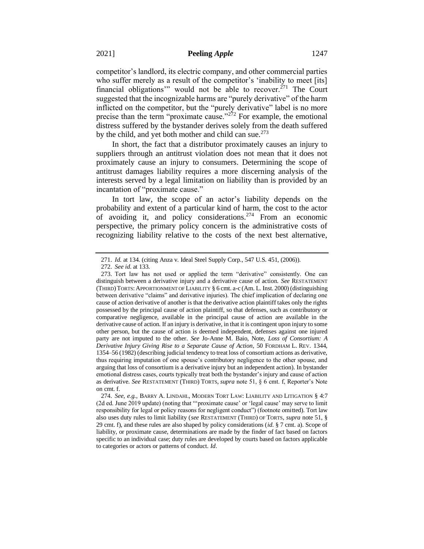competitor's landlord, its electric company, and other commercial parties who suffer merely as a result of the competitor's 'inability to meet [its] financial obligations" would not be able to recover.<sup> $271$ </sup> The Court suggested that the incognizable harms are "purely derivative" of the harm inflicted on the competitor, but the "purely derivative" label is no more precise than the term "proximate cause."<sup>272</sup> For example, the emotional distress suffered by the bystander derives solely from the death suffered by the child, and yet both mother and child can sue.<sup>273</sup>

In short, the fact that a distributor proximately causes an injury to suppliers through an antitrust violation does not mean that it does not proximately cause an injury to consumers. Determining the scope of antitrust damages liability requires a more discerning analysis of the interests served by a legal limitation on liability than is provided by an incantation of "proximate cause."

In tort law, the scope of an actor's liability depends on the probability and extent of a particular kind of harm, the cost to the actor of avoiding it, and policy considerations.<sup>274</sup> From an economic perspective, the primary policy concern is the administrative costs of recognizing liability relative to the costs of the next best alternative,

<sup>271.</sup> *Id.* at 134. (citing Anza v. Ideal Steel Supply Corp., 547 U.S. 451, (2006)).

<sup>272.</sup> *See id*. at 133.

<sup>273.</sup> Tort law has not used or applied the term "derivative" consistently. One can distinguish between a derivative injury and a derivative cause of action. *See* RESTATEMENT (THIRD)TORTS:APPORTIONMENT OF LIABILITY § 6 cmt. a-c (Am. L. Inst. 2000) (distinguishing between derivative "claims" and derivative injuries). The chief implication of declaring one cause of action derivative of another is that the derivative action plaintiff takes only the rights possessed by the principal cause of action plaintiff, so that defenses, such as contributory or comparative negligence, available in the principal cause of action are available in the derivative cause of action. If an injury is derivative, in that it is contingent upon injury to some other person, but the cause of action is deemed independent, defenses against one injured party are not imputed to the other. *See* Jo-Anne M. Baio, Note, *Loss of Consortium: A Derivative Injury Giving Rise to a Separate Cause of Action*, 50 FORDHAM L. REV. 1344, 1354–56 (1982) (describing judicial tendency to treat loss of consortium actions as derivative, thus requiring imputation of one spouse's contributory negligence to the other spouse, and arguing that loss of consortium is a derivative injury but an independent action). In bystander emotional distress cases, courts typically treat both the bystander's injury and cause of action as derivative. *See* RESTATEMENT (THIRD) TORTS, *supra* note 51, § 6 cmt. f, Reporter's Note on cmt. f.

<sup>274.</sup> *See, e.g.*, BARRY A. LINDAHL, MODERN TORT LAW: LIABILITY AND LITIGATION § 4:7 (2d ed. June 2019 update) (noting that "'proximate cause' or 'legal cause' may serve to limit responsibility for legal or policy reasons for negligent conduct") (footnote omitted). Tort law also uses duty rules to limit liability (*see* RESTATEMENT (THIRD) OF TORTS, *supra* note 51, § 29 cmt. f), and these rules are also shaped by policy considerations (*id*. § 7 cmt. a). Scope of liability, or proximate cause, determinations are made by the finder of fact based on factors specific to an individual case; duty rules are developed by courts based on factors applicable to categories or actors or patterns of conduct. *Id*.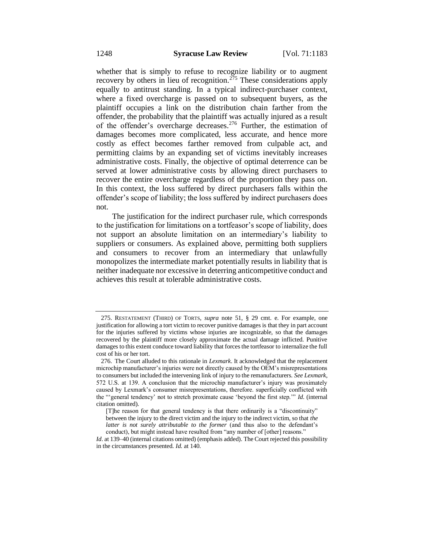whether that is simply to refuse to recognize liability or to augment recovery by others in lieu of recognition.<sup> $275$ </sup> These considerations apply equally to antitrust standing. In a typical indirect-purchaser context, where a fixed overcharge is passed on to subsequent buyers, as the plaintiff occupies a link on the distribution chain farther from the offender, the probability that the plaintiff was actually injured as a result of the offender's overcharge decreases.<sup>276</sup> Further, the estimation of damages becomes more complicated, less accurate, and hence more costly as effect becomes farther removed from culpable act, and permitting claims by an expanding set of victims inevitably increases administrative costs. Finally, the objective of optimal deterrence can be served at lower administrative costs by allowing direct purchasers to recover the entire overcharge regardless of the proportion they pass on. In this context, the loss suffered by direct purchasers falls within the offender's scope of liability; the loss suffered by indirect purchasers does not.

The justification for the indirect purchaser rule, which corresponds to the justification for limitations on a tortfeasor's scope of liability, does not support an absolute limitation on an intermediary's liability to suppliers or consumers. As explained above, permitting both suppliers and consumers to recover from an intermediary that unlawfully monopolizes the intermediate market potentially results in liability that is neither inadequate nor excessive in deterring anticompetitive conduct and achieves this result at tolerable administrative costs.

<sup>275.</sup> RESTATEMENT (THIRD) OF TORTS, *supra* note 51, § 29 cmt. e. For example, one justification for allowing a tort victim to recover punitive damages is that they in part account for the injuries suffered by victims whose injuries are incognizable, so that the damages recovered by the plaintiff more closely approximate the actual damage inflicted. Punitive damages to this extent conduce toward liability that forces the tortfeasor to internalize the full cost of his or her tort.

<sup>276.</sup> The Court alluded to this rationale in *Lexmark*. It acknowledged that the replacement microchip manufacturer's injuries were not directly caused by the OEM's misrepresentations to consumers but included the intervening link of injury to the remanufacturers. *See Lexmark*, 572 U.S. at 139. A conclusion that the microchip manufacturer's injury was proximately caused by Lexmark's consumer misrepresentations, therefore. superficially conflicted with the "'general tendency' not to stretch proximate cause 'beyond the first step.'" *Id*. (internal citation omitted).

<sup>[</sup>T]he reason for that general tendency is that there ordinarily is a "discontinuity" between the injury to the direct victim and the injury to the indirect victim, so that *the latter is not surely attributable to the former* (and thus also to the defendant's conduct), but might instead have resulted from "any number of [other] reasons."

*Id.* at 139–40 (internal citations omitted) (emphasis added). The Court rejected this possibility in the circumstances presented. *Id*. at 140.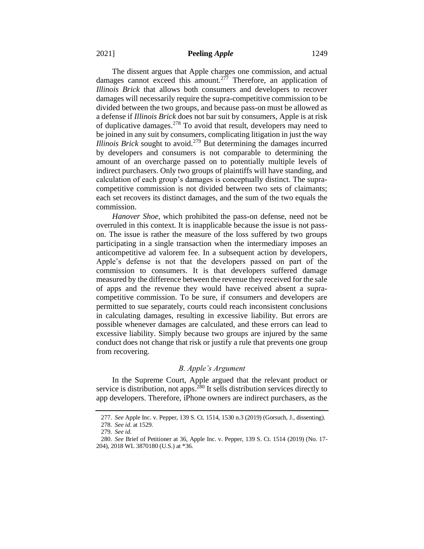The dissent argues that Apple charges one commission, and actual damages cannot exceed this amount.<sup>277</sup> Therefore, an application of *Illinois Brick* that allows both consumers and developers to recover damages will necessarily require the supra-competitive commission to be divided between the two groups, and because pass-on must be allowed as a defense if *Illinois Brick* does not bar suit by consumers, Apple is at risk of duplicative damages.<sup>278</sup> To avoid that result, developers may need to be joined in any suit by consumers, complicating litigation in just the way *Illinois Brick* sought to avoid.<sup>279</sup> But determining the damages incurred by developers and consumers is not comparable to determining the amount of an overcharge passed on to potentially multiple levels of indirect purchasers. Only two groups of plaintiffs will have standing, and calculation of each group's damages is conceptually distinct. The supracompetitive commission is not divided between two sets of claimants; each set recovers its distinct damages, and the sum of the two equals the commission.

*Hanover Shoe*, which prohibited the pass-on defense, need not be overruled in this context. It is inapplicable because the issue is not passon. The issue is rather the measure of the loss suffered by two groups participating in a single transaction when the intermediary imposes an anticompetitive ad valorem fee. In a subsequent action by developers, Apple's defense is not that the developers passed on part of the commission to consumers. It is that developers suffered damage measured by the difference between the revenue they received for the sale of apps and the revenue they would have received absent a supracompetitive commission. To be sure, if consumers and developers are permitted to sue separately, courts could reach inconsistent conclusions in calculating damages, resulting in excessive liability. But errors are possible whenever damages are calculated, and these errors can lead to excessive liability. Simply because two groups are injured by the same conduct does not change that risk or justify a rule that prevents one group from recovering.

## *B. Apple's Argument*

In the Supreme Court, Apple argued that the relevant product or service is distribution, not apps.<sup>280</sup> It sells distribution services directly to app developers. Therefore, iPhone owners are indirect purchasers, as the

<sup>277.</sup> *See* Apple Inc. v. Pepper, 139 S. Ct. 1514, 1530 n.3 (2019) (Gorsuch, J., dissenting).

<sup>278.</sup> *See id*. at 1529.

<sup>279.</sup> *See id*.

<sup>280.</sup> *See* Brief of Petitioner at 36, Apple Inc. v. Pepper, 139 S. Ct. 1514 (2019) (No. 17- 204), 2018 WL 3870180 (U.S.) at \*36.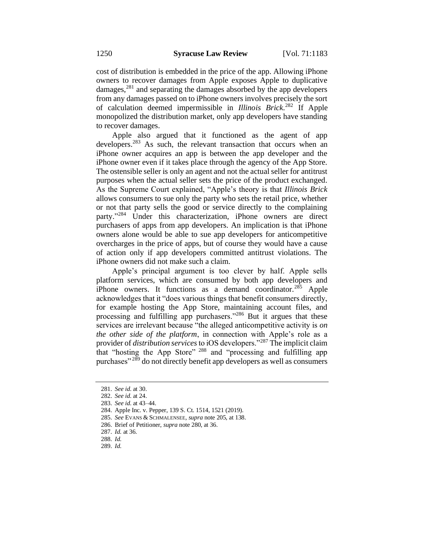cost of distribution is embedded in the price of the app. Allowing iPhone owners to recover damages from Apple exposes Apple to duplicative damages, $281$  and separating the damages absorbed by the app developers from any damages passed on to iPhone owners involves precisely the sort of calculation deemed impermissible in *Illinois Brick*. <sup>282</sup> If Apple monopolized the distribution market, only app developers have standing to recover damages.

Apple also argued that it functioned as the agent of app developers.<sup>283</sup> As such, the relevant transaction that occurs when an iPhone owner acquires an app is between the app developer and the iPhone owner even if it takes place through the agency of the App Store. The ostensible seller is only an agent and not the actual seller for antitrust purposes when the actual seller sets the price of the product exchanged. As the Supreme Court explained, "Apple's theory is that *Illinois Brick*  allows consumers to sue only the party who sets the retail price, whether or not that party sells the good or service directly to the complaining party." <sup>284</sup> Under this characterization, iPhone owners are direct purchasers of apps from app developers. An implication is that iPhone owners alone would be able to sue app developers for anticompetitive overcharges in the price of apps, but of course they would have a cause of action only if app developers committed antitrust violations. The iPhone owners did not make such a claim.

Apple's principal argument is too clever by half. Apple sells platform services, which are consumed by both app developers and iPhone owners. It functions as a demand coordinator.<sup>285</sup> Apple acknowledges that it "does various things that benefit consumers directly, for example hosting the App Store, maintaining account files, and processing and fulfilling app purchasers."<sup>286</sup> But it argues that these services are irrelevant because "the alleged anticompetitive activity is *on the other side of the platform*, in connection with Apple's role as a provider of *distribution services* to iOS developers."<sup>287</sup> The implicit claim that "hosting the App Store" <sup>288</sup> and "processing and fulfilling app purchases"<sup>289</sup> do not directly benefit app developers as well as consumers

<sup>281.</sup> *See id*. at 30.

<sup>282.</sup> *See id*. at 24.

<sup>283.</sup> *See id*. at 43–44.

<sup>284.</sup> Apple Inc. v. Pepper, 139 S. Ct. 1514, 1521 (2019).

<sup>285.</sup> *See* EVANS & SCHMALENSEE, *supra* note 205, at 138.

<sup>286.</sup> Brief of Petitioner, *supra* note 280, at 36.

<sup>287.</sup> *Id.* at 36.

<sup>288.</sup> *Id.*

<sup>289.</sup> *Id.*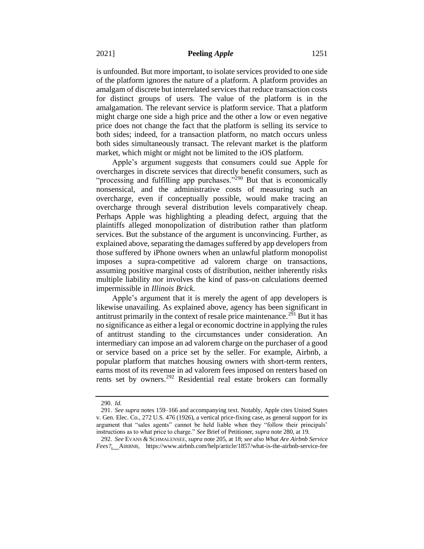is unfounded. But more important, to isolate services provided to one side of the platform ignores the nature of a platform. A platform provides an amalgam of discrete but interrelated services that reduce transaction costs for distinct groups of users. The value of the platform is in the amalgamation. The relevant service is platform service. That a platform might charge one side a high price and the other a low or even negative price does not change the fact that the platform is selling its service to both sides; indeed, for a transaction platform, no match occurs unless both sides simultaneously transact. The relevant market is the platform market, which might or might not be limited to the iOS platform.

Apple's argument suggests that consumers could sue Apple for overcharges in discrete services that directly benefit consumers, such as "processing and fulfilling app purchases."<sup>290</sup> But that is economically nonsensical, and the administrative costs of measuring such an overcharge, even if conceptually possible, would make tracing an overcharge through several distribution levels comparatively cheap. Perhaps Apple was highlighting a pleading defect, arguing that the plaintiffs alleged monopolization of distribution rather than platform services. But the substance of the argument is unconvincing. Further, as explained above, separating the damages suffered by app developers from those suffered by iPhone owners when an unlawful platform monopolist imposes a supra-competitive ad valorem charge on transactions, assuming positive marginal costs of distribution, neither inherently risks multiple liability nor involves the kind of pass-on calculations deemed impermissible in *Illinois Brick*.

Apple's argument that it is merely the agent of app developers is likewise unavailing. As explained above, agency has been significant in antitrust primarily in the context of resale price maintenance.<sup>291</sup> But it has no significance as either a legal or economic doctrine in applying the rules of antitrust standing to the circumstances under consideration. An intermediary can impose an ad valorem charge on the purchaser of a good or service based on a price set by the seller. For example, Airbnb, a popular platform that matches housing owners with short-term renters, earns most of its revenue in ad valorem fees imposed on renters based on rents set by owners.<sup>292</sup> Residential real estate brokers can formally

<sup>290.</sup> *Id.*

<sup>291.</sup> *See supra* notes 159–166 and accompanying text. Notably, Apple cites United States v. Gen. Elec. Co., 272 U.S. 476 (1926), a vertical price-fixing case, as general support for its argument that "sales agents" cannot be held liable when they "follow their principals' instructions as to what price to charge." *See* Brief of Petitioner, *supra* note 280, at 19.

<sup>292.</sup> *See* EVANS & SCHMALENSEE, *supra* note 205, at 18; *see also What Are Airbnb Service Fees?*, AIRBNB, https://www.airbnb.com/help/article/1857/what-is-the-airbnb-service-fee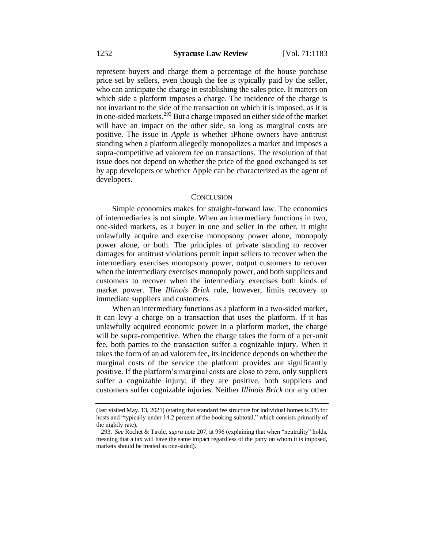represent buyers and charge them a percentage of the house purchase price set by sellers, even though the fee is typically paid by the seller, who can anticipate the charge in establishing the sales price. It matters on which side a platform imposes a charge. The incidence of the charge is not invariant to the side of the transaction on which it is imposed, as it is in one-sided markets.<sup>293</sup> But a charge imposed on either side of the market will have an impact on the other side, so long as marginal costs are positive. The issue in *Apple* is whether iPhone owners have antitrust standing when a platform allegedly monopolizes a market and imposes a supra-competitive ad valorem fee on transactions. The resolution of that issue does not depend on whether the price of the good exchanged is set by app developers or whether Apple can be characterized as the agent of developers.

#### **CONCLUSION**

Simple economics makes for straight-forward law. The economics of intermediaries is not simple. When an intermediary functions in two, one-sided markets, as a buyer in one and seller in the other, it might unlawfully acquire and exercise monopsony power alone, monopoly power alone, or both. The principles of private standing to recover damages for antitrust violations permit input sellers to recover when the intermediary exercises monopsony power, output customers to recover when the intermediary exercises monopoly power, and both suppliers and customers to recover when the intermediary exercises both kinds of market power. The *Illinois Brick* rule, however, limits recovery to immediate suppliers and customers.

When an intermediary functions as a platform in a two-sided market, it can levy a charge on a transaction that uses the platform. If it has unlawfully acquired economic power in a platform market, the charge will be supra-competitive. When the charge takes the form of a per-unit fee, both parties to the transaction suffer a cognizable injury. When it takes the form of an ad valorem fee, its incidence depends on whether the marginal costs of the service the platform provides are significantly positive. If the platform's marginal costs are close to zero, only suppliers suffer a cognizable injury; if they are positive, both suppliers and customers suffer cognizable injuries. Neither *Illinois Brick* nor any other

<sup>(</sup>last visited May. 13, 2021) (stating that standard fee structure for individual homes is 3% for hosts and "typically under 14.2 percent of the booking subtotal," which consists primarily of the nightly rate).

<sup>293.</sup> *See* Rochet & Tirole, *supra* note 207, at 996 (explaining that when "neutrality" holds, meaning that a tax will have the same impact regardless of the party on whom it is imposed, markets should be treated as one-sided).